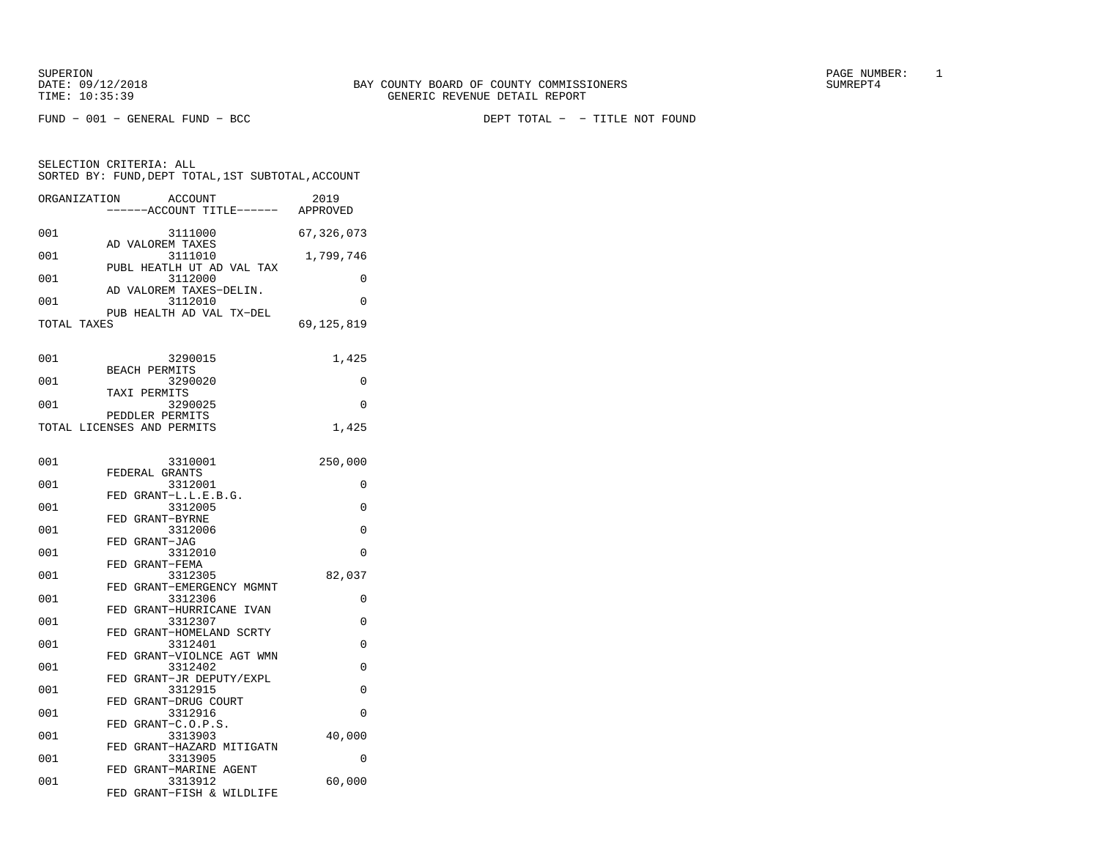FUND − 001 − GENERAL FUND − BCC DEPT TOTAL − − TITLE NOT FOUND

| SORTED BY: FUND, DEPT TOTAL, 1ST SUBTOTAL, ACCOUNT           |            |
|--------------------------------------------------------------|------------|
| ORGANIZATION<br>ACCOUNT<br>-----ACCOUNT TITLE------ APPROVED | 2019       |
| 001<br>3111000                                               | 67,326,073 |
| AD VALOREM TAXES<br>001<br>3111010                           | 1,799,746  |
| PUBL HEATLH UT AD VAL TAX<br>001<br>3112000                  | $\Omega$   |
| AD VALOREM TAXES-DELIN.<br>3112010<br>001                    | $\Omega$   |
| PUB HEALTH AD VAL TX-DEL<br>TOTAL TAXES                      | 69,125,819 |
|                                                              |            |
| 001<br>3290015<br><b>BEACH PERMITS</b>                       | 1,425      |
| 001<br>3290020<br>TAXI PERMITS                               | $\Omega$   |
| 001<br>3290025<br>PEDDLER PERMITS                            | 0          |
| TOTAL LICENSES AND PERMITS                                   | 1,425      |
| 001<br>3310001                                               | 250,000    |
| FEDERAL GRANTS<br>3312001<br>001                             | 0          |
| FED GRANT-L.L.E.B.G.<br>001<br>3312005                       | 0          |
| FED GRANT-BYRNE<br>001<br>3312006                            | 0          |
| FED GRANT-JAG<br>001<br>3312010                              | 0          |
| FED GRANT-FEMA                                               |            |
| 001<br>3312305<br>FED GRANT-EMERGENCY MGMNT                  | 82,037     |
| 001<br>3312306<br>FED GRANT-HURRICANE IVAN                   | 0          |
| 001<br>3312307<br>FED GRANT-HOMELAND SCRTY                   | 0          |
| 001<br>3312401<br>FED GRANT-VIOLNCE AGT WMN                  | 0          |
| 001<br>3312402<br>FED GRANT-JR DEPUTY/EXPL                   | 0          |
| 001<br>3312915<br>FED GRANT-DRUG COURT                       | 0          |
| 001<br>3312916                                               | 0          |
| FED GRANT-C.O.P.S.<br>3313903<br>001                         | 40,000     |
| FED GRANT-HAZARD MITIGATN<br>001<br>3313905                  | $\Omega$   |
| FED GRANT-MARINE AGENT<br>3313912<br>001                     | 60,000     |
| FED GRANT-FISH & WILDLIFE                                    |            |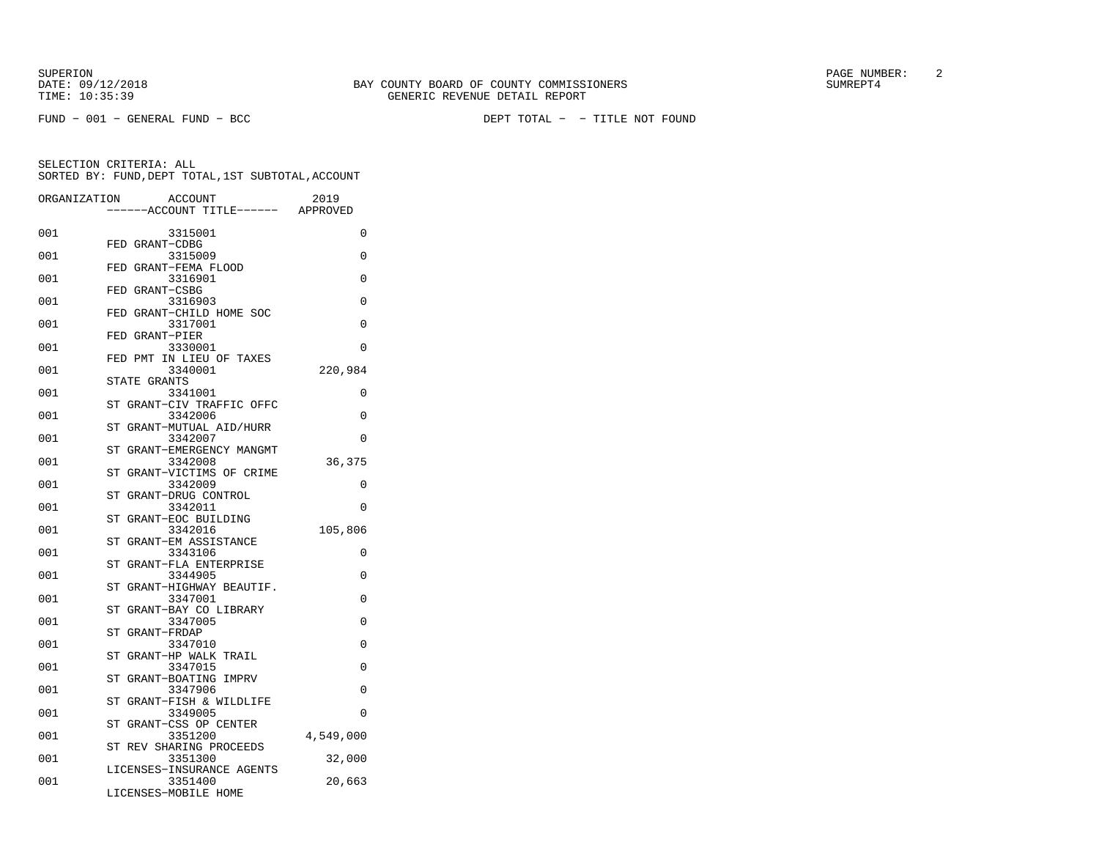FUND − 001 − GENERAL FUND − BCC DEPT TOTAL − − TITLE NOT FOUND

| ORGANIZATION | <b>ACCOUNT</b>                         | 2019      |
|--------------|----------------------------------------|-----------|
|              | ---ACCOUNT TITLE------ APPROVED        |           |
| 001          | 3315001                                | 0         |
|              | FED GRANT-CDBG                         |           |
| 001          | 3315009                                | $\Omega$  |
|              | GRANT-FEMA FLOOD<br>FED                |           |
| 001          | 3316901                                | $\Omega$  |
| 001          | FED GRANT-CSBG<br>3316903              | $\Omega$  |
|              | FED GRANT-CHILD HOME SOC               |           |
| 001          | 3317001                                | $\Omega$  |
|              | FED GRANT-PIER                         |           |
| 001          | 3330001                                | $\Omega$  |
|              | FED PMT<br>IN LIEU OF TAXES            |           |
| 001          | 3340001                                | 220,984   |
|              | STATE GRANTS                           |           |
| 001          | 3341001                                | 0         |
|              | GRANT-CIV TRAFFIC OFFC<br><b>ST</b>    |           |
| 001          | 3342006                                | $\Omega$  |
| 001          | GRANT-MUTUAL AID/HURR<br>ST<br>3342007 | $\Omega$  |
|              | GRANT-EMERGENCY MANGMT<br>ST           |           |
| 001          | 3342008                                | 36,375    |
|              | ST GRANT-VICTIMS OF CRIME              |           |
| 001          | 3342009                                | $\Omega$  |
|              | ST<br>GRANT-DRUG CONTROL               |           |
| 001          | 3342011                                | 0         |
|              | GRANT-EOC BUILDING<br><b>ST</b>        |           |
| 001          | 3342016                                | 105,806   |
|              | GRANT-EM ASSISTANCE<br>SТ              |           |
| 001          | 3343106                                | 0         |
|              | GRANT-FLA ENTERPRISE<br>ST             |           |
| 001          | 3344905<br>ST GRANT-HIGHWAY BEAUTIF.   | 0         |
| 001          | 3347001                                | 0         |
|              | GRANT-BAY CO LIBRARY<br>ST             |           |
| 001          | 3347005                                | $\Omega$  |
|              | <b>ST</b><br>GRANT-FRDAP               |           |
| 001          | 3347010                                | 0         |
|              | GRANT-HP WALK TRAIL<br>ST              |           |
| 001          | 3347015                                | 0         |
|              | ST<br>GRANT-BOATING IMPRV              |           |
| 001          | 3347906                                | 0         |
| 001          | ST GRANT-FISH & WILDLIFE<br>3349005    | $\Omega$  |
|              | GRANT-CSS OP CENTER<br>ST              |           |
| 001          | 3351200                                | 4,549,000 |
|              | REV SHARING PROCEEDS<br>SТ             |           |
| 001          | 3351300                                | 32,000    |
|              | LICENSES-INSURANCE AGENTS              |           |
| 001          | 3351400                                | 20,663    |
|              | LICENSES-MOBILE HOME                   |           |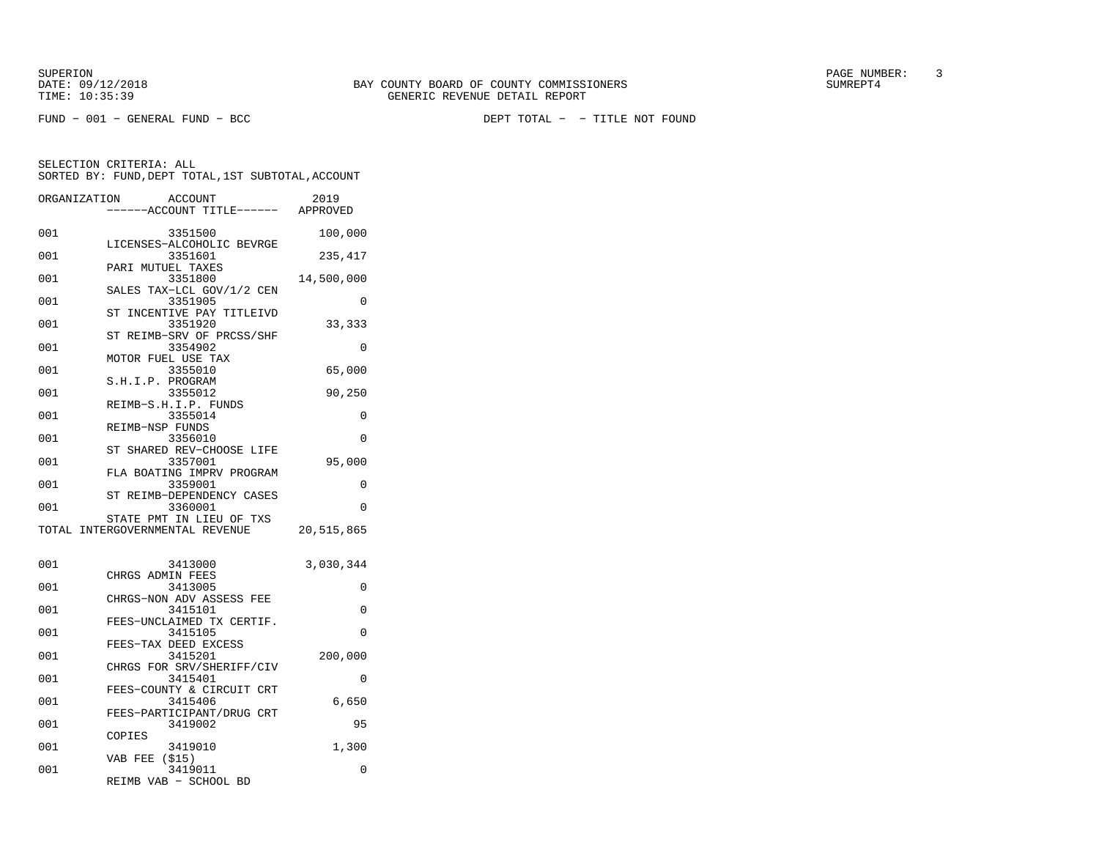FUND − 001 − GENERAL FUND − BCC DEPT TOTAL − − TITLE NOT FOUND

|              | SORTED BY: FUND, DEPT TOTAL, 1ST SUBTOTAL, ACCOUNT          |            |
|--------------|-------------------------------------------------------------|------------|
| ORGANIZATION | ACCOUNT<br>-----ACCOUNT TITLE------ APPROVED                | 2019       |
| 001          | 3351500                                                     | 100,000    |
| 001          | LICENSES-ALCOHOLIC BEVRGE<br>3351601                        | 235,417    |
| 001          | PARI MUTUEL TAXES<br>3351800                                | 14,500,000 |
| 001          | SALES TAX-LCL GOV/1/2 CEN<br>3351905                        | 0          |
| 001          | ST INCENTIVE PAY TITLEIVD<br>3351920                        | 33,333     |
| 001          | ST REIMB-SRV OF PRCSS/SHF<br>3354902                        | 0          |
| 001          | MOTOR FUEL USE TAX<br>3355010                               | 65,000     |
| 001          | S.H.I.P. PROGRAM<br>3355012                                 | 90,250     |
| 001          | REIMB-S.H.I.P. FUNDS<br>3355014                             | 0          |
| 001          | REIMB-NSP FUNDS<br>3356010                                  | 0          |
| 001          | ST SHARED REV-CHOOSE LIFE<br>3357001                        | 95,000     |
| 001          | FLA BOATING IMPRV PROGRAM<br>3359001                        | 0          |
| 001          | ST REIMB-DEPENDENCY CASES<br>3360001                        | 0          |
|              | STATE PMT IN LIEU OF TXS<br>TOTAL INTERGOVERNMENTAL REVENUE | 20,515,865 |
| 001          | 3413000<br>CHRGS ADMIN FEES                                 | 3,030,344  |
| 001          | 3413005<br>CHRGS-NON ADV ASSESS FEE                         | 0          |
| 001          | 3415101<br>FEES-UNCLAIMED TX CERTIF.                        | 0          |
| 001          | 3415105<br>FEES-TAX DEED EXCESS                             | 0          |
| 001          | 3415201<br>CHRGS FOR SRV/SHERIFF/CIV                        | 200,000    |
| 001          | 3415401<br>FEES-COUNTY & CIRCUIT CRT                        | 0          |
| 001          | 3415406<br>FEES-PARTICIPANT/DRUG CRT                        | 6,650      |
| 001          | 3419002<br>COPIES                                           | 95         |
| 001          | 3419010<br>(515)<br>VAB FEE                                 | 1,300      |
| 001          | 3419011<br>REIMB VAB - SCHOOL BD                            | 0          |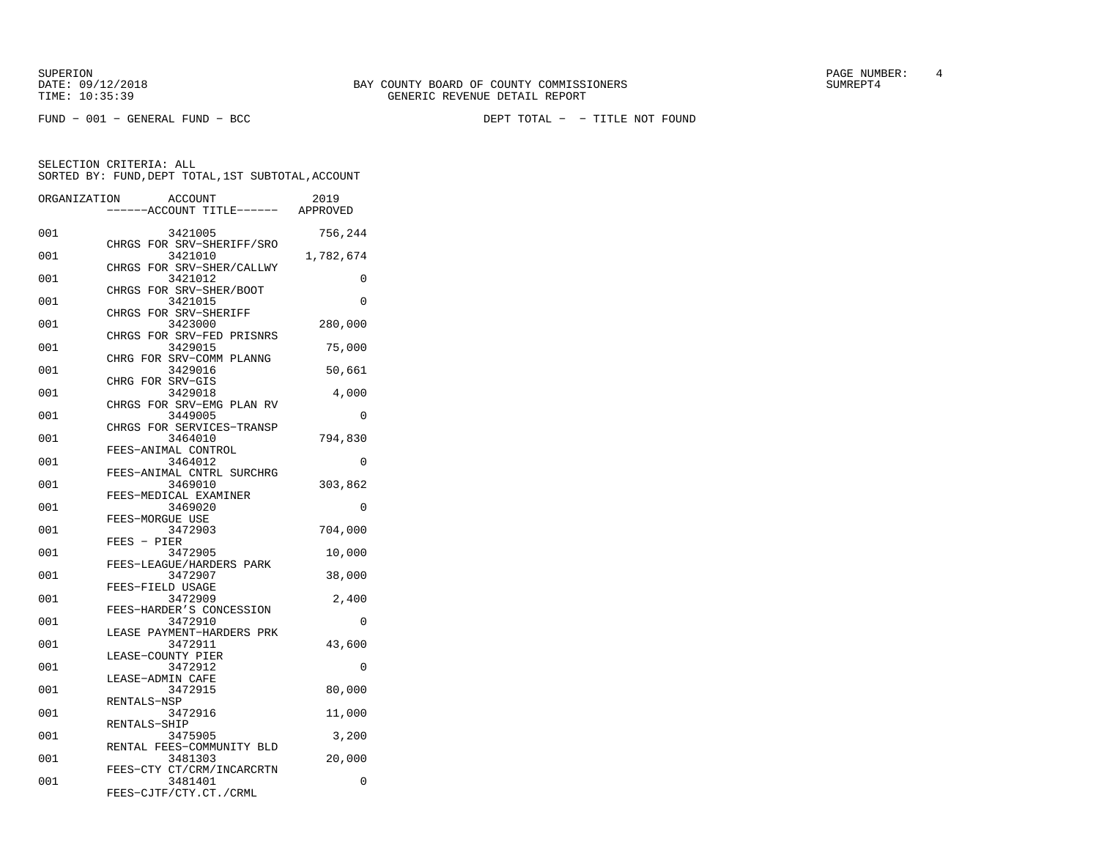FUND − 001 − GENERAL FUND − BCC DEPT TOTAL − − TITLE NOT FOUND

|              |                           | SORTED BY: FUND, DEPT TOTAL, 1ST SUBTOTAL, ACCOUNT |  |
|--------------|---------------------------|----------------------------------------------------|--|
| ORGANIZATION | ACCOUNT                   | 2019                                               |  |
|              | ------ACCOUNT TITLE------ | APPROVED                                           |  |

| 001 | 3421005                              | 756,244   |
|-----|--------------------------------------|-----------|
| 001 | CHRGS FOR SRV-SHERIFF/SRO<br>3421010 | 1,782,674 |
| 001 | CHRGS FOR SRV-SHER/CALLWY<br>3421012 | 0         |
| 001 | CHRGS FOR SRV-SHER/BOOT<br>3421015   | $\Omega$  |
| 001 | CHRGS FOR SRV-SHERIFF<br>3423000     | 280,000   |
| 001 | CHRGS FOR SRV-FED PRISNRS<br>3429015 | 75,000    |
| 001 | CHRG FOR SRV-COMM PLANNG<br>3429016  |           |
|     | CHRG FOR SRV-GIS                     | 50,661    |
| 001 | 3429018<br>CHRGS FOR SRV-EMG PLAN RV | 4,000     |
| 001 | 3449005<br>CHRGS FOR SERVICES-TRANSP | 0         |
| 001 | 3464010<br>FEES-ANIMAL CONTROL       | 794,830   |
| 001 | 3464012<br>FEES-ANIMAL CNTRL SURCHRG | $\Omega$  |
| 001 | 3469010                              | 303,862   |
| 001 | FEES-MEDICAL EXAMINER<br>3469020     | 0         |
| 001 | FEES-MORGUE USE<br>3472903           | 704,000   |
| 001 | FEES - PIER<br>3472905               | 10,000    |
| 001 | FEES-LEAGUE/HARDERS PARK<br>3472907  | 38,000    |
| 001 | FEES-FIELD USAGE<br>3472909          | 2,400     |
| 001 | FEES-HARDER'S CONCESSION<br>3472910  | $\Omega$  |
| 001 | LEASE PAYMENT-HARDERS PRK<br>3472911 | 43,600    |
|     | LEASE-COUNTY PIER                    |           |
| 001 | 3472912<br>LEASE-ADMIN CAFE          | 0         |
| 001 | 3472915<br>RENTALS-NSP               | 80,000    |
| 001 | 3472916<br>RENTALS-SHIP              | 11,000    |
| 001 | 3475905<br>RENTAL FEES-COMMUNITY BLD | 3,200     |
| 001 | 3481303<br>FEES-CTY CT/CRM/INCARCRTN | 20,000    |
| 001 | 3481401<br>FEES-CJTF/CTY.CT./CRML    | 0         |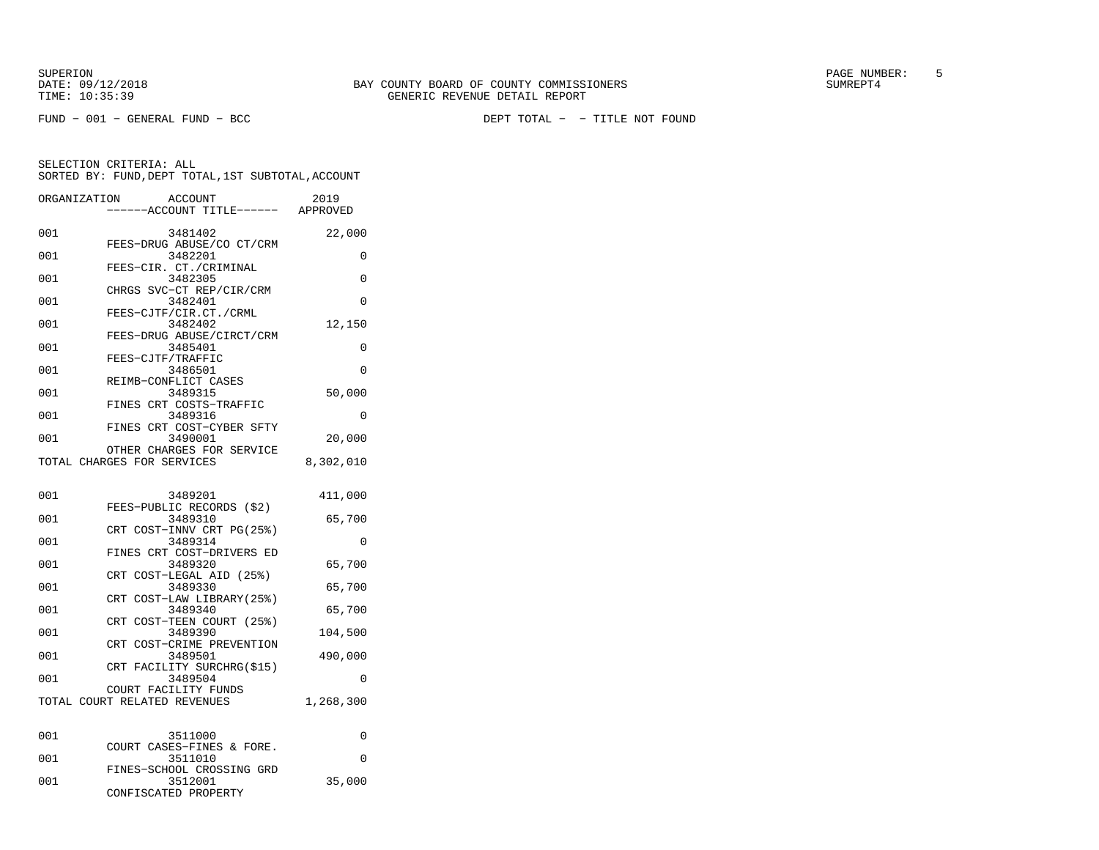DATE:  $09/12/2018$  SUMREPT4 TIME: 10:35:39 GENERIC REVENUE DETAIL REPORT

SUPERION PAGE NUMBER: 5

|              | SORTED BY: FUND, DEPT TOTAL, 1ST SUBTOTAL, ACCOUNT |           |
|--------------|----------------------------------------------------|-----------|
| ORGANIZATION | ACCOUNT<br>----ACCOUNT TITLE------ APPROVED        | 2019      |
| 001          | 3481402                                            | 22,000    |
| 001          | FEES-DRUG ABUSE/CO CT/CRM<br>3482201               | 0         |
| 001          | FEES-CIR. CT./CRIMINAL<br>3482305                  | 0         |
| 001          | CHRGS SVC-CT REP/CIR/CRM<br>3482401                | 0         |
| 001          | FEES-CJTF/CIR.CT./CRML<br>3482402                  | 12,150    |
| 001          | FEES-DRUG ABUSE/CIRCT/CRM<br>3485401               | 0         |
| 001          | FEES-CJTF/TRAFFIC<br>3486501                       | 0         |
| 001          | REIMB-CONFLICT CASES<br>3489315                    | 50,000    |
|              | FINES CRT COSTS-TRAFFIC                            |           |
| 001          | 3489316<br>FINES CRT COST-CYBER SFTY               | 0         |
| 001          | 3490001<br>OTHER CHARGES FOR SERVICE               | 20,000    |
|              | TOTAL CHARGES FOR SERVICES                         | 8,302,010 |
| 001          | 3489201                                            | 411,000   |
| 001          | FEES-PUBLIC RECORDS (\$2)<br>3489310               | 65,700    |
| 001          | CRT COST-INNV CRT PG(25%)<br>3489314               | 0         |
| 001          | FINES CRT COST-DRIVERS ED<br>3489320               | 65,700    |
| 001          | COST-LEGAL AID (25%)<br>CRT<br>3489330             | 65,700    |
|              | CRT COST-LAW LIBRARY(25%)                          |           |
| 001          | 3489340<br>CRT COST-TEEN COURT (25%)               | 65,700    |
| 001          | 3489390<br>CRT COST-CRIME PREVENTION               | 104,500   |
| 001          | 3489501<br>FACILITY SURCHRG(\$15)<br>CRT           | 490,000   |
| 001          | 3489504<br>COURT FACILITY FUNDS                    | 0         |
|              | TOTAL COURT RELATED REVENUES                       | 1,268,300 |
| 001          | 3511000                                            | 0         |
| 001          | COURT CASES-FINES & FORE.<br>3511010               | 0         |
| 001          | FINES-SCHOOL CROSSING GRD<br>3512001               | 35,000    |
|              | CONFISCATED PROPERTY                               |           |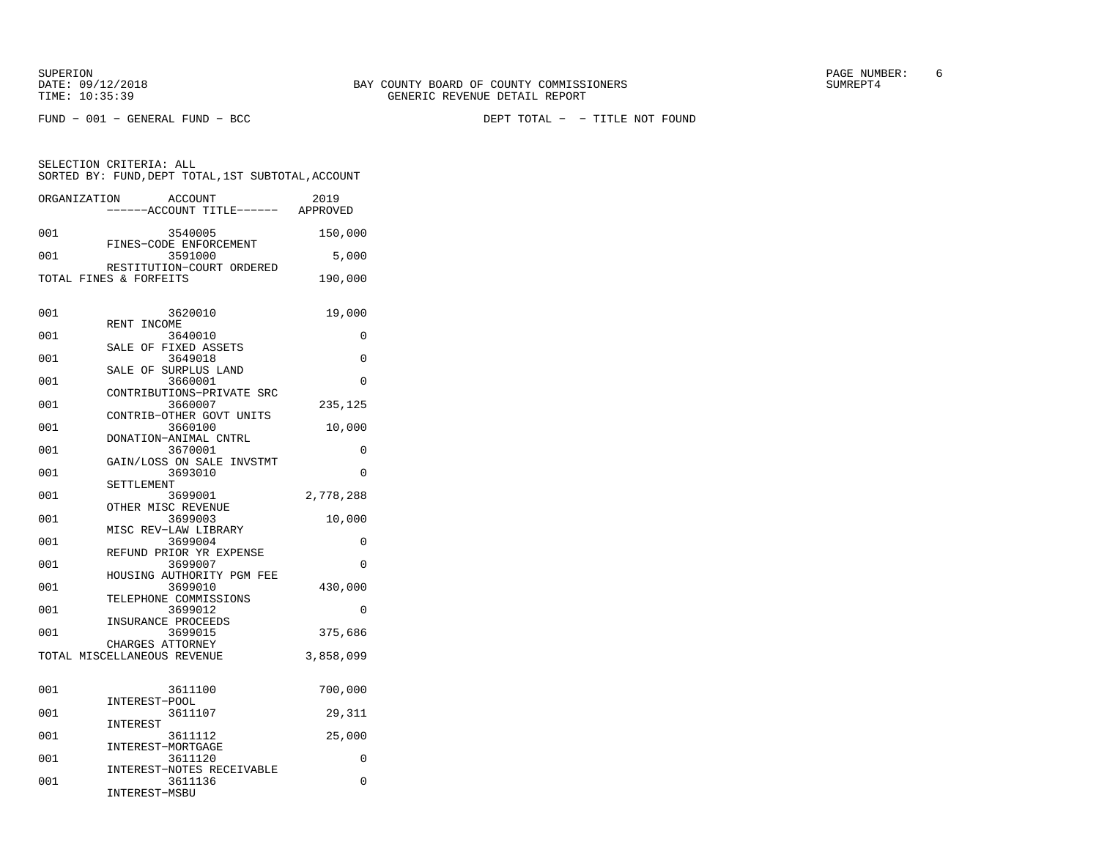SELECTION CRITERIA: ALL

SUPERION PAGE NUMBER: 6

FUND − 001 − GENERAL FUND − BCC DEPT TOTAL − − TITLE NOT FOUND

 SORTED BY: FUND,DEPT TOTAL,1ST SUBTOTAL,ACCOUNTORGANIZATION ACCOUNT 2019 −−−−−−ACCOUNT TITLE−−−−−− APPROVED001 3540005 150,000 FINES−CODE ENFORCEMENT001 3591000 5,000

|     | RESTITUTION-COURT ORDERED            |           |
|-----|--------------------------------------|-----------|
|     | TOTAL FINES & FORFEITS               | 190,000   |
|     |                                      |           |
| 001 | 3620010                              | 19,000    |
| 001 | RENT INCOME                          |           |
|     | 3640010<br>SALE OF FIXED ASSETS      | 0         |
| 001 | 3649018                              | $\Omega$  |
|     | SALE OF SURPLUS LAND                 |           |
| 001 | 3660001<br>CONTRIBUTIONS-PRIVATE SRC | $\Omega$  |
| 001 | 3660007                              | 235,125   |
|     | CONTRIB-OTHER GOVT UNITS             |           |
| 001 | 3660100<br>DONATION-ANIMAL CNTRL     | 10,000    |
| 001 | 3670001                              | 0         |
|     | GAIN/LOSS ON SALE INVSTMT            |           |
| 001 | 3693010<br>SETTLEMENT                | $\Omega$  |
| 001 | 3699001                              | 2,778,288 |
|     | OTHER MISC REVENUE                   |           |
| 001 | 3699003                              | 10,000    |
| 001 | MISC REV-LAW LIBRARY<br>3699004      | 0         |
|     | REFUND PRIOR YR EXPENSE              |           |
| 001 | 3699007                              | $\Omega$  |
| 001 | HOUSING AUTHORITY PGM FEE<br>3699010 | 430,000   |
|     | TELEPHONE COMMISSIONS                |           |
| 001 | 3699012                              | $\Omega$  |
| 001 | INSURANCE PROCEEDS<br>3699015        | 375,686   |
|     | CHARGES ATTORNEY                     |           |
|     | TOTAL MISCELLANEOUS REVENUE          | 3,858,099 |
|     |                                      |           |
| 001 | 3611100                              | 700,000   |
|     | INTEREST-POOL                        |           |
| 001 | 3611107                              | 29,311    |
| 001 | INTEREST<br>3611112                  | 25,000    |
|     | INTEREST-MORTGAGE                    |           |
| 001 | 3611120                              | 0         |
| 001 | INTEREST-NOTES RECEIVABLE<br>3611136 | 0         |
|     | INTEREST-MSBU                        |           |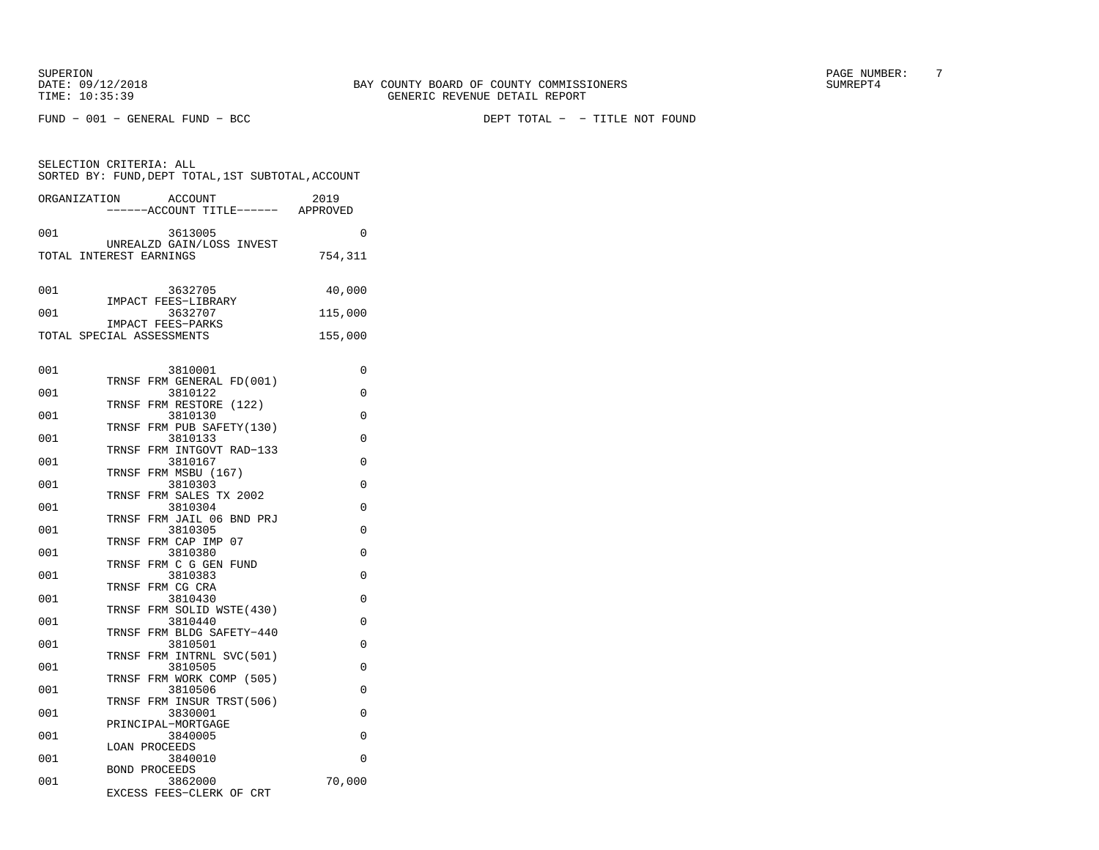FUND − 001 − GENERAL FUND − BCC DEPT TOTAL − − TITLE NOT FOUND

|              | SELECTION CRITERIA: ALL<br>SORTED BY: FUND, DEPT TOTAL, 1ST SUBTOTAL, ACCOUNT |         |
|--------------|-------------------------------------------------------------------------------|---------|
| ORGANIZATION | ACCOUNT<br>----ACCOUNT TITLE------ APPROVED                                   | 2019    |
| 001          | 3613005                                                                       | 0       |
|              | UNREALZD GAIN/LOSS INVEST<br>TOTAL INTEREST EARNINGS                          | 754,311 |
| 001          | 3632705                                                                       | 40,000  |
| 001          | IMPACT FEES-LIBRARY<br>3632707                                                | 115,000 |
|              | IMPACT FEES-PARKS<br>TOTAL SPECIAL ASSESSMENTS                                | 155,000 |
| 001          | 3810001                                                                       | 0       |
| 001          | TRNSF FRM GENERAL FD(001)<br>3810122                                          | 0       |
| 001          | TRNSF FRM RESTORE (122)<br>3810130                                            | 0       |
| 001          | TRNSF FRM PUB SAFETY(130)<br>3810133                                          | 0       |
|              | TRNSF FRM INTGOVT RAD-133                                                     |         |
| 001          | 3810167<br>TRNSF FRM MSBU (167)                                               | 0       |
| 001          | 3810303<br>TRNSF FRM SALES TX 2002                                            | 0       |
| 001          | 3810304<br>TRNSF FRM JAIL 06 BND PRJ                                          | 0       |
| 001          | 3810305                                                                       | 0       |
| 001          | TRNSF FRM CAP IMP 07<br>3810380                                               | 0       |
| 001          | TRNSF FRM C G GEN FUND<br>3810383                                             | 0       |
| 001          | TRNSF FRM CG CRA<br>3810430                                                   | 0       |
| 001          | TRNSF FRM SOLID WSTE(430)<br>3810440                                          | 0       |
|              | TRNSF FRM BLDG SAFETY-440                                                     |         |
| 001          | 3810501<br>TRNSF FRM INTRNL SVC(501)                                          | 0       |
| 001          | 3810505<br>TRNSF FRM WORK COMP (505)                                          | 0       |
| 001          | 3810506<br>TRNSF FRM INSUR TRST(506)                                          | 0       |
| 001          | 3830001                                                                       | 0       |
| 001          | PRINCIPAL-MORTGAGE<br>3840005                                                 | 0       |
| 001          | <b>LOAN PROCEEDS</b><br>3840010                                               | 0       |
|              | <b>BOND PROCEEDS</b>                                                          |         |
| 001          | 3862000<br>EXCESS FEES-CLERK OF CRT                                           | 70,000  |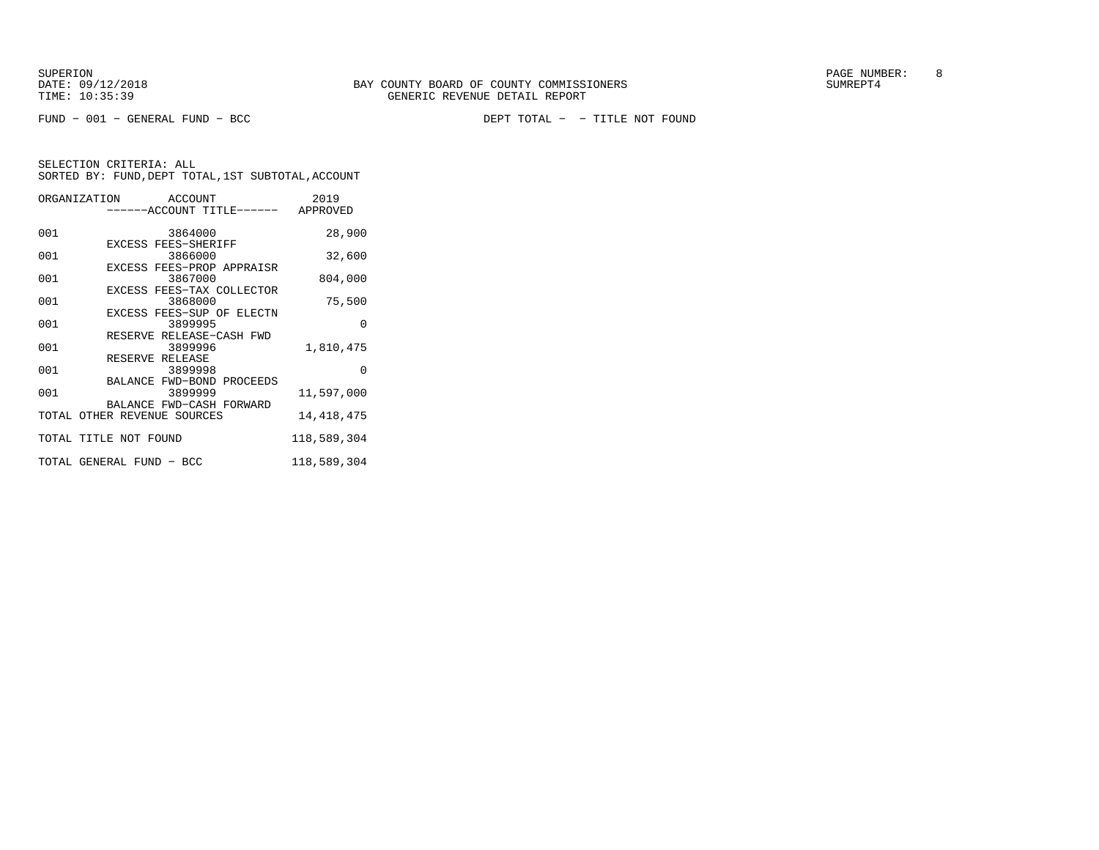DATE:  $09/12/2018$  SUMREPT4 TIME: 10:35:39 GENERIC REVENUE DETAIL REPORT

SUPERION PAGE NUMBER: 8

FUND − 001 − GENERAL FUND − BCC DEPT TOTAL − − TITLE NOT FOUND

|     | ORGANIZATION ACCOUNT<br>------ACCOUNT TITLE------ APPROVED       | 2019         |
|-----|------------------------------------------------------------------|--------------|
| 001 | 3864000                                                          | 28,900       |
| 001 | EXCESS FEES-SHERIFF<br>3866000                                   | 32,600       |
| 001 | EXCESS FEES-PROP APPRAISR<br>3867000                             | 804,000      |
| 001 | EXCESS FEES-TAX COLLECTOR<br>3868000                             | 75,500       |
| 001 | EXCESS FEES-SUP OF ELECTN<br>3899995<br>RESERVE RELEASE-CASH FWD | $\Omega$     |
| 001 | 3899996<br>RESERVE RELEASE                                       | 1,810,475    |
| 001 | 3899998<br>BALANCE FWD-BOND PROCEEDS                             | $\Omega$     |
| 001 | 3899999<br>BALANCE FWD-CASH FORWARD                              | 11,597,000   |
|     | TOTAL OTHER REVENUE SOURCES                                      | 14, 418, 475 |
|     | TOTAL TITLE NOT FOUND                                            | 118,589,304  |
|     | TOTAL GENERAL FUND - BCC                                         | 118,589,304  |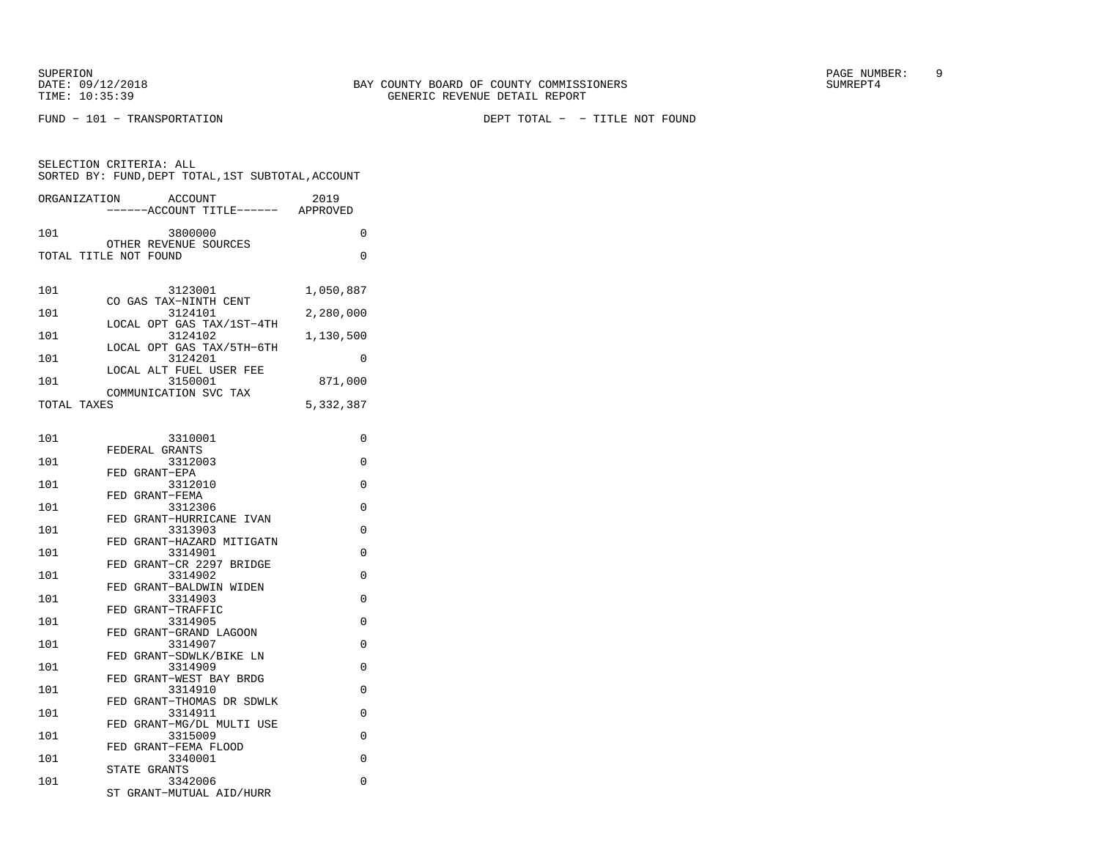SELECTION CRITERIA: ALL

| ORGANIZATION          | <b>ACCOUNT</b><br>-----ACCOUNT TITLE------ | 2019<br>APPROVED |
|-----------------------|--------------------------------------------|------------------|
| 101                   | 3800000                                    | 0                |
| TOTAL TITLE NOT FOUND | OTHER REVENUE SOURCES                      | 0                |
|                       |                                            |                  |
| 101                   | 3123001                                    | 1,050,887        |
|                       | CO GAS TAX-NINTH CENT                      |                  |
| 101                   | 3124101<br>LOCAL OPT GAS TAX/1ST-4TH       | 2,280,000        |
| 101                   | 3124102                                    | 1,130,500        |
| 101                   | LOCAL OPT GAS TAX/5TH-6TH<br>3124201       | 0                |
|                       | LOCAL ALT FUEL USER FEE                    |                  |
| 101                   | 3150001<br>COMMUNICATION SVC TAX           | 871,000          |
| TOTAL TAXES           |                                            | 5,332,387        |
|                       |                                            |                  |
| 101                   | 3310001                                    | $\Omega$         |
| 101                   | FEDERAL GRANTS<br>3312003                  | 0                |
|                       | FED GRANT-EPA                              |                  |
| 101                   | 3312010                                    | $\Omega$         |
| 101                   | FED GRANT-FEMA<br>3312306                  | 0                |
|                       | FED GRANT-HURRICANE IVAN                   |                  |
| 101                   | 3313903<br>FED GRANT-HAZARD MITIGATN       | 0                |
| 101                   | 3314901                                    | 0                |
| 101                   | FED GRANT-CR 2297 BRIDGE<br>3314902        | 0                |
|                       | FED GRANT-BALDWIN WIDEN                    |                  |
| 101                   | 3314903<br>FED GRANT-TRAFFIC               | 0                |
| 101                   | 3314905                                    | 0                |
| 101                   | FED GRANT-GRAND LAGOON<br>3314907          | 0                |
|                       | FED GRANT-SDWLK/BIKE LN                    |                  |
| 101                   | 3314909<br>FED GRANT-WEST BAY BRDG         | $\Omega$         |
| 101                   | 3314910                                    | $\Omega$         |
|                       | FED GRANT-THOMAS DR SDWLK                  |                  |
| 101                   | 3314911<br>FED GRANT-MG/DL MULTI USE       | $\Omega$         |
| 101                   | 3315009                                    | 0                |
| 101                   | FED GRANT-FEMA FLOOD<br>3340001            | 0                |
|                       | STATE GRANTS                               |                  |
| 101                   | 3342006<br>ST GRANT-MUTUAL AID/HURR        | 0                |
|                       |                                            |                  |

SORTED BY: FUND,DEPT TOTAL,1ST SUBTOTAL,ACCOUNT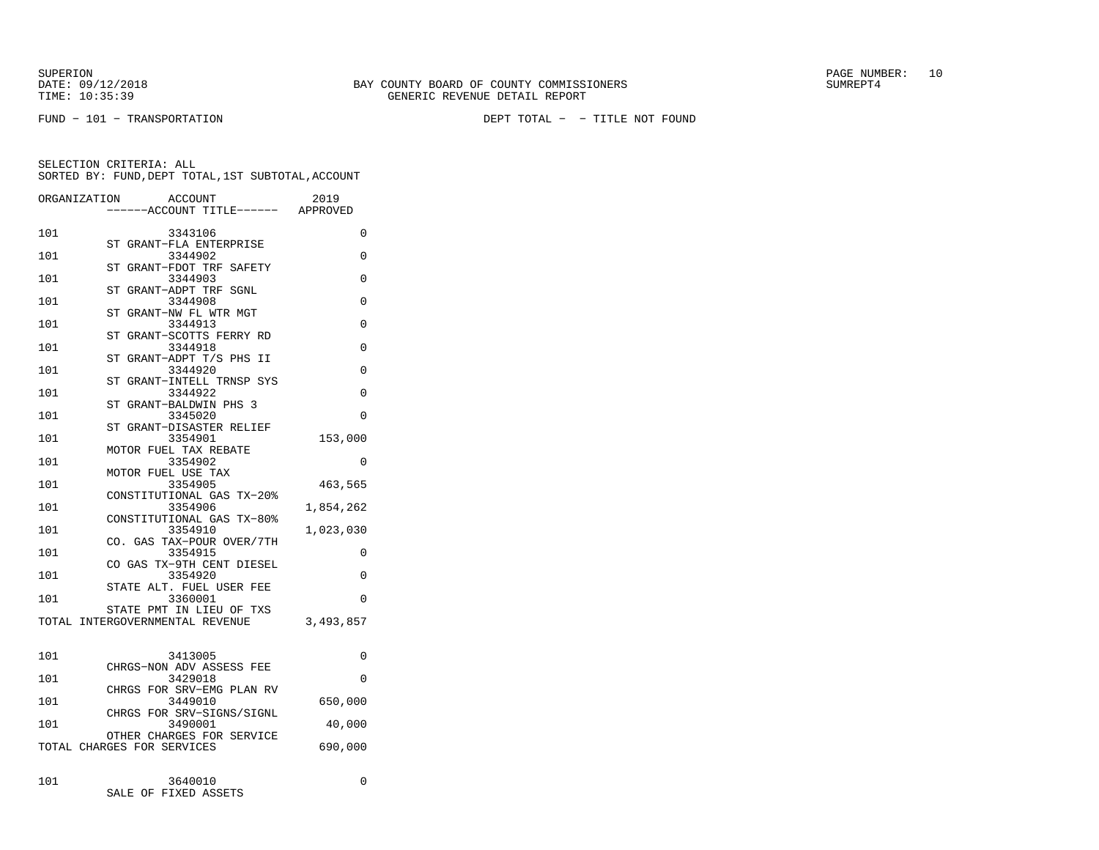SUPERION<br>
BAY COUNTY BOARD OF COUNTY COMMISSIONERS
BATE: 09/12/2018
SUMREPT4

FUND − 101 − TRANSPORTATION DEPT TOTAL − − TITLE NOT FOUND

| ORGANIZATION | ACCOUNT                                                 | 2019      |
|--------------|---------------------------------------------------------|-----------|
|              | ---ACCOUNT TITLE------ APPROVED                         |           |
| 101          | 3343106                                                 | 0         |
|              | ST GRANT-FLA ENTERPRISE                                 |           |
| 101          | 3344902<br>GRANT-FDOT TRF SAFETY<br>ST                  | 0         |
| 101          | 3344903                                                 | $\Omega$  |
|              | GRANT-ADPT TRF SGNL<br>ST                               |           |
| 101          | 3344908<br>GRANT-NW FL WTR MGT<br>ST                    | 0         |
| 101          | 3344913                                                 | 0         |
|              | GRANT-SCOTTS FERRY RD<br>ST                             |           |
| 101          | 3344918<br>ST GRANT-ADPT T/S PHS II                     | $\Omega$  |
| 101          | 3344920                                                 | $\Omega$  |
|              | ST GRANT-INTELL TRNSP SYS                               |           |
| 101          | 3344922<br>GRANT-BALDWIN PHS 3<br>ST                    | 0         |
| 101          | 3345020                                                 | 0         |
|              | ST GRANT-DISASTER RELIEF                                |           |
| 101          | 3354901<br>MOTOR FUEL TAX REBATE                        | 153,000   |
| 101          | 3354902                                                 | 0         |
|              | MOTOR FUEL USE TAX                                      |           |
| 101          | 3354905                                                 | 463,565   |
| 101          | CONSTITUTIONAL GAS TX-20%<br>3354906                    | 1,854,262 |
|              | CONSTITUTIONAL GAS TX-80%                               |           |
| 101          | 3354910                                                 | 1,023,030 |
| 101          | CO. GAS TAX-POUR OVER/7TH<br>3354915                    | 0         |
|              | CO GAS TX-9TH CENT DIESEL                               |           |
| 101          | 3354920                                                 | 0         |
| 101          | STATE ALT. FUEL USER FEE<br>3360001                     | $\Omega$  |
|              | STATE PMT IN LIEU OF TXS                                |           |
|              | TOTAL INTERGOVERNMENTAL REVENUE                         | 3,493,857 |
|              |                                                         |           |
| 101          | 3413005                                                 | 0         |
|              | CHRGS-NON ADV ASSESS FEE                                |           |
| 101          | 3429018                                                 | $\Omega$  |
| 101          | CHRGS FOR SRV-EMG PLAN RV<br>3449010                    | 650,000   |
|              | CHRGS FOR SRV-SIGNS/SIGNL                               |           |
| 101          | 3490001                                                 | 40,000    |
|              | OTHER CHARGES FOR SERVICE<br>TOTAL CHARGES FOR SERVICES | 690,000   |
|              |                                                         |           |
|              |                                                         |           |
| 101          | 3640010<br>SALE OF FIXED ASSETS                         | 0         |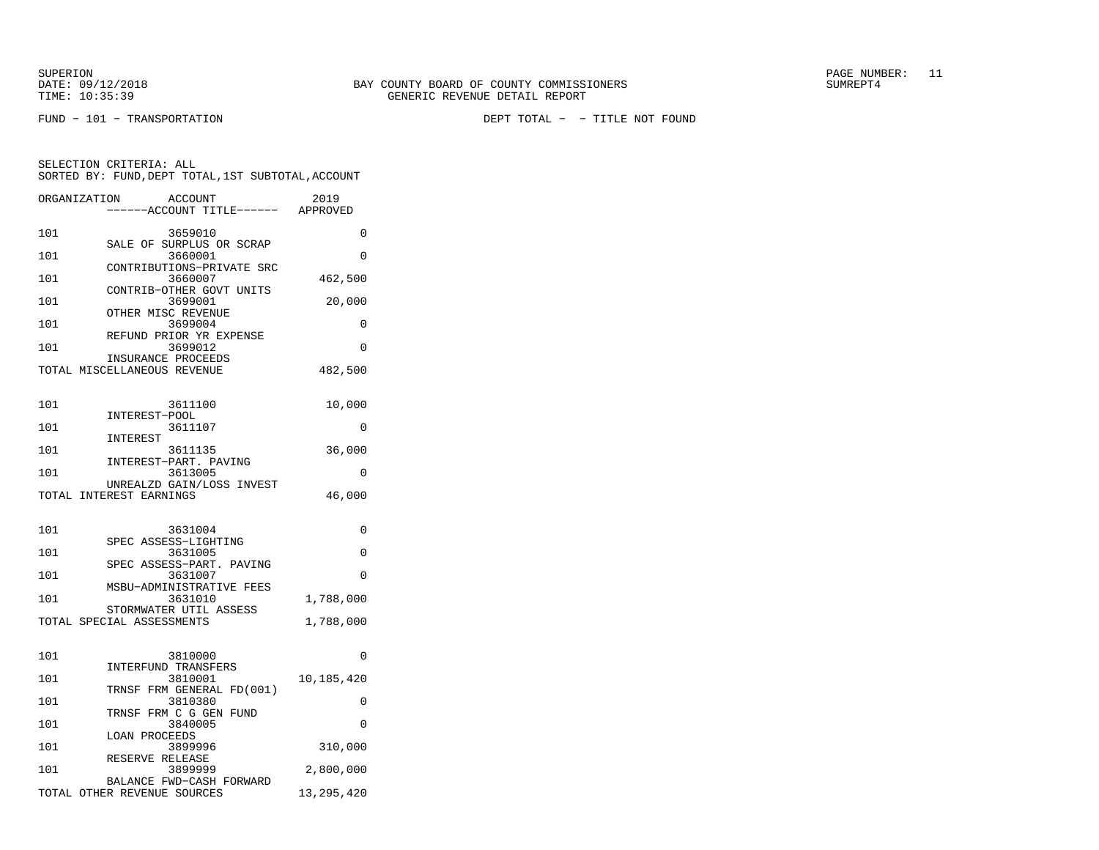SELECTION CRITERIA: ALL

FUND − 101 − TRANSPORTATION DEPT TOTAL − − TITLE NOT FOUND

| 101 | 3659010<br>SALE OF SURPLUS OR SCRAP                  |            |
|-----|------------------------------------------------------|------------|
| 101 | 3660001                                              |            |
| 101 | CONTRIBUTIONS-PRIVATE SRC<br>3660007                 | 462,500    |
| 101 | CONTRIB-OTHER GOVT UNITS<br>3699001                  | 20,000     |
| 101 | OTHER MISC REVENUE<br>3699004                        |            |
| 101 | REFUND PRIOR YR EXPENSE<br>3699012                   |            |
|     | INSURANCE PROCEEDS<br>TOTAL MISCELLANEOUS REVENUE    | 482,500    |
| 101 | 3611100                                              | 10,000     |
| 101 | INTEREST-POOL<br>3611107                             |            |
| 101 | INTEREST<br>3611135                                  | 36,000     |
| 101 | INTEREST-PART. PAVING<br>3613005                     |            |
|     | UNREALZD GAIN/LOSS INVEST<br>TOTAL INTEREST EARNINGS | 46,000     |
| 101 | 3631004                                              |            |
| 101 | SPEC ASSESS-LIGHTING<br>3631005                      |            |
| 101 | SPEC ASSESS-PART. PAVING<br>3631007                  |            |
| 101 | MSBU-ADMINISTRATIVE FEES<br>3631010                  | 1,788,000  |
|     | STORMWATER UTIL ASSESS<br>TOTAL SPECIAL ASSESSMENTS  | 1,788,000  |
|     |                                                      |            |
| 101 | 3810000                                              |            |
| 101 | INTERFUND TRANSFERS<br>3810001                       |            |
| 101 | TRNSF FRM GENERAL FD(001)<br>3810380                 |            |
| 101 | TRNSF FRM C G GEN FUND<br>3840005                    | 10,185,420 |
| 101 | LOAN PROCEEDS<br>3899996                             | 310,000    |
| 101 | RESERVE RELEASE<br>3899999                           | 2,800,000  |

 SORTED BY: FUND,DEPT TOTAL,1ST SUBTOTAL,ACCOUNTORGANIZATION ACCOUNT 2019−−−−−−ACCOUNT TITLE−−−−−− APPROVED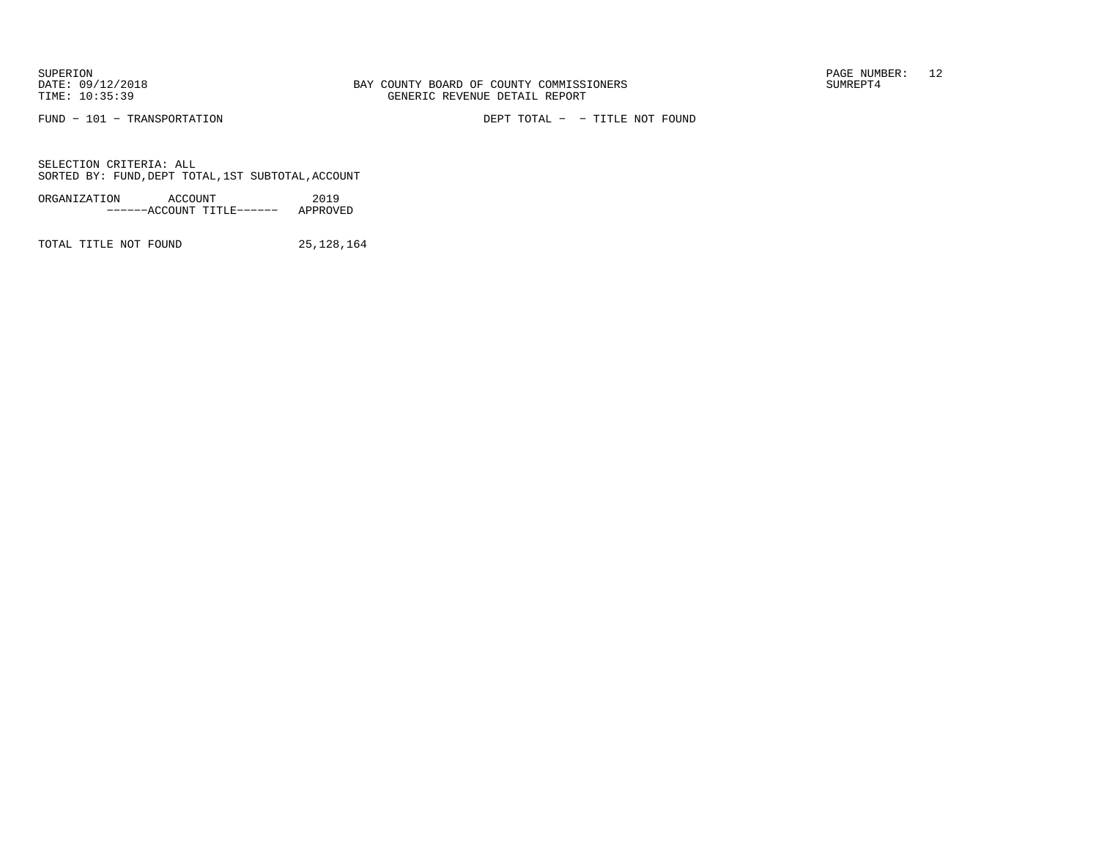SUPERION<br>
BAY COUNTY BOARD OF COUNTY COMMISSIONERS
BATE: 09/12/2018
SUMREPT4

FUND − 101 − TRANSPORTATION DEPT TOTAL − − TITLE NOT FOUND

SELECTION CRITERIA: ALLSORTED BY: FUND,DEPT TOTAL,1ST SUBTOTAL,ACCOUNT

| ORGANIZATION | ACCOUNT |                           | 2019     |
|--------------|---------|---------------------------|----------|
|              |         | ------ACCOUNT TITLE------ | APPROVED |

TOTAL TITLE NOT FOUND 25, 128, 164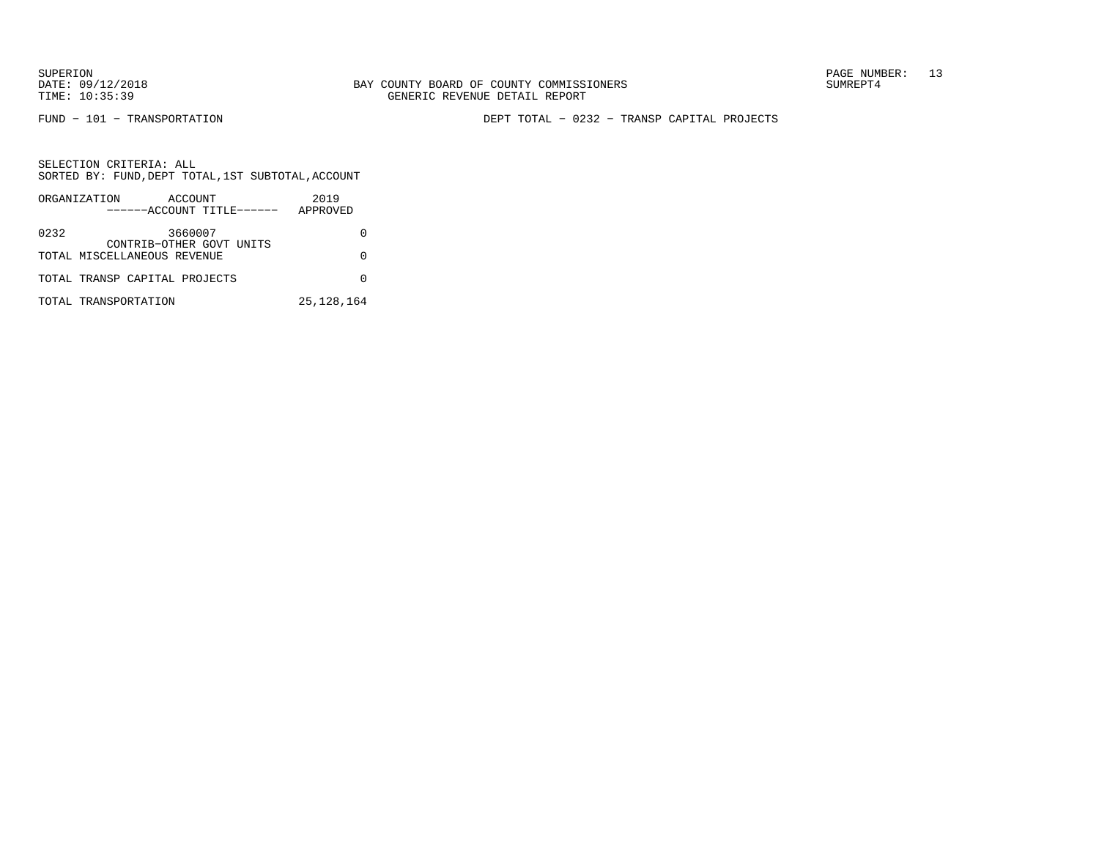FUND − 101 − TRANSPORTATION DEPT TOTAL − 0232 − TRANSP CAPITAL PROJECTS

|      | ORGANIZATION<br>ACCOUNT<br>------ACCOUNT TITLE------ | 2019<br>APPROVED |
|------|------------------------------------------------------|------------------|
| 0232 | 3660007<br>CONTRIB-OTHER GOVT UNITS                  |                  |
|      | TOTAL MISCELLANEOUS REVENUE                          |                  |
|      | TOTAL TRANSP CAPITAL PROJECTS                        |                  |
|      | TOTAL TRANSPORTATION                                 | 25, 128, 164     |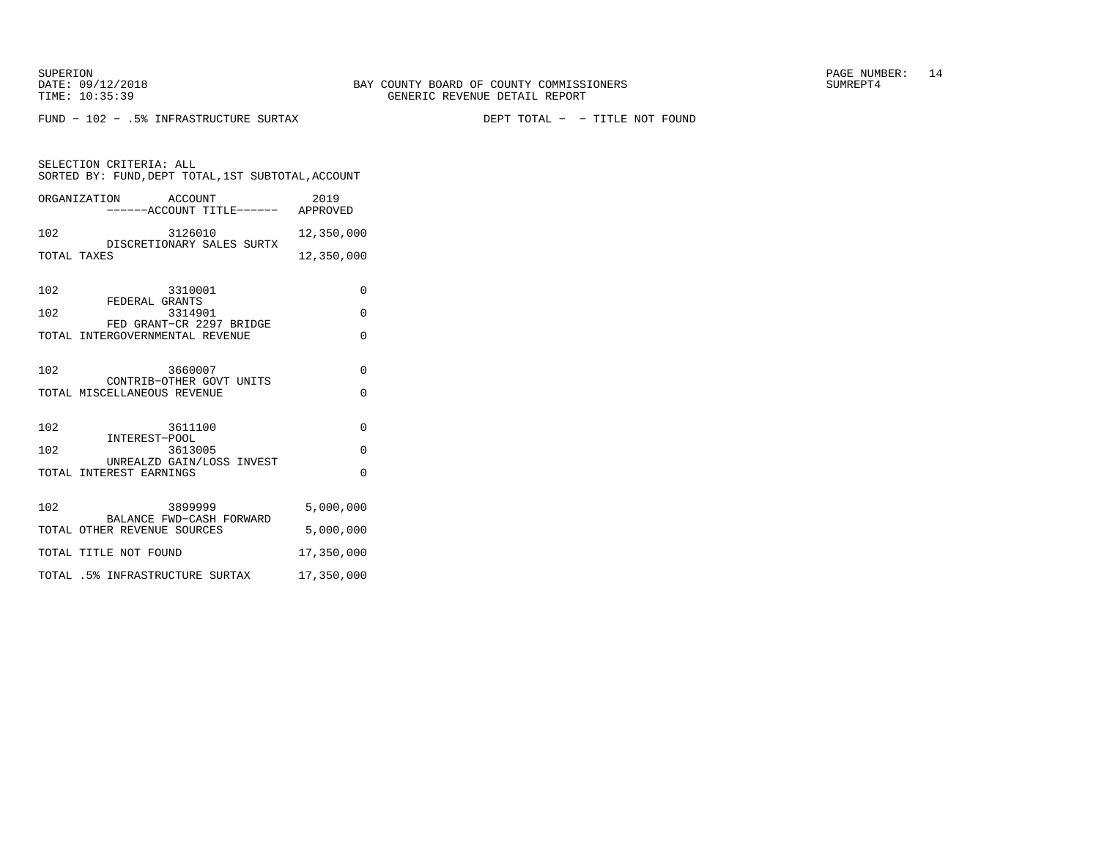FUND − 102 − .5% INFRASTRUCTURE SURTAX DEPT TOTAL − − TITLE NOT FOUND

|     | ORGANIZATION ACCOUNT<br>------ACCOUNT TITLE------ APPROVED  | 2019       |
|-----|-------------------------------------------------------------|------------|
| 102 | 3126010                                                     | 12,350,000 |
|     | DISCRETIONARY SALES SURTX<br>TOTAL TAXES                    | 12,350,000 |
| 102 | 3310001<br>FEDERAL GRANTS                                   | $\Omega$   |
| 102 | 3314901                                                     | $\Omega$   |
|     | FED GRANT-CR 2297 BRIDGE<br>TOTAL INTERGOVERNMENTAL REVENUE | $\Omega$   |
| 102 | 3660007<br>CONTRIB-OTHER GOVT UNITS                         | $\Omega$   |
|     | TOTAL MISCELLANEOUS REVENUE                                 | $\Omega$   |
| 102 | 3611100<br>INTEREST-POOL                                    | $\Omega$   |
| 102 | 3613005<br>UNREALZD GAIN/LOSS INVEST                        | $\Omega$   |
|     | TOTAL INTEREST EARNINGS                                     | $\Omega$   |
| 102 | 3899999<br>BALANCE FWD-CASH FORWARD                         | 5,000,000  |
|     | TOTAL OTHER REVENUE SOURCES                                 | 5,000,000  |
|     | TOTAL TITLE NOT FOUND                                       | 17,350,000 |
|     | TOTAL .5% INFRASTRUCTURE SURTAX                             | 17,350,000 |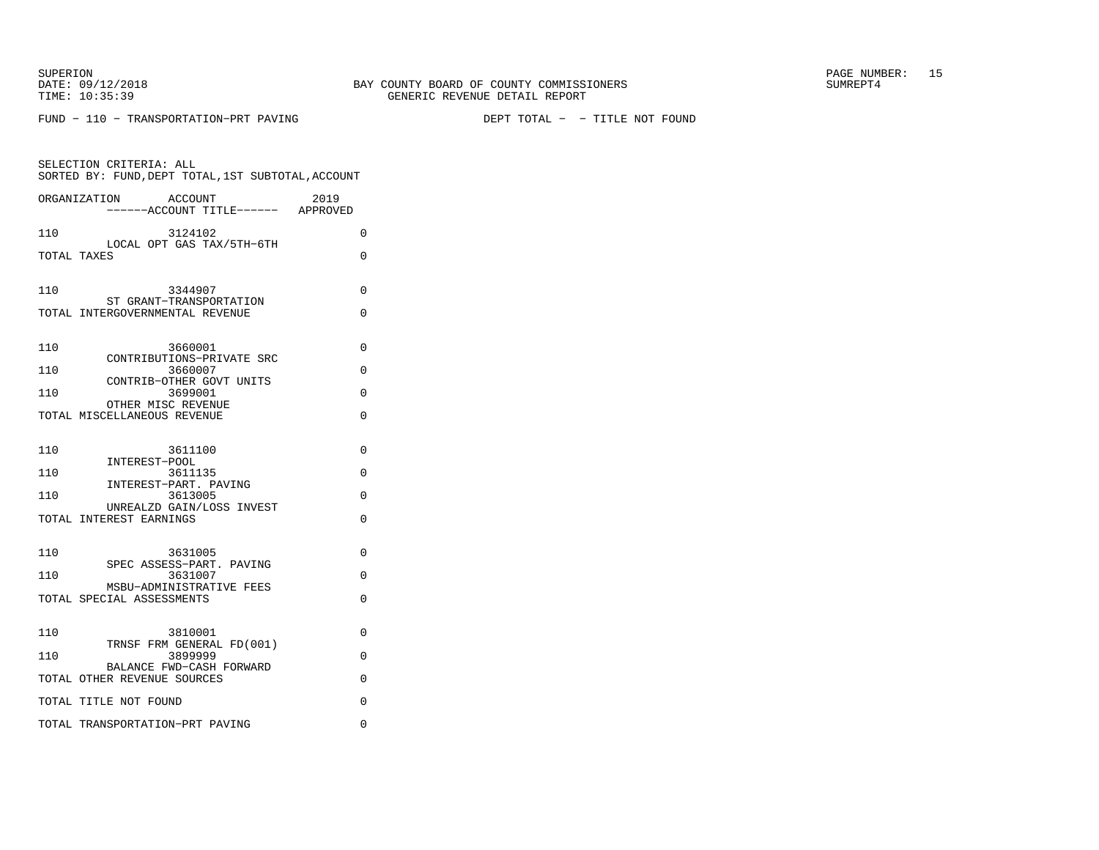FUND − 110 − TRANSPORTATION−PRT PAVING DEPT TOTAL − − TITLE NOT FOUND

| SELECTION CRITERIA: ALL<br>SORTED BY: FUND, DEPT TOTAL, 1ST SUBTOTAL, ACCOUNT |          |
|-------------------------------------------------------------------------------|----------|
| ACCOUNT<br>2019<br>ORGANIZATION<br>-----ACCOUNT TITLE------ APPROVED          |          |
| 3124102<br>110                                                                | 0        |
| LOCAL OPT GAS TAX/5TH-6TH<br>TOTAL TAXES                                      | 0        |
| 110<br>3344907                                                                | 0        |
| ST GRANT-TRANSPORTATION<br>TOTAL INTERGOVERNMENTAL REVENUE                    | $\Omega$ |
| 110<br>3660001                                                                | $\Omega$ |
| CONTRIBUTIONS-PRIVATE SRC<br>110<br>3660007                                   | $\Omega$ |
| CONTRIB-OTHER GOVT UNITS<br>110<br>3699001                                    | 0        |
| OTHER MISC REVENUE<br>TOTAL MISCELLANEOUS REVENUE                             | 0        |
| 110<br>3611100                                                                | 0        |
| INTEREST-POOL<br>110<br>3611135                                               | $\Omega$ |
| INTEREST-PART. PAVING<br>110<br>3613005                                       | $\Omega$ |
| UNREALZD GAIN/LOSS INVEST<br>TOTAL INTEREST EARNINGS                          | 0        |
| 110<br>3631005                                                                | 0        |
| SPEC ASSESS-PART. PAVING<br>110<br>3631007                                    | 0        |
| MSBU-ADMINISTRATIVE FEES<br>TOTAL SPECIAL ASSESSMENTS                         | 0        |
| 3810001<br>110                                                                | 0        |
| TRNSF FRM GENERAL FD(001)<br>110<br>3899999                                   | 0        |
| BALANCE FWD-CASH FORWARD<br>TOTAL OTHER REVENUE SOURCES                       | 0        |
| TOTAL TITLE NOT FOUND                                                         | 0        |
| TOTAL TRANSPORTATION-PRT PAVING                                               | 0        |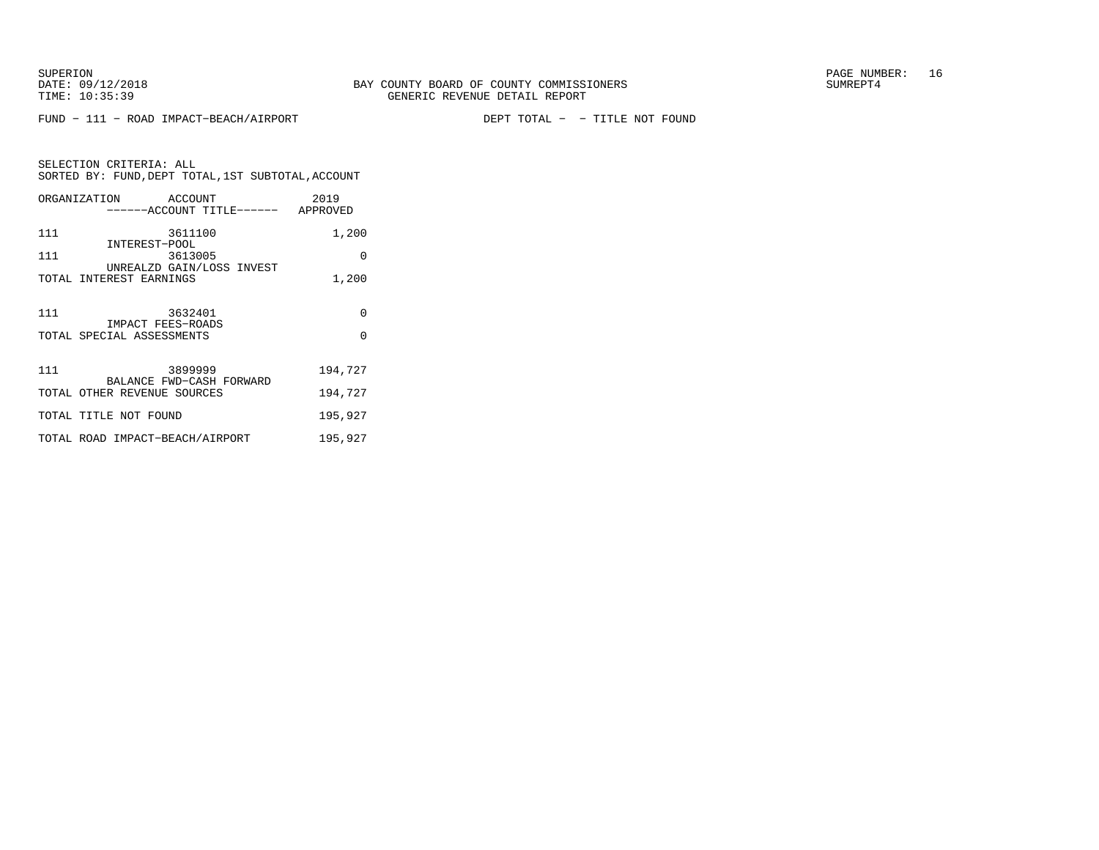FUND − 111 − ROAD IMPACT−BEACH/AIRPORT DEPT TOTAL − − TITLE NOT FOUND

SELECTION CRITERIA: ALL SORTED BY: FUND,DEPT TOTAL,1ST SUBTOTAL,ACCOUNTORGANIZATION ACCOUNT THE CONSIDER

|     | ORGANIZATION ACCOUNT<br>------ACCOUNT TITLE------ APPROVED | 2019     |
|-----|------------------------------------------------------------|----------|
| 111 | 3611100                                                    | 1,200    |
| 111 | INTEREST-POOL<br>3613005                                   | $\Omega$ |
|     | UNREALZD GAIN/LOSS INVEST<br>TOTAL INTEREST EARNINGS       | 1,200    |
| 111 | 3632401                                                    | $\Omega$ |
|     | IMPACT FEES-ROADS<br>TOTAL SPECIAL ASSESSMENTS             | $\Omega$ |
| 111 | 3899999                                                    | 194,727  |
|     | BALANCE FWD-CASH FORWARD<br>TOTAL OTHER REVENUE SOURCES    | 194,727  |
|     | TOTAL TITLE NOT FOUND                                      | 195,927  |
|     | TOTAL ROAD IMPACT-BEACH/AIRPORT                            | 195,927  |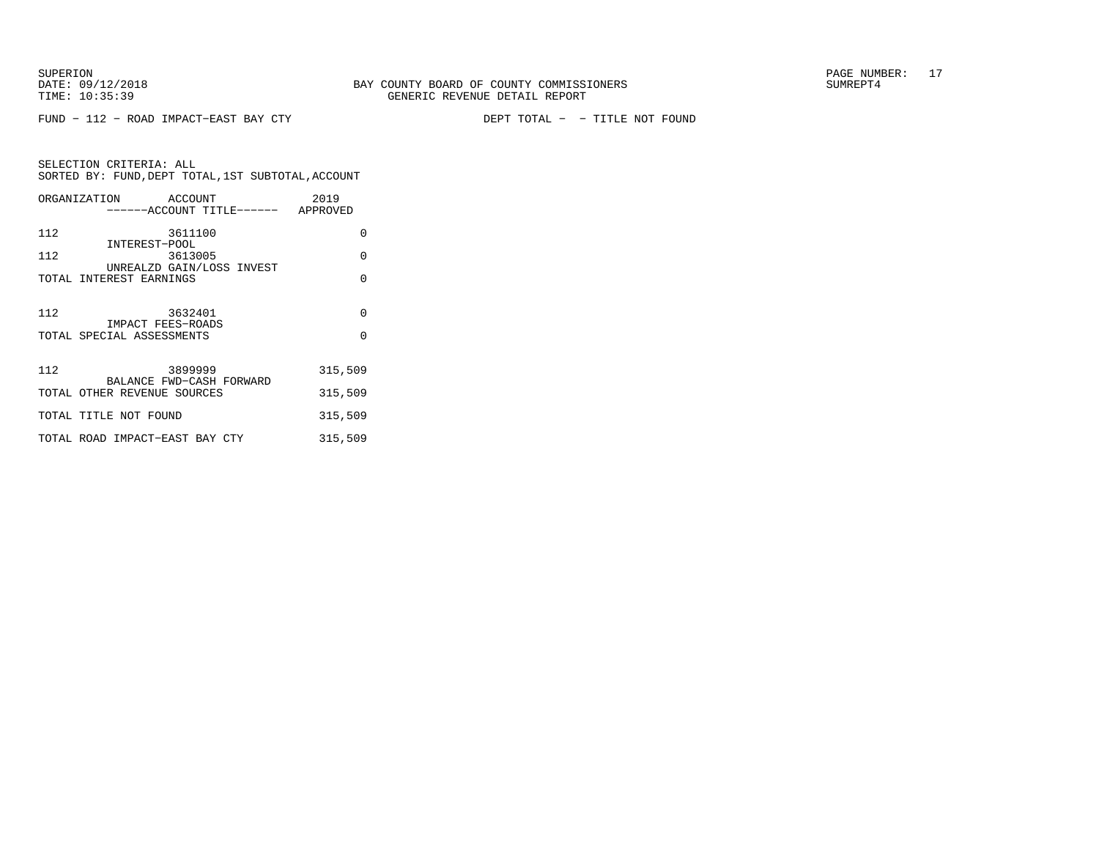FUND − 112 − ROAD IMPACT−EAST BAY CTY DEPT TOTAL − − TITLE NOT FOUND

|     | ORGANIZATION ACCOUNT                                 | ------ACCOUNT TITLE------ APPROVED | 2019    |
|-----|------------------------------------------------------|------------------------------------|---------|
| 112 | 3611100                                              |                                    | 0       |
| 112 | INTEREST-POOL                                        | 3613005                            | 0       |
|     | UNREALZD GAIN/LOSS INVEST<br>TOTAL INTEREST EARNINGS |                                    | 0       |
| 112 | 3632401<br><b>IMPACT FEES-ROADS</b>                  |                                    | 0       |
|     | TOTAL SPECIAL ASSESSMENTS                            |                                    | O       |
| 112 | 3899999<br>BALANCE FWD-CASH FORWARD                  |                                    | 315,509 |
|     | TOTAL OTHER REVENUE SOURCES                          |                                    | 315,509 |
|     | TOTAL TITLE NOT FOUND                                |                                    | 315,509 |
|     | TOTAL ROAD IMPACT-EAST BAY CTY                       |                                    | 315,509 |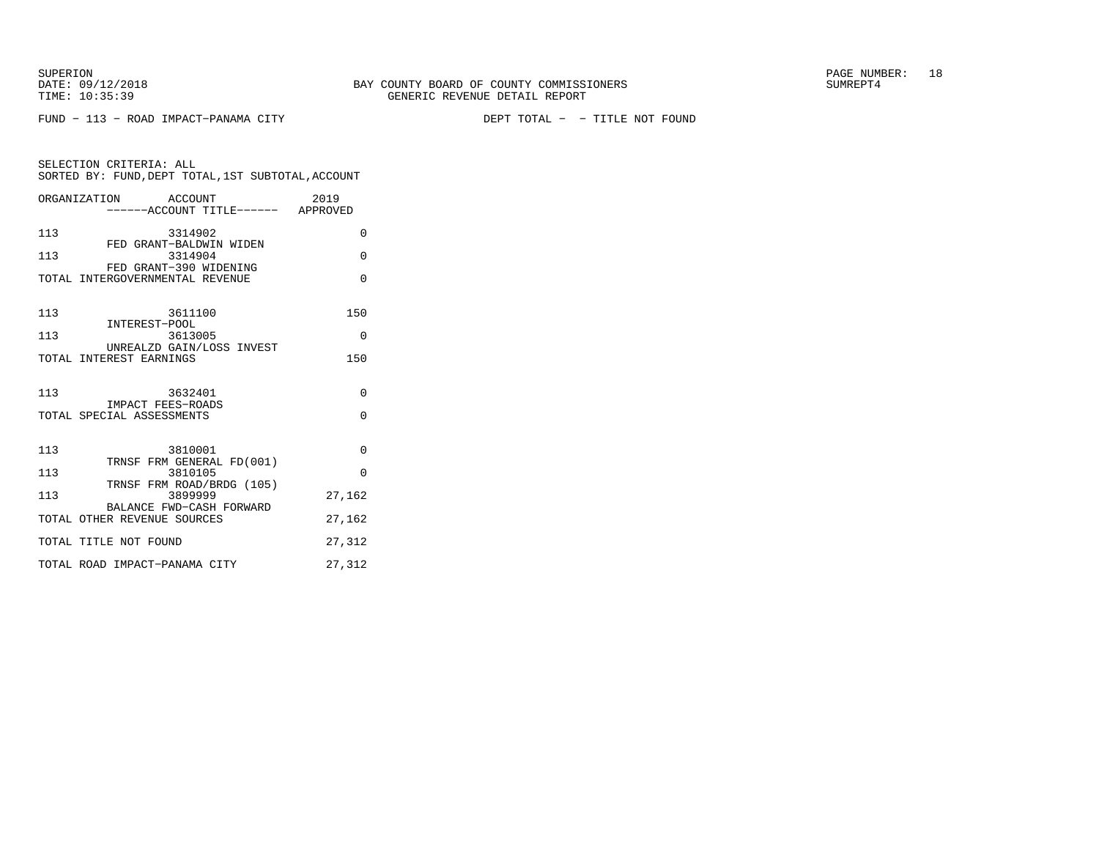SELECTION CRITERIA: ALL

FUND − 113 − ROAD IMPACT−PANAMA CITY DEPT TOTAL − − TITLE NOT FOUND

ORGANIZATION ACCOUNT 2019 −−−−−−ACCOUNT TITLE−−−−−− APPROVED113 3314902 0 FED GRANT−BALDWIN WIDEN 113 3314904 0 FED GRANT−390 WIDENING TOTAL INTERGOVERNMENTAL REVENUE 0 113 3611100 150

SORTED BY: FUND,DEPT TOTAL,1ST SUBTOTAL,ACCOUNT

| ᅩᅩ  | -------<br>INTEREST-POOL                                | ∸◡       |
|-----|---------------------------------------------------------|----------|
| 113 | 3613005                                                 | $\Omega$ |
|     | UNREALZD GAIN/LOSS INVEST<br>TOTAL INTEREST EARNINGS    | 150      |
| 113 | 3632401<br>IMPACT FEES-ROADS                            | $\Omega$ |
|     | TOTAL SPECIAL ASSESSMENTS                               | $\Omega$ |
| 113 | 3810001                                                 | $\Omega$ |
| 113 | TRNSF FRM GENERAL FD(001)<br>3810105                    | $\Omega$ |
| 113 | TRNSF FRM ROAD/BRDG (105)<br>3899999                    | 27,162   |
|     | BALANCE FWD-CASH FORWARD<br>TOTAL OTHER REVENUE SOURCES | 27,162   |
|     | TOTAL TITLE NOT FOUND                                   | 27,312   |
|     | TOTAL ROAD IMPACT-PANAMA CITY                           | 27,312   |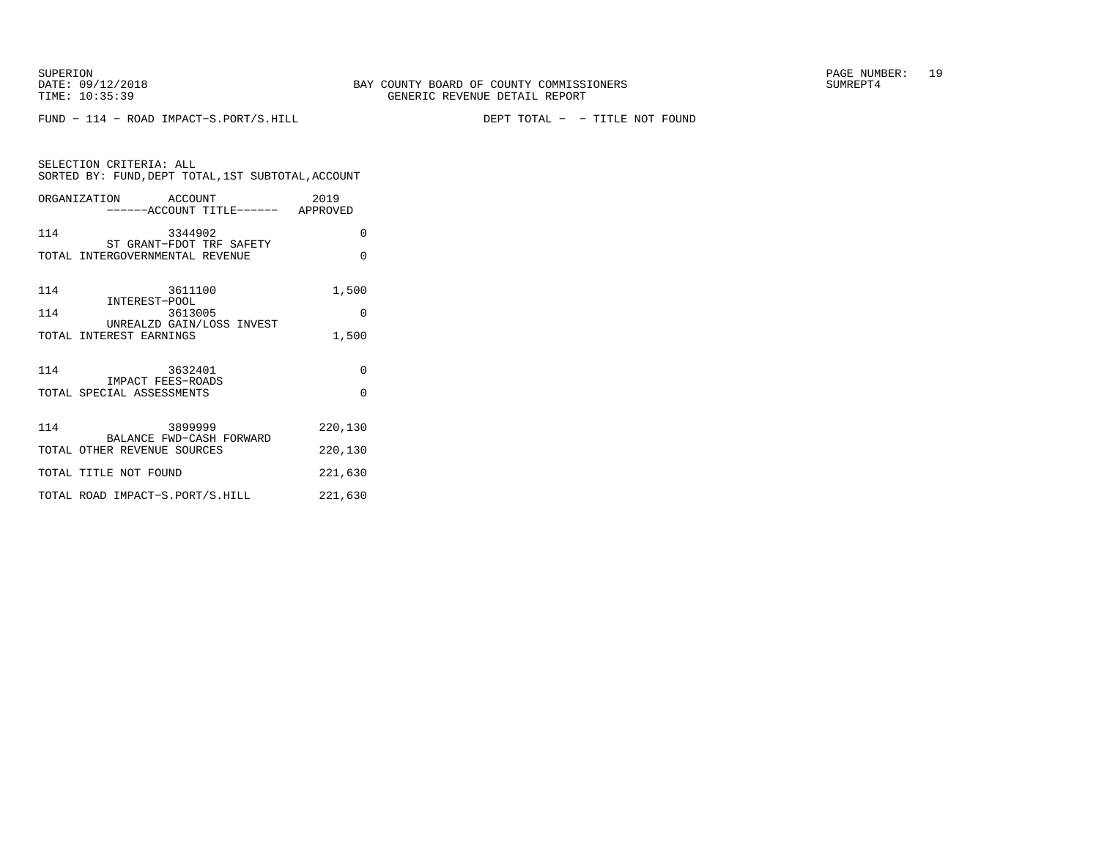FUND − 114 − ROAD IMPACT−S.PORT/S.HILL DEPT TOTAL − − TITLE NOT FOUND

| SELECTION CRITERIA: ALL<br>SORTED BY: FUND, DEPT TOTAL, 1ST SUBTOTAL, ACCOUNT |          |  |  |
|-------------------------------------------------------------------------------|----------|--|--|
| ORGANIZATION ACCOUNT<br>------ACCOUNT TITLE------ APPROVED                    | 2019     |  |  |
| 114<br>3344902<br>ST GRANT-FDOT TRF SAFETY                                    | $\Omega$ |  |  |
| TOTAL INTERGOVERNMENTAL REVENUE                                               | $\Omega$ |  |  |
| 114<br>3611100<br>INTEREST-POOL                                               | 1,500    |  |  |
| 114<br>3613005<br>UNREALZD GAIN/LOSS INVEST                                   | $\Omega$ |  |  |
| TOTAL INTEREST EARNINGS                                                       | 1,500    |  |  |
| 114<br>3632401<br>IMPACT FEES-ROADS                                           | $\Omega$ |  |  |
| TOTAL SPECIAL ASSESSMENTS                                                     | $\Omega$ |  |  |
| 114<br>3899999<br>BALANCE FWD-CASH FORWARD                                    | 220,130  |  |  |
| TOTAL OTHER REVENUE SOURCES                                                   | 220,130  |  |  |
| TOTAL TITLE NOT FOUND                                                         | 221,630  |  |  |
| TOTAL ROAD IMPACT-S.PORT/S.HILL                                               | 221,630  |  |  |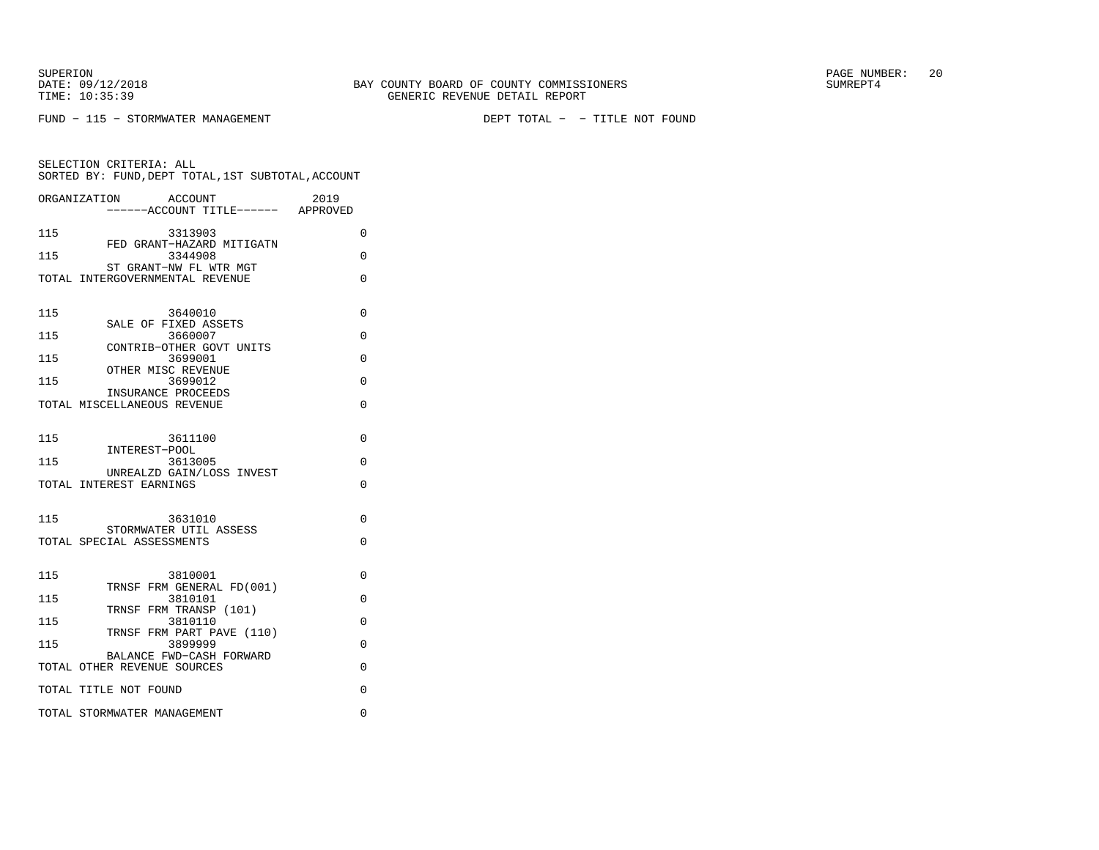SELECTION CRITERIA: ALL

FUND − 115 − STORMWATER MANAGEMENT DEPT TOTAL − − TITLE NOT FOUND

 SORTED BY: FUND,DEPT TOTAL,1ST SUBTOTAL,ACCOUNTORGANIZATION ACCOUNT 2019

 −−−−−−ACCOUNT TITLE−−−−−− APPROVED115 3313903 0 FED GRANT−HAZARD MITIGATN115 3344908 0 ST GRANT−NW FL WTR MGT TOTAL INTERGOVERNMENTAL REVENUE 0 115 3640010 0 SALE OF FIXED ASSETS115 3660007 0 CONTRIB−OTHER GOVT UNITS115 3699001 0 OTHER MISC REVENUE 115 3699012 0 INSURANCE PROCEEDS TOTAL MISCELLANEOUS REVENUE 0 115 3611100 0 INTEREST−POOL 115 3613005 0 UNREALZD GAIN/LOSS INVESTTOTAL INTEREST EARNINGS 0 115 3631010 0 STORMWATER UTIL ASSESSTOTAL SPECIAL ASSESSMENTS 0 115 3810001 0 TRNSF FRM GENERAL FD(001)115 3810101 0 TRNSF FRM TRANSP (101)115 3810110 0 TRNSF FRM PART PAVE (110)115 3899999 0 BALANCE FWD−CASH FORWARDTOTAL OTHER REVENUE SOURCES 0 TOTAL TITLE NOT FOUND 0 TOTAL STORMWATER MANAGEMENT 0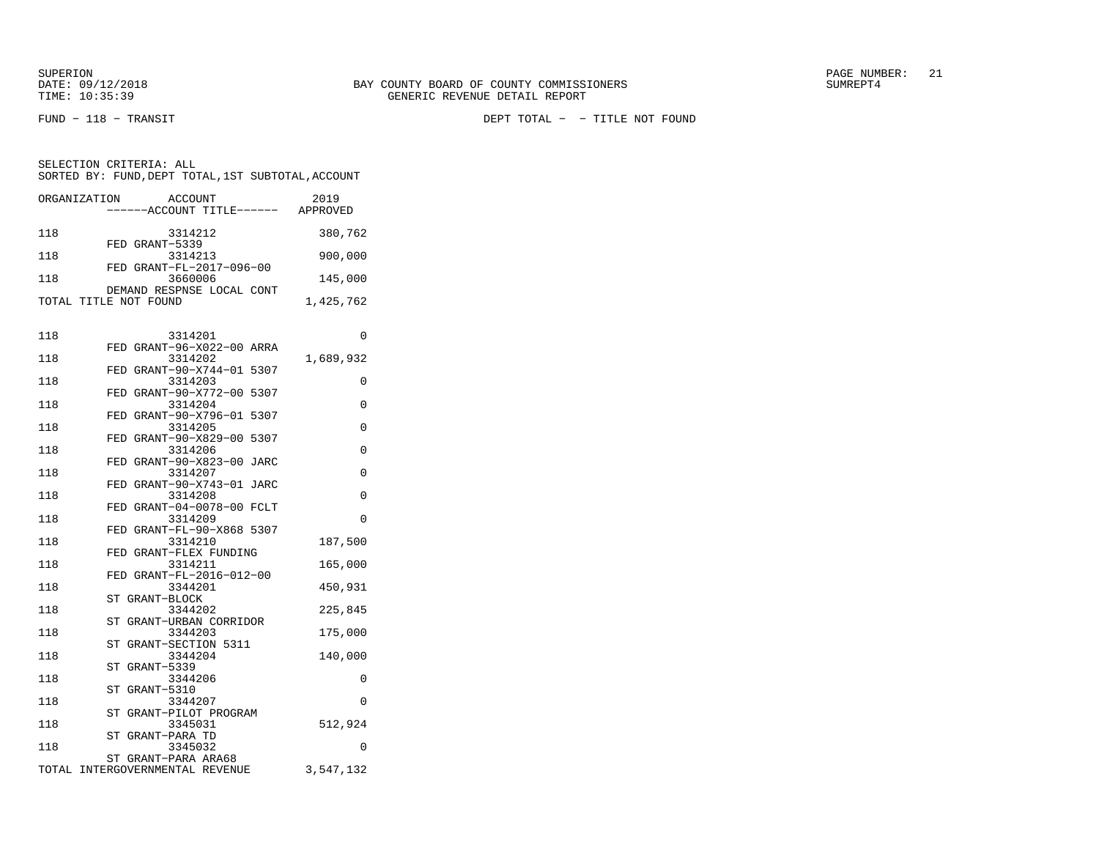FUND − 118 − TRANSIT DEPT TOTAL − − TITLE NOT FOUND

| ORGANIZATION | ACCOUNT<br>------ACCOUNT TITLE------               | 2019<br>APPROVED |
|--------------|----------------------------------------------------|------------------|
| 118          | 3314212                                            | 380,762          |
| 118          | FED GRANT-5339<br>3314213                          | 900,000          |
| 118          | FED GRANT-FL-2017-096-00<br>3660006                | 145,000          |
|              | DEMAND RESPNSE LOCAL CONT<br>TOTAL TITLE NOT FOUND | 1,425,762        |

| 118 | 3314201                              | 0           |
|-----|--------------------------------------|-------------|
|     | FED GRANT-96-X022-00 ARRA            |             |
| 118 | 3314202                              | 1,689,932   |
|     | FED GRANT-90-X744-01 5307            |             |
| 118 | 3314203                              | 0           |
|     | FED GRANT-90-X772-00 5307            |             |
| 118 | 3314204                              | $\Omega$    |
| 118 | FED GRANT-90-X796-01 5307<br>3314205 | 0           |
|     | FED GRANT-90-X829-00 5307            |             |
| 118 | 3314206                              | $\Omega$    |
|     | FED GRANT-90-X823-00 JARC            |             |
| 118 | 3314207                              | 0           |
|     | FED GRANT-90-X743-01 JARC            |             |
| 118 | 3314208                              | $\mathbf 0$ |
|     | FED GRANT-04-0078-00 FCLT            |             |
| 118 | 3314209                              | $\Omega$    |
|     | FED GRANT-FL-90-X868 5307            |             |
| 118 | 3314210                              | 187,500     |
|     | FED GRANT-FLEX FUNDING               |             |
| 118 | 3314211                              | 165,000     |
|     | FED GRANT-FL-2016-012-00             |             |
| 118 | 3344201                              | 450,931     |
| 118 | ST<br>GRANT-BLOCK<br>3344202         |             |
|     | ST GRANT-URBAN CORRIDOR              | 225,845     |
| 118 | 3344203                              | 175,000     |
|     | GRANT-SECTION 5311<br>ST             |             |
| 118 | 3344204                              | 140,000     |
|     | GRANT-5339<br>ST                     |             |
| 118 | 3344206                              | 0           |
|     | ST GRANT-5310                        |             |
| 118 | 3344207                              | $\Omega$    |
|     | ST GRANT-PILOT PROGRAM               |             |
| 118 | 3345031                              | 512,924     |
|     | ST GRANT-PARA TD                     |             |
| 118 | 3345032                              | 0           |
|     | ST GRANT-PARA ARA68                  |             |
|     | TOTAL INTERGOVERNMENTAL REVENUE      | 3,547,132   |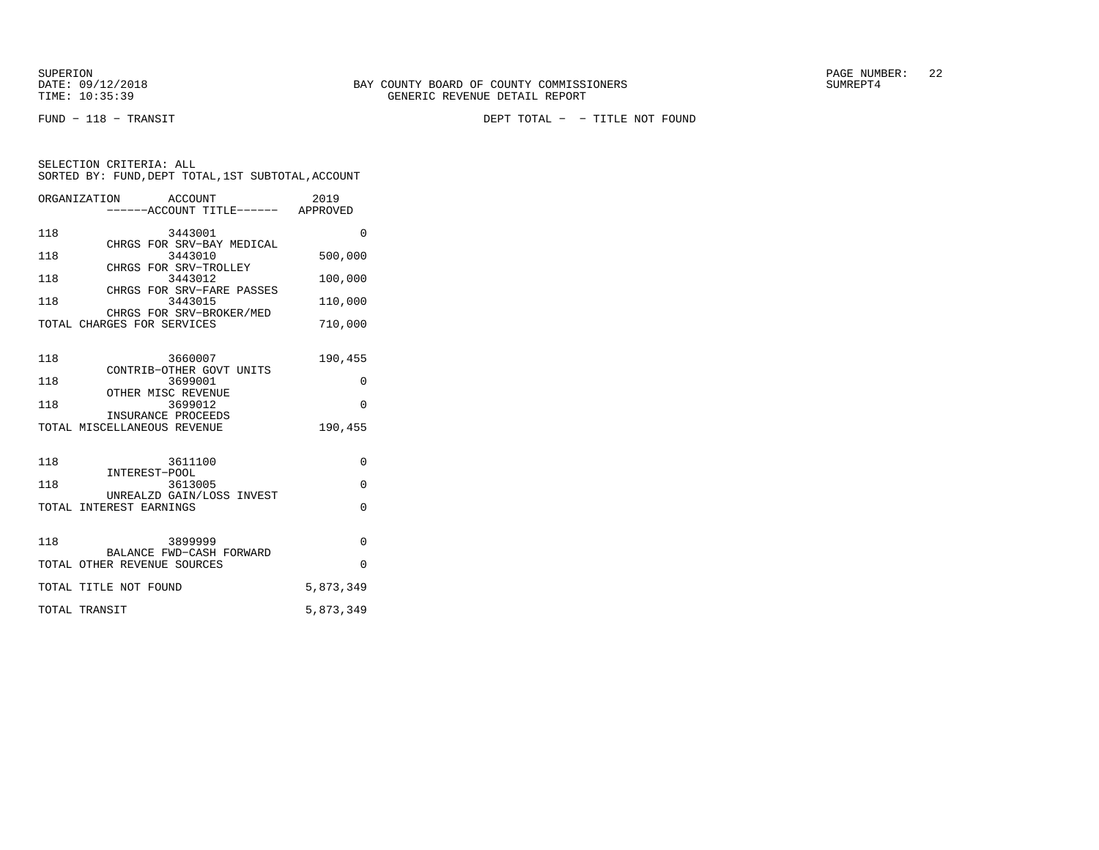FUND − 118 − TRANSIT DEPT TOTAL − − TITLE NOT FOUND

|                          | ORGANIZATION<br>ACCOUNT                                                                                                                                                               | 2019                                                 |
|--------------------------|---------------------------------------------------------------------------------------------------------------------------------------------------------------------------------------|------------------------------------------------------|
|                          | ------ACCOUNT TITLE------ APPROVED                                                                                                                                                    |                                                      |
| 118<br>118<br>118<br>118 | 3443001<br>CHRGS FOR SRV-BAY MEDICAL<br>3443010<br>CHRGS FOR SRV-TROLLEY<br>3443012<br>CHRGS FOR SRV-FARE PASSES<br>3443015<br>CHRGS FOR SRV-BROKER/MED<br>TOTAL CHARGES FOR SERVICES | $\Omega$<br>500,000<br>100,000<br>110,000<br>710,000 |
| 118<br>118<br>118        | 3660007<br>CONTRIB-OTHER GOVT UNITS<br>3699001<br>OTHER MISC REVENUE<br>3699012<br>INSURANCE PROCEEDS<br>TOTAL MISCELLANEOUS REVENUE                                                  | 190,455<br>0<br>$\Omega$<br>190,455                  |
| 118<br>118               | 3611100<br>INTEREST-POOL<br>3613005<br>UNREALZD GAIN/LOSS INVEST<br>TOTAL INTEREST EARNINGS                                                                                           | $\Omega$<br>0<br>$\Omega$                            |
| 118                      | 3899999<br>BALANCE FWD-CASH FORWARD<br>TOTAL OTHER REVENUE SOURCES<br>TOTAL TITLE NOT FOUND                                                                                           | 0<br>$\Omega$<br>5,873,349                           |
|                          | TOTAL TRANSIT                                                                                                                                                                         | 5,873,349                                            |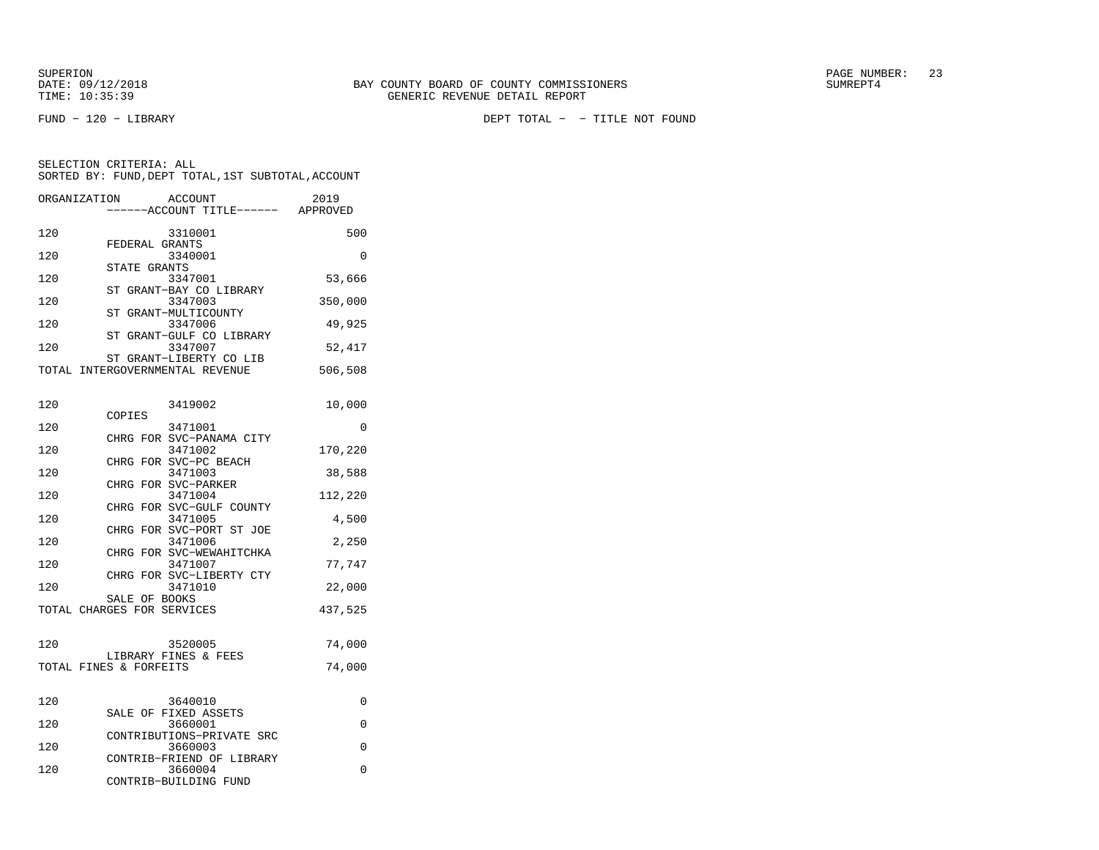| ORGANIZATION | <b>ACCOUNT</b>                      | 2019     |
|--------------|-------------------------------------|----------|
|              | -----ACCOUNT TITLE------ APPROVED   |          |
| 120          | 3310001                             | 500      |
|              | FEDERAL GRANTS                      |          |
| 120          | 3340001                             | 0        |
|              | STATE GRANTS                        |          |
| 120          | 3347001                             | 53,666   |
| 120          | ST GRANT-BAY CO LIBRARY<br>3347003  | 350,000  |
|              | ST GRANT-MULTICOUNTY                |          |
| 120          | 3347006                             | 49,925   |
|              | ST GRANT-GULF CO LIBRARY            |          |
| 120          | 3347007                             | 52,417   |
|              | ST GRANT-LIBERTY CO LIB             |          |
|              | TOTAL INTERGOVERNMENTAL REVENUE     | 506,508  |
|              |                                     |          |
| 120          | 3419002                             | 10,000   |
|              | COPIES                              |          |
| 120          | 3471001                             | $\Omega$ |
|              | CHRG FOR SVC-PANAMA CITY            |          |
| 120          | 3471002                             | 170,220  |
| 120          | CHRG FOR SVC-PC BEACH<br>3471003    | 38,588   |
|              | CHRG FOR SVC-PARKER                 |          |
| 120          | 3471004                             | 112,220  |
|              | CHRG FOR SVC-GULF COUNTY            |          |
| 120          | 3471005                             | 4,500    |
|              | CHRG FOR SVC-PORT ST JOE            |          |
| 120          | 3471006                             | 2,250    |
| 120          | CHRG FOR SVC-WEWAHITCHKA<br>3471007 | 77,747   |
|              | CHRG FOR SVC-LIBERTY CTY            |          |
| 120          | 3471010                             | 22,000   |
|              | SALE OF BOOKS                       |          |
|              | TOTAL CHARGES FOR SERVICES          | 437,525  |
|              |                                     |          |
| 120          | 3520005                             | 74,000   |
|              | LIBRARY FINES & FEES                |          |
|              | TOTAL FINES & FORFEITS              | 74,000   |
|              |                                     |          |
|              |                                     |          |
| 120          | 3640010                             | 0        |
| 120          | SALE OF FIXED ASSETS<br>3660001     | 0        |
|              | CONTRIBUTIONS-PRIVATE SRC           |          |
| 120          | 3660003                             | 0        |
|              | CONTRIB-FRIEND OF LIBRARY           |          |
| 120          | 3660004                             | 0        |
|              | CONTRIB-BUILDING FUND               |          |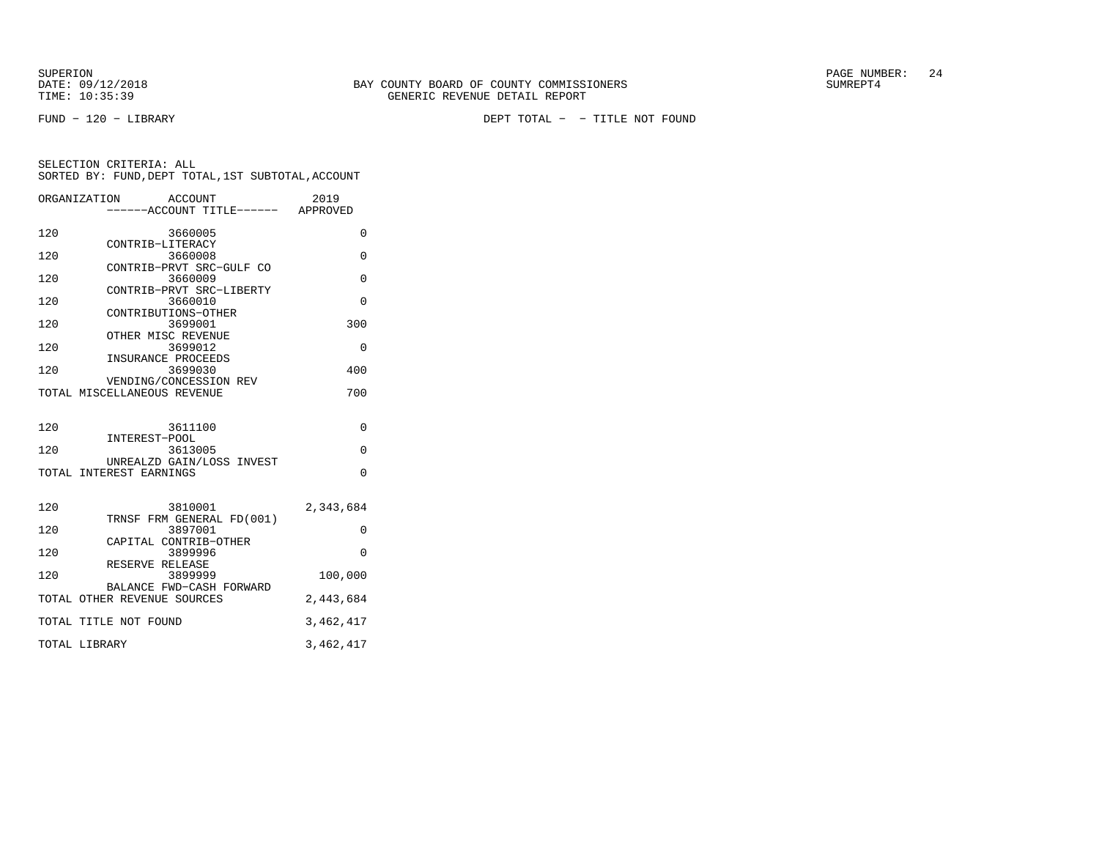FUND − 120 − LIBRARY DEPT TOTAL − − TITLE NOT FOUND

|     | ORGANIZATION<br>ACCOUNT                                 | 2019      |
|-----|---------------------------------------------------------|-----------|
|     | ------ACCOUNT TITLE------ APPROVED                      |           |
| 120 | 3660005                                                 | 0         |
| 120 | CONTRIB-LITERACY<br>3660008                             | 0         |
|     | CONTRIB-PRVT SRC-GULF CO                                |           |
| 120 | 3660009<br>CONTRIB-PRVT SRC-LIBERTY                     | $\Omega$  |
| 120 | 3660010                                                 | $\Omega$  |
|     | CONTRIBUTIONS-OTHER                                     |           |
| 120 | 3699001<br>OTHER MISC REVENUE                           | 300       |
| 120 | 3699012                                                 | 0         |
| 120 | INSURANCE PROCEEDS<br>3699030                           | 400       |
|     | VENDING/CONCESSION REV                                  |           |
|     | TOTAL MISCELLANEOUS REVENUE                             | 700       |
|     |                                                         |           |
| 120 | 3611100                                                 | 0         |
| 120 | INTEREST-POOL<br>3613005                                | $\Omega$  |
|     | UNREALZD GAIN/LOSS INVEST                               |           |
|     | TOTAL INTEREST EARNINGS                                 | $\Omega$  |
|     |                                                         |           |
| 120 | 3810001                                                 | 2,343,684 |
| 120 | TRNSF FRM GENERAL FD(001)<br>3897001                    | 0         |
|     | CAPITAL CONTRIB-OTHER                                   |           |
| 120 | 3899996<br>RESERVE RELEASE                              | $\Omega$  |
| 120 | 3899999                                                 | 100,000   |
|     | BALANCE FWD-CASH FORWARD<br>TOTAL OTHER REVENUE SOURCES | 2,443,684 |
|     |                                                         |           |
|     | TOTAL TITLE NOT FOUND                                   | 3,462,417 |
|     | TOTAL LIBRARY                                           | 3,462,417 |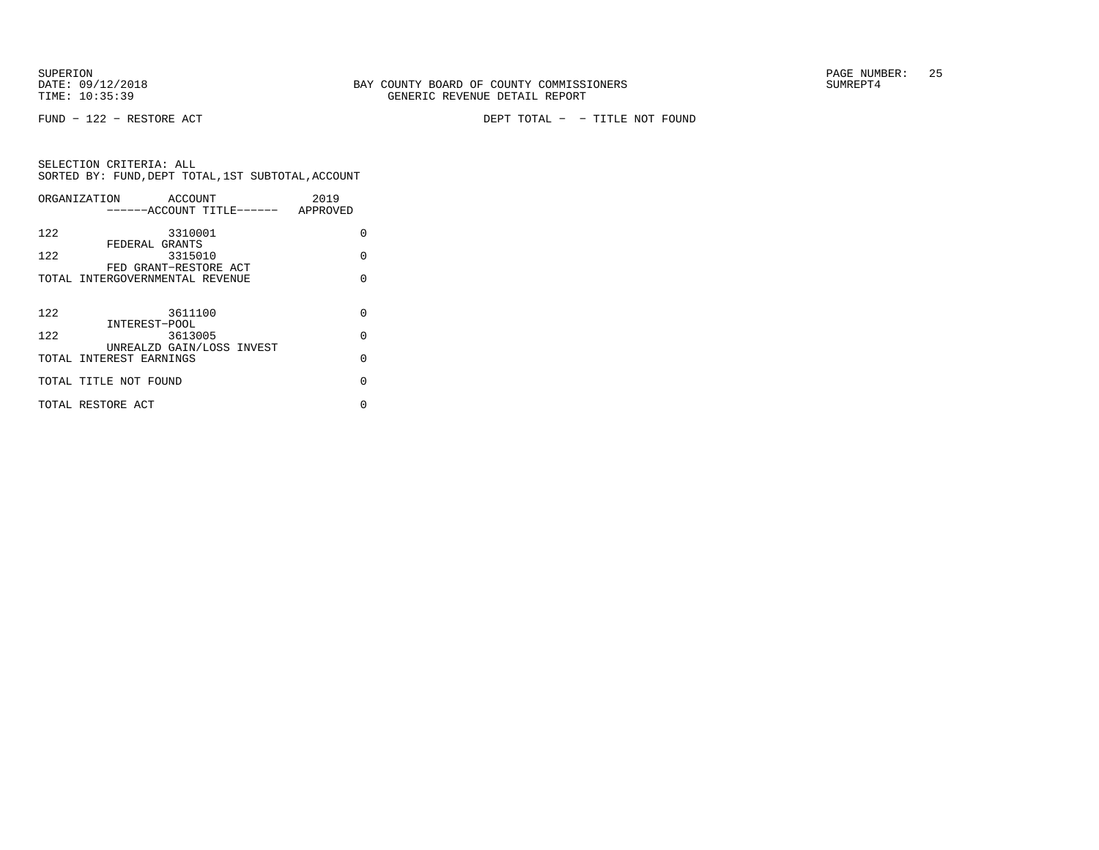SUPERION<br>
BAY COUNTY BOARD OF COUNTY COMMISSIONERS
BATE: 09/12/2018
SUMREPT4
SUMREPT4

FUND − 122 − RESTORE ACT DEPT TOTAL − − TITLE NOT FOUND

|     | ORGANIZATION                    | ACCOUNT |                                    | 2019 |          |
|-----|---------------------------------|---------|------------------------------------|------|----------|
|     |                                 |         | ------ACCOUNT TITLE------ APPROVED |      |          |
| 122 |                                 | 3310001 |                                    |      | $\Omega$ |
|     | FEDERAL GRANTS                  |         |                                    |      |          |
| 122 |                                 | 3315010 |                                    |      | $\Omega$ |
|     | FED GRANT-RESTORE ACT           |         |                                    |      |          |
|     | TOTAL INTERGOVERNMENTAL REVENUE |         |                                    |      | $\cap$   |
|     |                                 |         |                                    |      |          |
| 122 |                                 | 3611100 |                                    |      | $\Omega$ |
|     | INTEREST-POOL                   |         |                                    |      |          |
| 122 |                                 | 3613005 |                                    |      | $\Omega$ |
|     |                                 |         | UNREALZD GAIN/LOSS INVEST          |      |          |
|     | TOTAL INTEREST EARNINGS         |         |                                    |      | $\Omega$ |
|     |                                 |         |                                    |      |          |
|     | TOTAL TITLE NOT FOUND           |         |                                    |      | $\cap$   |
|     | TOTAL RESTORE ACT               |         |                                    |      | U        |
|     |                                 |         |                                    |      |          |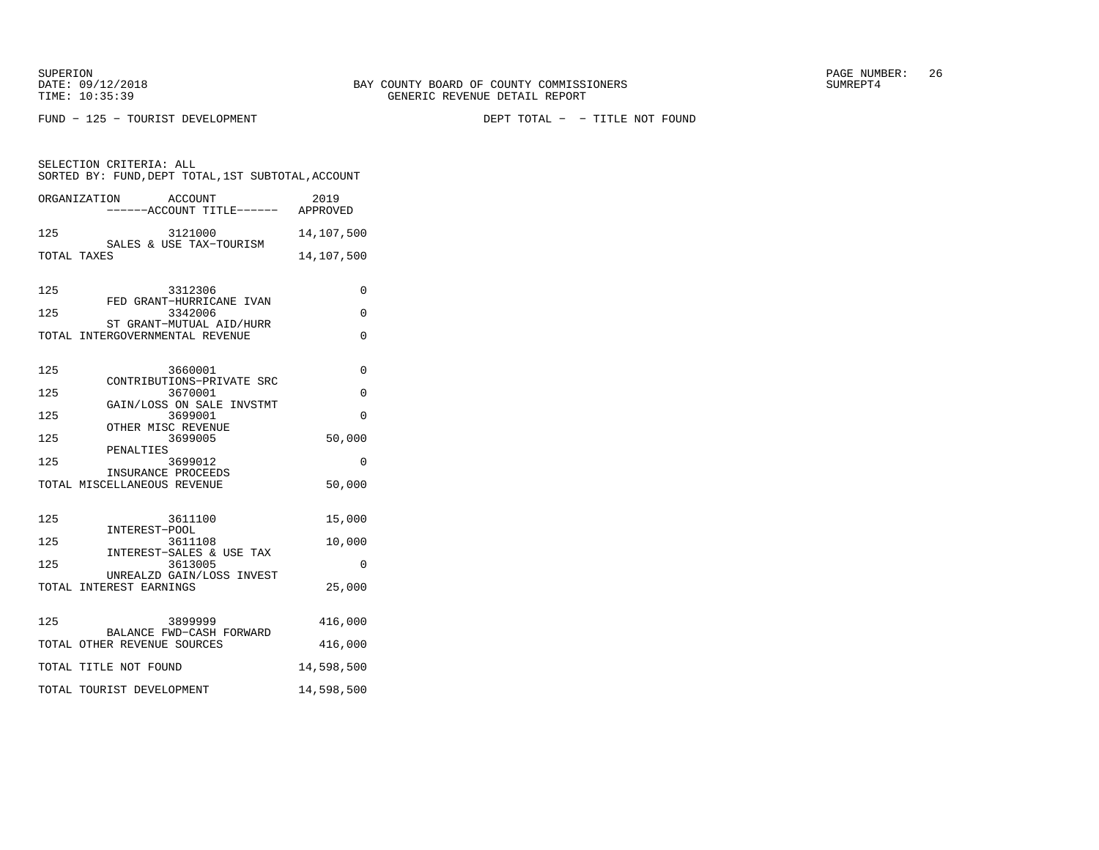FUND − 125 − TOURIST DEVELOPMENT DEPT TOTAL − − TITLE NOT FOUND

SELECTION CRITERIA: ALL

 SORTED BY: FUND,DEPT TOTAL,1ST SUBTOTAL,ACCOUNTORGANIZATION ACCOUNT 2019−−−−−−ACCOUNT TITLE−−−−−− APPROVED

| 125         | 3121000 |  |  | 14,107,500              |            |
|-------------|---------|--|--|-------------------------|------------|
|             |         |  |  | SALES & USE TAX-TOURISM |            |
| TOTAL TAXES |         |  |  |                         | 14,107,500 |

| 125 | 3312306                                                     | 0          |
|-----|-------------------------------------------------------------|------------|
| 125 | FED GRANT-HURRICANE IVAN<br>3342006                         | 0          |
|     | ST GRANT-MUTUAL AID/HURR<br>TOTAL INTERGOVERNMENTAL REVENUE | $\Omega$   |
| 125 | 3660001<br>CONTRIBUTIONS-PRIVATE SRC                        | $\Omega$   |
| 125 | 3670001                                                     | $\Omega$   |
| 125 | GAIN/LOSS ON SALE INVSTMT<br>3699001                        | 0          |
| 125 | OTHER MISC REVENUE<br>3699005<br>PENALTIES                  | 50,000     |
| 125 | 3699012                                                     | $\Omega$   |
|     | INSURANCE PROCEEDS<br>TOTAL MISCELLANEOUS REVENUE           | 50,000     |
| 125 | 3611100<br>INTEREST-POOL                                    | 15,000     |
| 125 | 3611108                                                     | 10,000     |
| 125 | INTEREST-SALES & USE TAX<br>3613005                         | $\Omega$   |
|     | UNREALZD GAIN/LOSS INVEST<br>TOTAL INTEREST EARNINGS        | 25,000     |
| 125 | 3899999<br>BALANCE FWD-CASH FORWARD                         | 416,000    |
|     | TOTAL OTHER REVENUE SOURCES                                 | 416,000    |
|     | TOTAL TITLE NOT FOUND                                       | 14,598,500 |
|     | TOTAL TOURIST DEVELOPMENT                                   | 14,598,500 |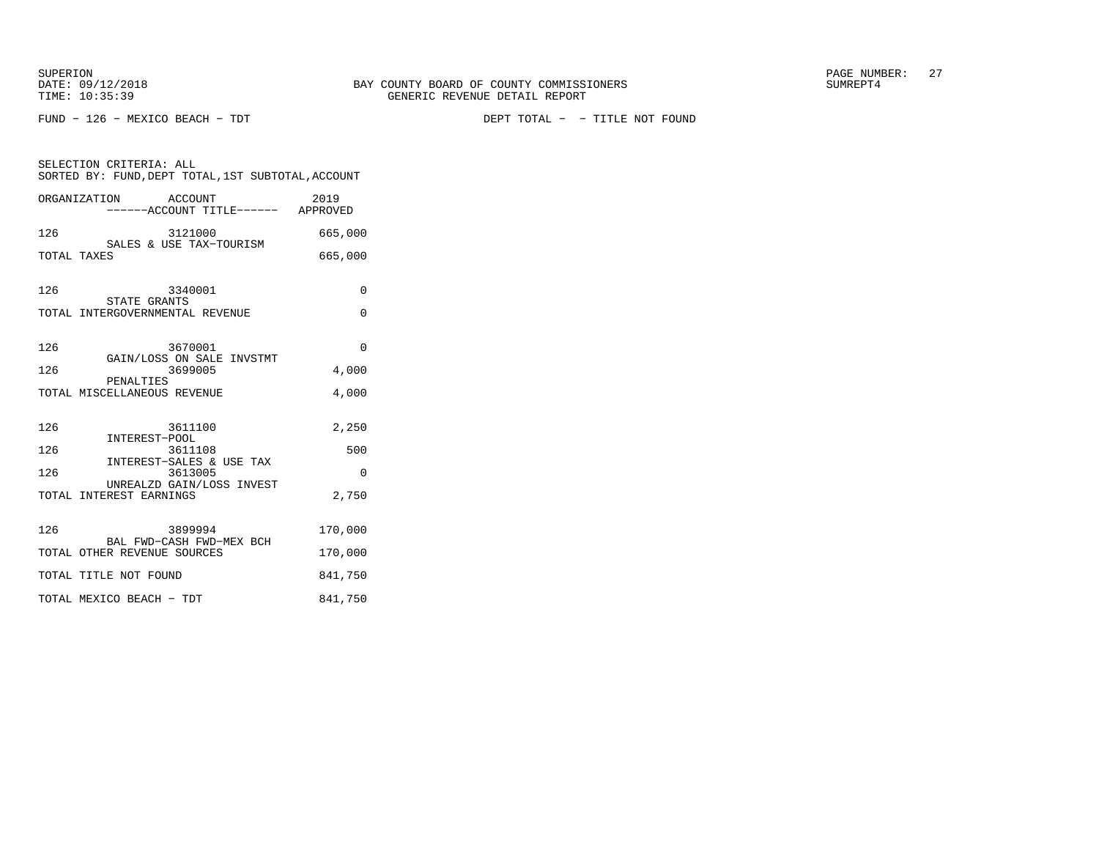FUND − 126 − MEXICO BEACH − TDT DEPT TOTAL − − TITLE NOT FOUND

| SELECTION CRITERIA: ALL<br>SORTED BY: FUND, DEPT TOTAL, 1ST SUBTOTAL, ACCOUNT |          |  |  |  |
|-------------------------------------------------------------------------------|----------|--|--|--|
| ORGANIZATION<br>ACCOUNT<br>-------ACCOUNT TITLE------- APPROVED               | 2019     |  |  |  |
| 126<br>3121000<br>SALES & USE TAX-TOURISM                                     | 665,000  |  |  |  |
| TOTAL TAXES                                                                   | 665,000  |  |  |  |
| 126<br>3340001                                                                | 0        |  |  |  |
| STATE GRANTS<br>TOTAL INTERGOVERNMENTAL REVENUE                               | $\Omega$ |  |  |  |
| 126<br>3670001                                                                | $\Omega$ |  |  |  |
| GAIN/LOSS ON SALE INVSTMT<br>126<br>3699005                                   | 4,000    |  |  |  |
| PENALTIES<br>TOTAL MISCELLANEOUS REVENUE                                      | 4,000    |  |  |  |
| 126<br>3611100<br>INTEREST-POOL                                               | 2,250    |  |  |  |
| 126<br>3611108<br>INTEREST-SALES & USE TAX                                    | 500      |  |  |  |
| 126<br>3613005                                                                | $\Omega$ |  |  |  |
| UNREALZD GAIN/LOSS INVEST<br>TOTAL INTEREST EARNINGS                          | 2,750    |  |  |  |
| 126<br>3899994<br>BAL FWD-CASH FWD-MEX BCH                                    | 170,000  |  |  |  |
| TOTAL OTHER REVENUE SOURCES                                                   | 170,000  |  |  |  |
| TOTAL TITLE NOT FOUND                                                         | 841,750  |  |  |  |
| TOTAL MEXICO BEACH - TDT                                                      | 841,750  |  |  |  |
|                                                                               |          |  |  |  |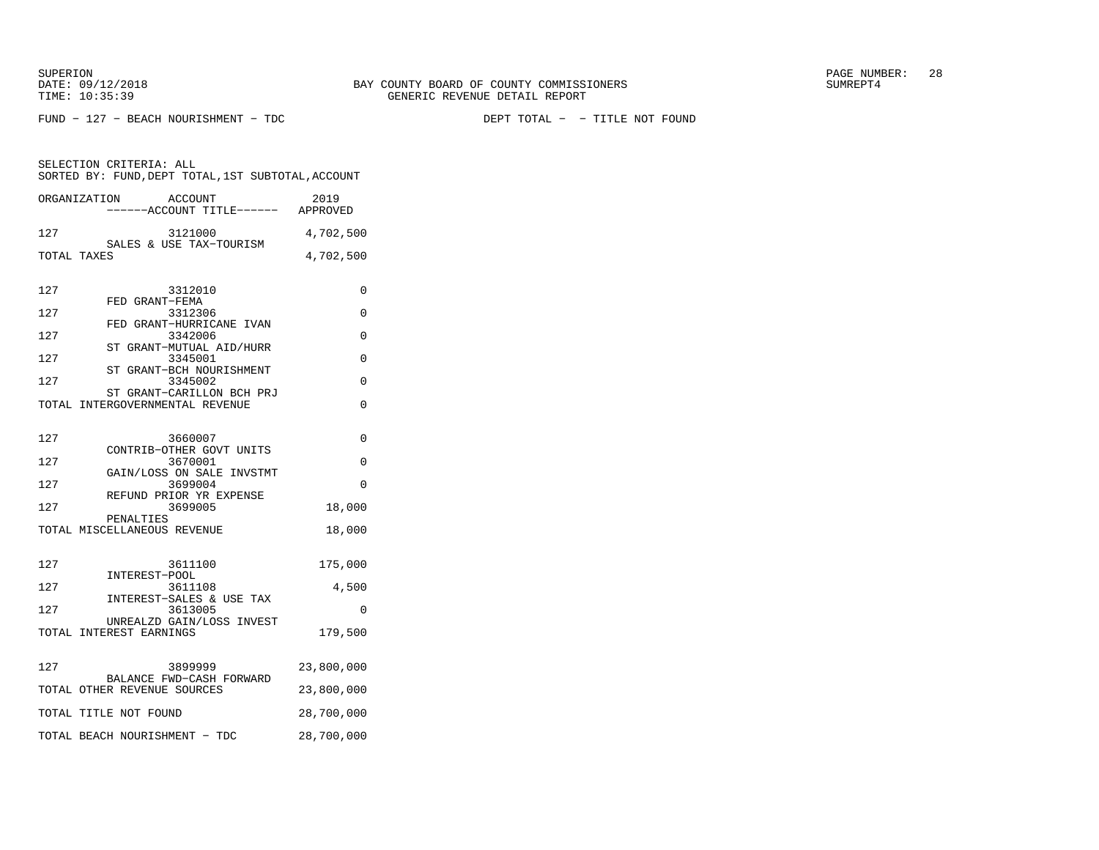FUND − 127 − BEACH NOURISHMENT − TDC DEPT TOTAL − − TITLE NOT FOUND

|     | ORGANIZATION<br>ACCOUNT<br>-----ACCOUNT TITLE------ APPROVED | 2019       |
|-----|--------------------------------------------------------------|------------|
| 127 | 3121000<br>SALES & USE TAX-TOURISM                           | 4,702,500  |
|     | TOTAL TAXES                                                  | 4,702,500  |
| 127 | 3312010<br>FED GRANT-FEMA                                    | 0          |
| 127 | 3312306<br>FED GRANT-HURRICANE IVAN                          | $\Omega$   |
| 127 | 3342006<br>ST GRANT-MUTUAL AID/HURR                          | 0          |
| 127 | 3345001<br>ST GRANT-BCH NOURISHMENT                          | 0          |
| 127 | 3345002<br>ST GRANT-CARILLON BCH PRJ                         | $\Omega$   |
|     | TOTAL INTERGOVERNMENTAL REVENUE                              | $\Omega$   |
|     |                                                              |            |
| 127 | 3660007<br>CONTRIB-OTHER GOVT UNITS                          | 0          |
| 127 | 3670001<br>GAIN/LOSS ON SALE INVSTMT                         | $\Omega$   |
| 127 | 3699004<br>REFUND PRIOR YR EXPENSE                           | $\Omega$   |
| 127 | 3699005<br>PENALTIES                                         | 18,000     |
|     | TOTAL MISCELLANEOUS REVENUE                                  | 18,000     |
| 127 | 3611100                                                      | 175,000    |
| 127 | INTEREST-POOL<br>3611108                                     | 4,500      |
| 127 | INTEREST-SALES & USE TAX<br>3613005                          | $\Omega$   |
|     | UNREALZD GAIN/LOSS INVEST<br>TOTAL INTEREST EARNINGS         | 179,500    |
| 127 | 3899999                                                      | 23,800,000 |
|     | BALANCE FWD-CASH FORWARD<br>TOTAL OTHER REVENUE SOURCES      | 23,800,000 |
|     | TOTAL TITLE NOT FOUND                                        | 28,700,000 |
|     | TOTAL BEACH NOURISHMENT - TDC                                | 28,700,000 |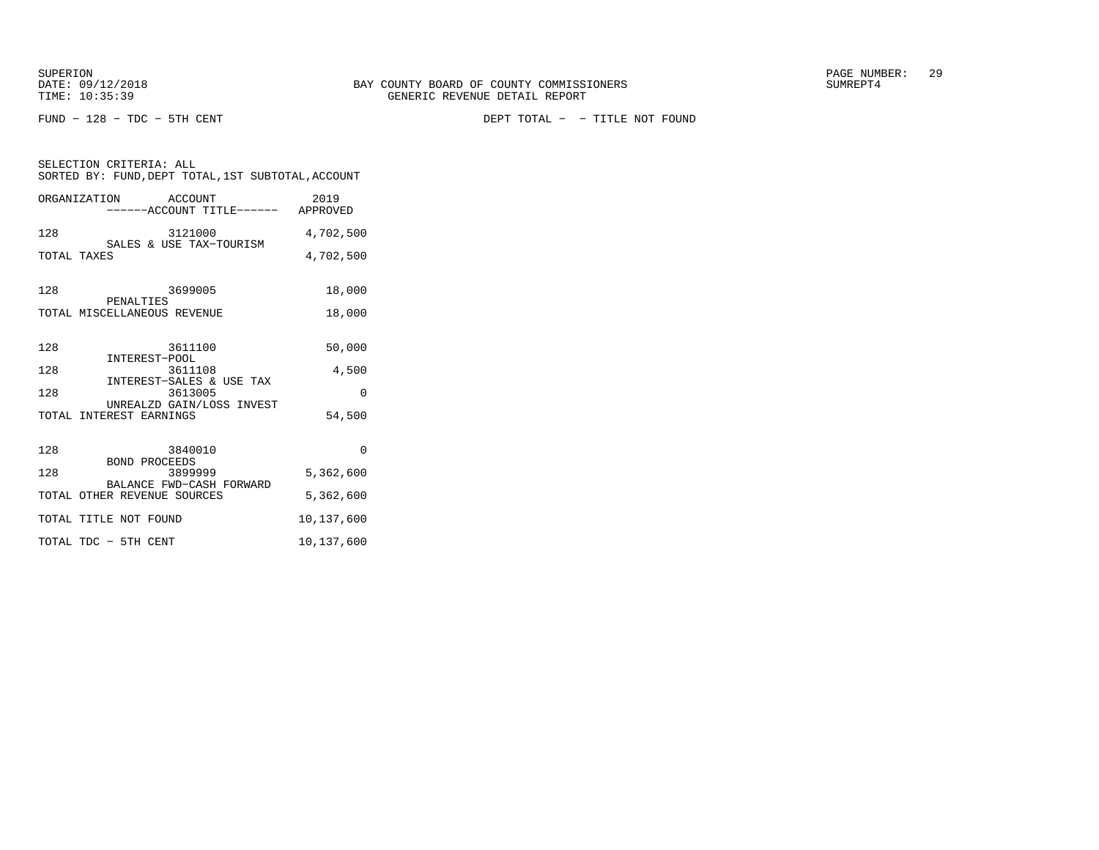FUND − 128 − TDC − 5TH CENT DEPT TOTAL − − TITLE NOT FOUND

| SELECTION CRITERIA: ALL<br>SORTED BY: FUND, DEPT TOTAL, 1ST SUBTOTAL, ACCOUNT |            |  |  |  |
|-------------------------------------------------------------------------------|------------|--|--|--|
| ORGANIZATION ACCOUNT<br>-----ACCOUNT TITLE------ APPROVED                     | 2019       |  |  |  |
| 128<br>3121000<br>SALES & USE TAX-TOURISM                                     | 4,702,500  |  |  |  |
| TOTAL TAXES                                                                   | 4,702,500  |  |  |  |
| 3699005<br>128<br>PENALTIES                                                   | 18,000     |  |  |  |
| TOTAL MISCELLANEOUS REVENUE                                                   | 18,000     |  |  |  |
| 128<br>3611100<br>INTEREST-POOL                                               | 50,000     |  |  |  |
| 128<br>3611108<br>INTEREST-SALES & USE TAX                                    | 4,500      |  |  |  |
| 128<br>3613005<br>UNREALZD GAIN/LOSS INVEST                                   | $\Omega$   |  |  |  |
| TOTAL INTEREST EARNINGS                                                       | 54,500     |  |  |  |
| 128<br>3840010<br><b>BOND PROCEEDS</b>                                        | $\Omega$   |  |  |  |
| 128<br>3899999<br>BALANCE FWD-CASH FORWARD                                    | 5,362,600  |  |  |  |
| TOTAL OTHER REVENUE SOURCES                                                   | 5,362,600  |  |  |  |
| TOTAL TITLE NOT FOUND                                                         | 10,137,600 |  |  |  |
| TOTAL TDC - 5TH CENT                                                          | 10,137,600 |  |  |  |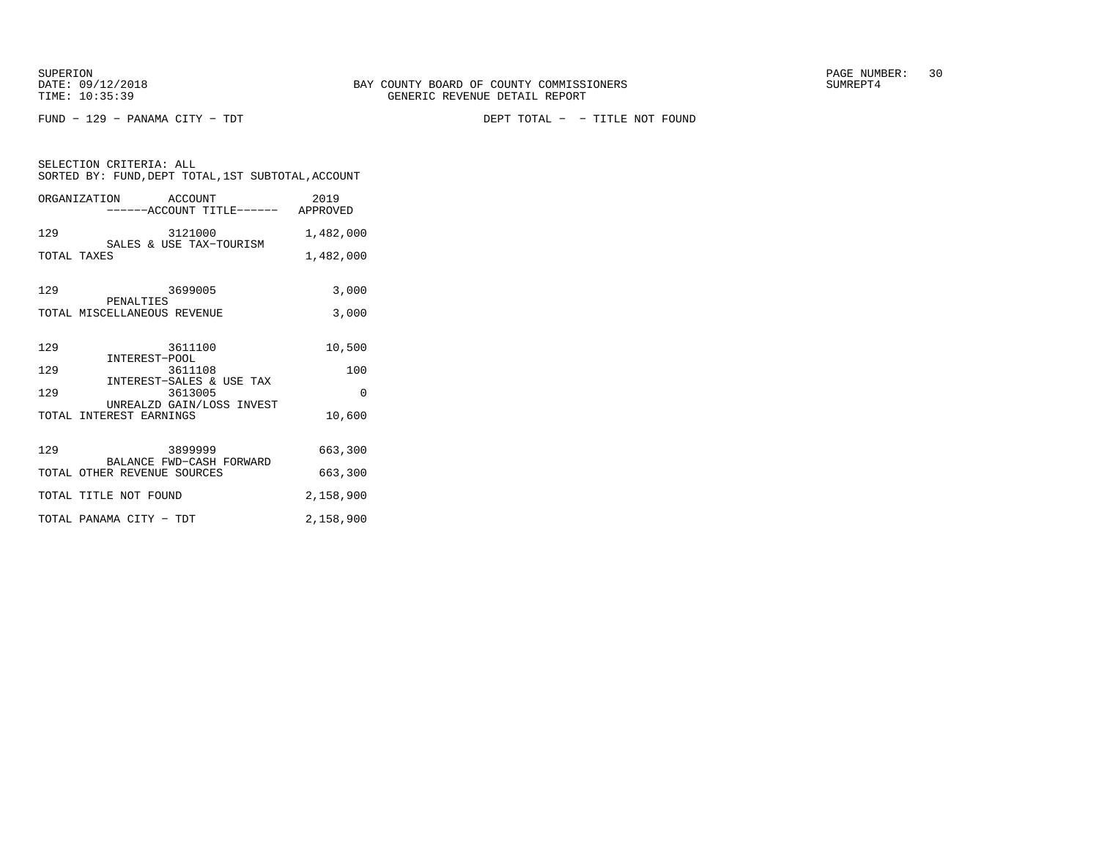FUND − 129 − PANAMA CITY − TDT DEPT TOTAL − − TITLE NOT FOUND

|             | SORTED BY: FUND, DEPT TOTAL, 1ST SUBTOTAL, ACCOUNT         |           |
|-------------|------------------------------------------------------------|-----------|
|             | ORGANIZATION ACCOUNT<br>------ACCOUNT TITLE------ APPROVED | 2019      |
| 129         | 3121000<br>SALES & USE TAX-TOURISM                         | 1,482,000 |
| TOTAL TAXES |                                                            | 1,482,000 |
| 129         | 3699005                                                    | 3,000     |
|             | PENALTIES<br>TOTAL MISCELLANEOUS REVENUE                   | 3,000     |
| 129         | 3611100<br>3611<br>INTEREST-POOL                           | 10,500    |
| 129         | 3611108                                                    | 100       |
| 129         | INTEREST-SALES & USE TAX<br>3613005                        | $\Omega$  |
|             | UNREALZD GAIN/LOSS INVEST<br>TOTAL INTEREST EARNINGS       | 10,600    |
| 129         | 3899999                                                    | 663,300   |
|             | BALANCE FWD-CASH FORWARD<br>TOTAL OTHER REVENUE SOURCES    | 663,300   |
|             | TOTAL TITLE NOT FOUND                                      | 2,158,900 |
|             | TOTAL PANAMA CITY - TDT                                    | 2,158,900 |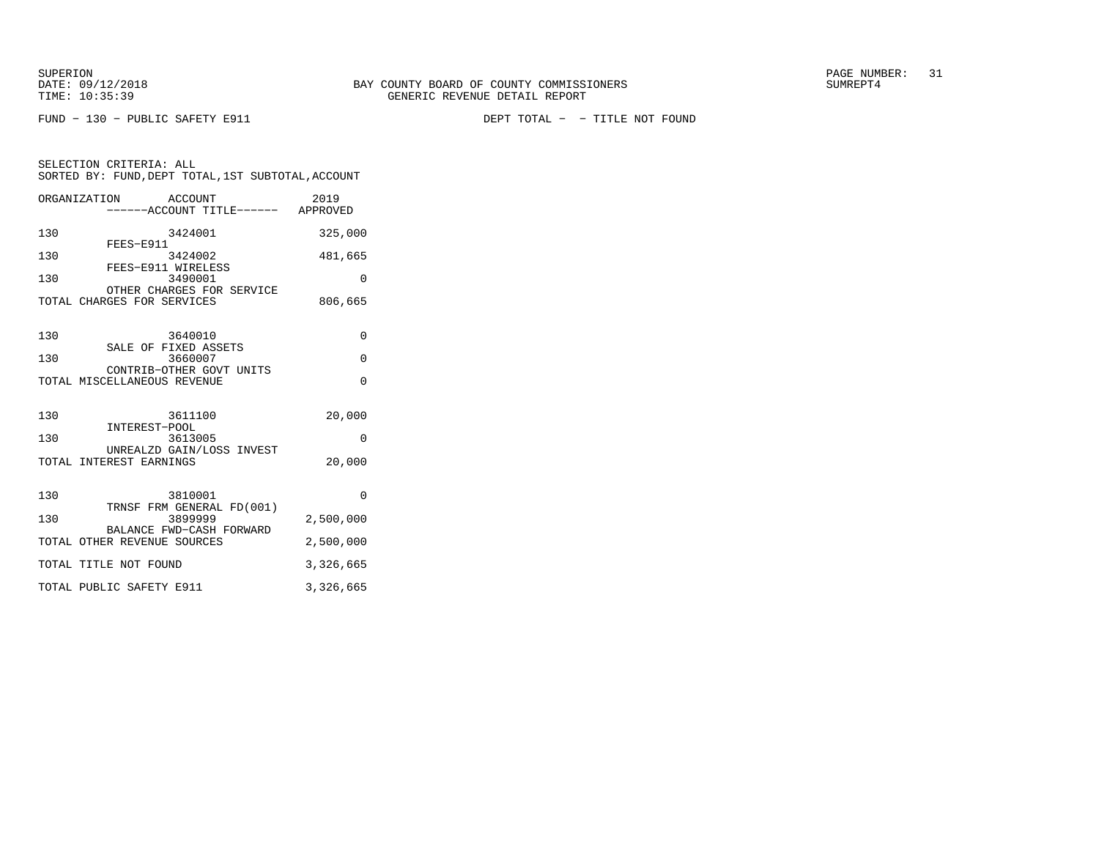FUND − 130 − PUBLIC SAFETY E911 DEPT TOTAL − − TITLE NOT FOUND

SELECTION CRITERIA: ALL

| ORGANIZATION ACCOUNT<br>------ACCOUNT TITLE------ APPROVED | 2019      |
|------------------------------------------------------------|-----------|
| 130<br>3424001<br>FEES-E911                                | 325,000   |
| 130<br>3424002<br>FEES-E911 WIRELESS                       | 481,665   |
| 130<br>3490001                                             | $\Omega$  |
| OTHER CHARGES FOR SERVICE<br>TOTAL CHARGES FOR SERVICES    | 806,665   |
| 130<br>3640010                                             | $\Omega$  |
| SALE OF FIXED ASSETS<br>130<br>3660007                     | $\Omega$  |
| CONTRIB-OTHER GOVT UNITS<br>TOTAL MISCELLANEOUS REVENUE    | $\Omega$  |
| 130<br>3611100                                             | 20,000    |
| INTEREST-POOL<br>130<br>3613005                            | O         |
| UNREALZD GAIN/LOSS INVEST<br>TOTAL INTEREST EARNINGS       | 20,000    |
| 130<br>3810001                                             | $\Omega$  |
| TRNSF FRM GENERAL FD(001)<br>130<br>3899999                | 2,500,000 |
| BALANCE FWD-CASH FORWARD<br>TOTAL OTHER REVENUE SOURCES    | 2,500,000 |
| TOTAL TITLE NOT FOUND                                      | 3,326,665 |

TOTAL PUBLIC SAFETY E911 3,326,665

SORTED BY: FUND,DEPT TOTAL,1ST SUBTOTAL,ACCOUNT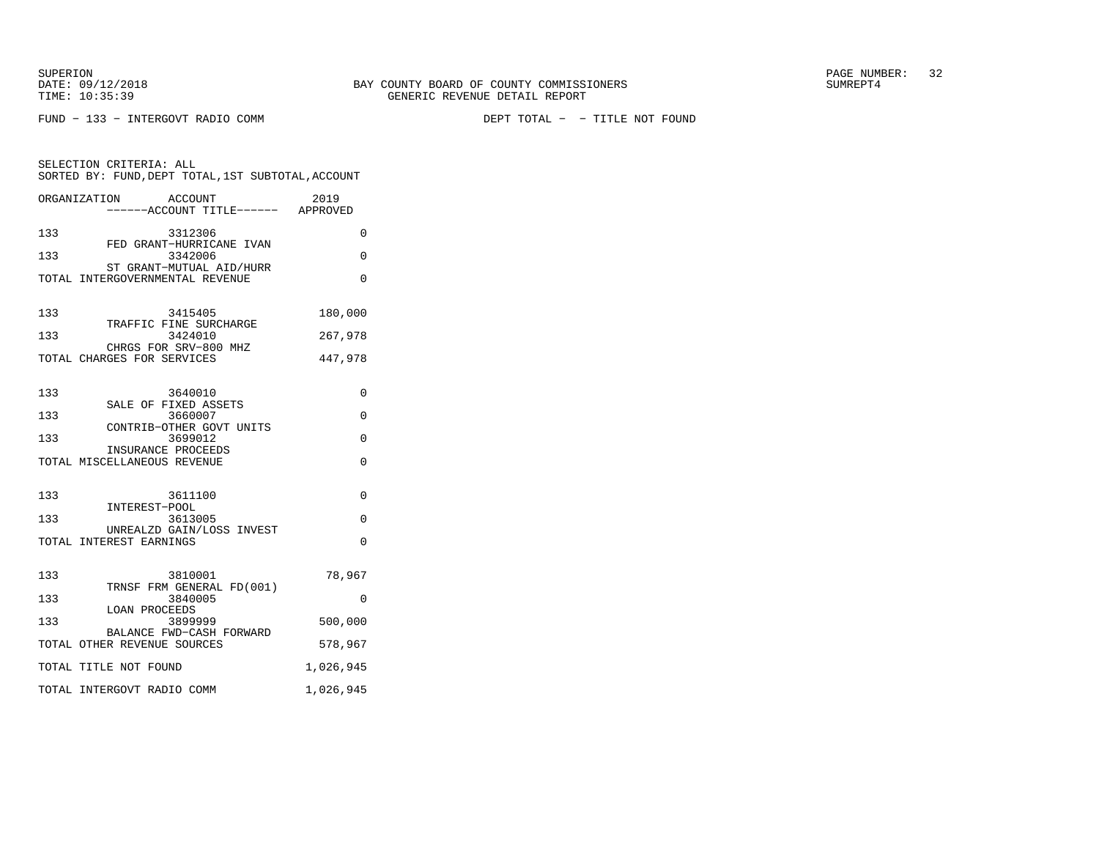FUND − 133 − INTERGOVT RADIO COMM DEPT TOTAL − − TITLE NOT FOUND

| SELECTION CRITERIA: ALL<br>SORTED BY: FUND, DEPT TOTAL, 1ST SUBTOTAL, ACCOUNT |                                                              |           |  |  |
|-------------------------------------------------------------------------------|--------------------------------------------------------------|-----------|--|--|
|                                                                               | ACCOUNT<br>ORGANIZATION<br>-----ACCOUNT TITLE------ APPROVED | 2019      |  |  |
| 133                                                                           | 3312306<br>FED GRANT-HURRICANE IVAN                          | 0         |  |  |
| 133                                                                           | 3342006<br>ST GRANT-MUTUAL AID/HURR                          | $\Omega$  |  |  |
|                                                                               | TOTAL INTERGOVERNMENTAL REVENUE                              | $\Omega$  |  |  |
| 133                                                                           | 3415405<br>TRAFFIC FINE SURCHARGE                            | 180,000   |  |  |
| 133                                                                           | 3424010<br>CHRGS FOR SRV-800 MHZ                             | 267,978   |  |  |
|                                                                               | TOTAL CHARGES FOR SERVICES                                   | 447,978   |  |  |
| 133                                                                           | 3640010<br>SALE OF FIXED ASSETS                              | 0         |  |  |
| 133                                                                           | 3660007<br>CONTRIB-OTHER GOVT UNITS                          | 0         |  |  |
| 133                                                                           | 3699012                                                      | $\Omega$  |  |  |
|                                                                               | INSURANCE PROCEEDS<br>TOTAL MISCELLANEOUS REVENUE            | $\Omega$  |  |  |
| 133                                                                           | 3611100<br>INTEREST-POOL                                     | 0         |  |  |
| 133                                                                           | 3613005<br>UNREALZD GAIN/LOSS INVEST                         | $\Omega$  |  |  |
|                                                                               | TOTAL INTEREST EARNINGS                                      | $\Omega$  |  |  |
| 133                                                                           | 3810001<br>TRNSF FRM GENERAL FD(001)                         | 78,967    |  |  |
| 133                                                                           | 3840005<br>LOAN PROCEEDS                                     | 0         |  |  |
| 133                                                                           | 3899999<br>BALANCE FWD-CASH FORWARD                          | 500,000   |  |  |
|                                                                               | TOTAL OTHER REVENUE SOURCES                                  | 578,967   |  |  |
|                                                                               | TOTAL TITLE NOT FOUND                                        | 1,026,945 |  |  |
|                                                                               | TOTAL INTERGOVT RADIO COMM                                   | 1,026,945 |  |  |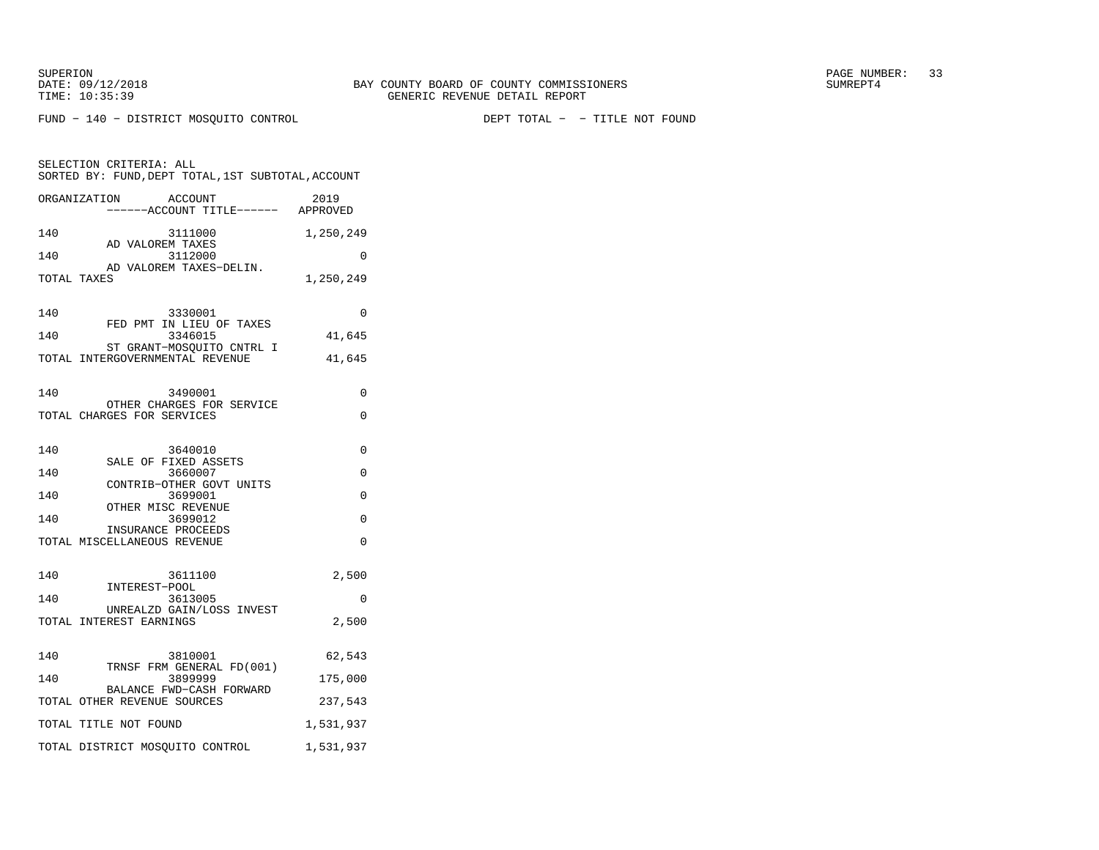FUND − 140 − DISTRICT MOSQUITO CONTROL DEPT TOTAL − − TITLE NOT FOUND

| SELECTION CRITERIA: ALL<br>SORTED BY: FUND, DEPT TOTAL, 1ST SUBTOTAL, ACCOUNT                                                                                                                       |                                            |  |  |  |
|-----------------------------------------------------------------------------------------------------------------------------------------------------------------------------------------------------|--------------------------------------------|--|--|--|
| ORGANIZATION<br>ACCOUNT<br>-----ACCOUNT TITLE------ APPROVED                                                                                                                                        | 2019                                       |  |  |  |
| 140<br>3111000<br>AD VALOREM TAXES<br>140<br>3112000<br>AD VALOREM TAXES-DELIN.<br>TOTAL TAXES<br>140<br>3330001<br>FED PMT IN LIEU OF TAXES<br>3346015<br>140<br>ST GRANT-MOSOUITO CNTRL I         | 1,250,249<br>0<br>1,250,249<br>0<br>41,645 |  |  |  |
| TOTAL INTERGOVERNMENTAL REVENUE                                                                                                                                                                     | 41,645                                     |  |  |  |
| 140<br>3490001<br>OTHER CHARGES FOR SERVICE<br>TOTAL CHARGES FOR SERVICES                                                                                                                           | 0<br>0                                     |  |  |  |
| 140<br>3640010<br>SALE OF FIXED ASSETS<br>3660007<br>140<br>CONTRIB-OTHER GOVT UNITS<br>140<br>3699001<br>OTHER MISC REVENUE<br>3699012<br>140<br>INSURANCE PROCEEDS<br>TOTAL MISCELLANEOUS REVENUE | 0<br>0<br>$\Omega$<br>$\Omega$<br>$\Omega$ |  |  |  |
| 140<br>3611100<br>INTEREST-POOL<br>140<br>3613005<br>UNREALZD GAIN/LOSS INVEST<br>TOTAL INTEREST EARNINGS                                                                                           | 2,500<br>0<br>2,500                        |  |  |  |
| 140<br>3810001<br>TRNSF FRM GENERAL FD(001)<br>3899999<br>140<br>BALANCE FWD-CASH FORWARD<br>TOTAL OTHER REVENUE SOURCES<br>TOTAL TITLE NOT FOUND                                                   | 62,543<br>175,000<br>237,543<br>1,531,937  |  |  |  |
| TOTAL DISTRICT MOSQUITO CONTROL                                                                                                                                                                     | 1,531,937                                  |  |  |  |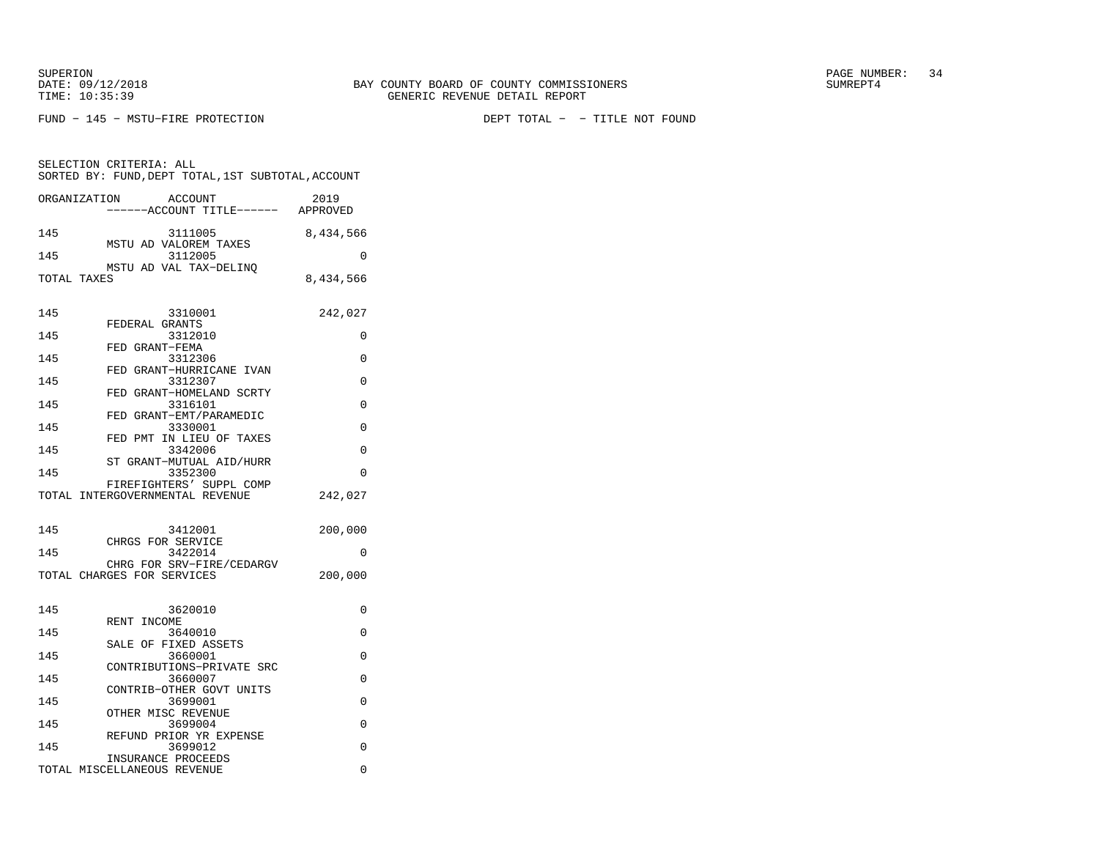DATE:  $09/12/2018$  SUMREPT4 TIME: 10:35:39 GENERIC REVENUE DETAIL REPORT

SUPERION PAGE NUMBER: 34

FUND − 145 − MSTU−FIRE PROTECTION DEPT TOTAL − − TITLE NOT FOUND

 SORTED BY: FUND,DEPT TOTAL,1ST SUBTOTAL,ACCOUNTORGANIZATION ACCOUNT 2019−−−−−−ACCOUNT TITLE−−−−−− APPROVED

SELECTION CRITERIA: ALL

| 145         | 3111005                              | 8,434,566 |
|-------------|--------------------------------------|-----------|
| 145         | MSTU AD VALOREM TAXES<br>3112005     | $\Omega$  |
|             | MSTU AD VAL TAX-DELINO               |           |
| TOTAL TAXES |                                      | 8,434,566 |
|             |                                      |           |
| 145         | 3310001                              | 242,027   |
|             | FEDERAL GRANTS                       |           |
| 145         | 3312010<br>FED GRANT-FEMA            | 0         |
| 145         | 3312306                              | $\Omega$  |
| 145         | FED GRANT-HURRICANE IVAN<br>3312307  | $\Omega$  |
|             | FED GRANT-HOMELAND SCRTY             |           |
| 145         | 3316101                              | $\Omega$  |
| 145         | FED GRANT-EMT/PARAMEDIC<br>3330001   | $\Omega$  |
|             | FED PMT IN LIEU OF TAXES             |           |
| 145         | 3342006                              | $\Omega$  |
| 145         | ST GRANT-MUTUAL AID/HURR<br>3352300  | $\Omega$  |
|             | FIREFIGHTERS' SUPPL COMP             |           |
|             | TOTAL INTERGOVERNMENTAL REVENUE      | 242,027   |
|             |                                      |           |
| 145         | 3412001                              | 200,000   |
|             | CHRGS FOR SERVICE                    |           |
| 145         | 3422014<br>CHRG FOR SRV-FIRE/CEDARGV | 0         |
|             | TOTAL CHARGES FOR SERVICES           | 200,000   |
|             |                                      |           |
| 145         | 3620010                              | 0         |
|             | RENT INCOME                          |           |
| 145         | 3640010                              | $\Omega$  |
| 145         | SALE OF FIXED ASSETS<br>3660001      | $\Omega$  |
|             | CONTRIBUTIONS-PRIVATE SRC            |           |
| 145         | 3660007                              | $\Omega$  |
|             | CONTRIB-OTHER GOVT UNITS             |           |

145 3699001 0

145 3699004 0 REFUND PRIOR YR EXPENSE145 3699012 0

TOTAL MISCELLANEOUS REVENUE 0

OTHER MISC REVENUE

INSURANCE PROCEEDS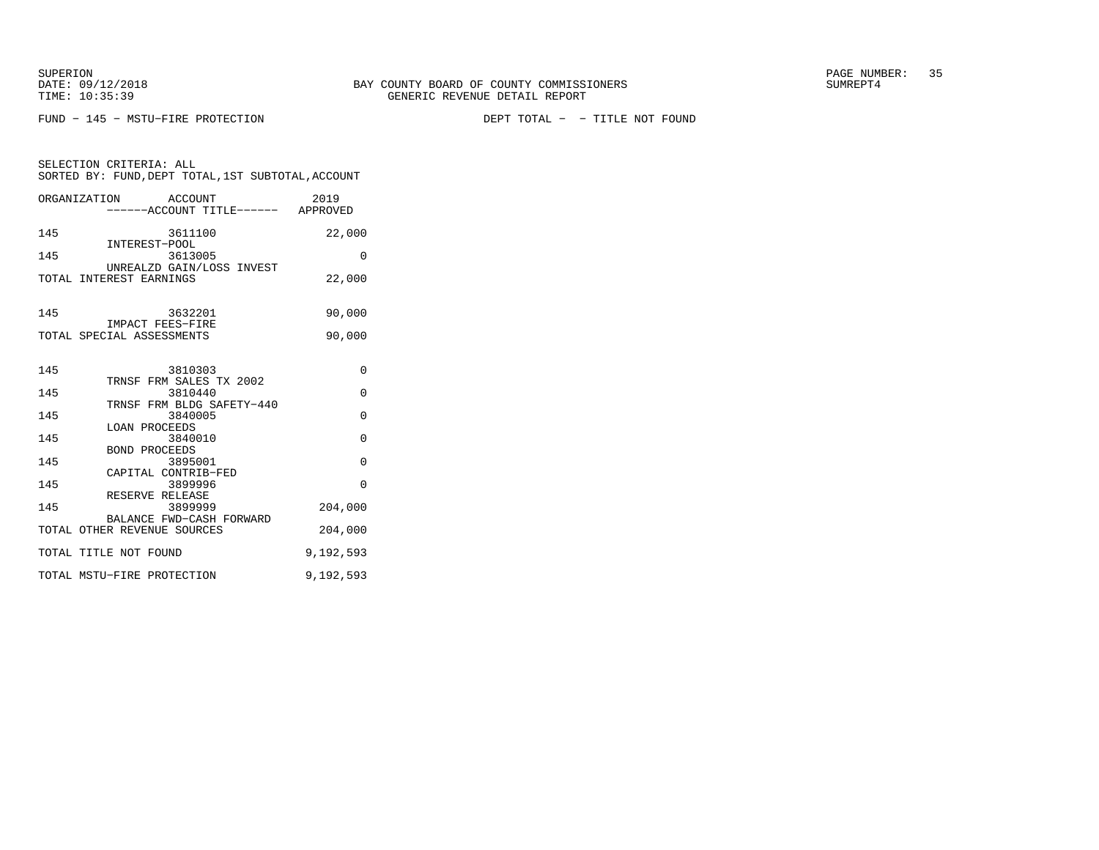FUND − 145 − MSTU−FIRE PROTECTION DEPT TOTAL − − TITLE NOT FOUND

SELECTION CRITERIA: ALL

| ORGANIZATION ACCOUNT<br>-----ACCOUNT TITLE------ APPROVED     | 2019      |
|---------------------------------------------------------------|-----------|
| 145<br>3611100                                                | 22,000    |
| INTEREST-POOL<br>3613005<br>145                               | $\Omega$  |
| UNREALZD GAIN/LOSS INVEST<br>TOTAL INTEREST EARNINGS          | 22,000    |
| 145<br>3632201<br>IMPACT FEES-FIRE                            | 90,000    |
| TOTAL SPECIAL ASSESSMENTS                                     | 90,000    |
| 145<br>3810303                                                | $\Omega$  |
| TRNSF FRM SALES TX 2002<br>3810440<br>145                     | $\Omega$  |
| TRNSF FRM BLDG SAFETY-440<br>145<br>3840005                   | $\Omega$  |
| <b>LOAN PROCEEDS</b><br>145<br>3840010                        | $\Omega$  |
| BOND PROCEEDS<br>145<br>3895001                               | $\Omega$  |
| CAPITAL CONTRIB-FED<br>145<br>3899996                         | $\Omega$  |
| RESERVE RELEASE<br>145<br>3899999<br>BALANCE FWD-CASH FORWARD | 204,000   |
| TOTAL OTHER REVENUE SOURCES                                   | 204,000   |
| TOTAL TITLE NOT FOUND                                         | 9,192,593 |
| TOTAL MSTU-FIRE PROTECTION                                    | 9,192,593 |

SORTED BY: FUND,DEPT TOTAL,1ST SUBTOTAL,ACCOUNT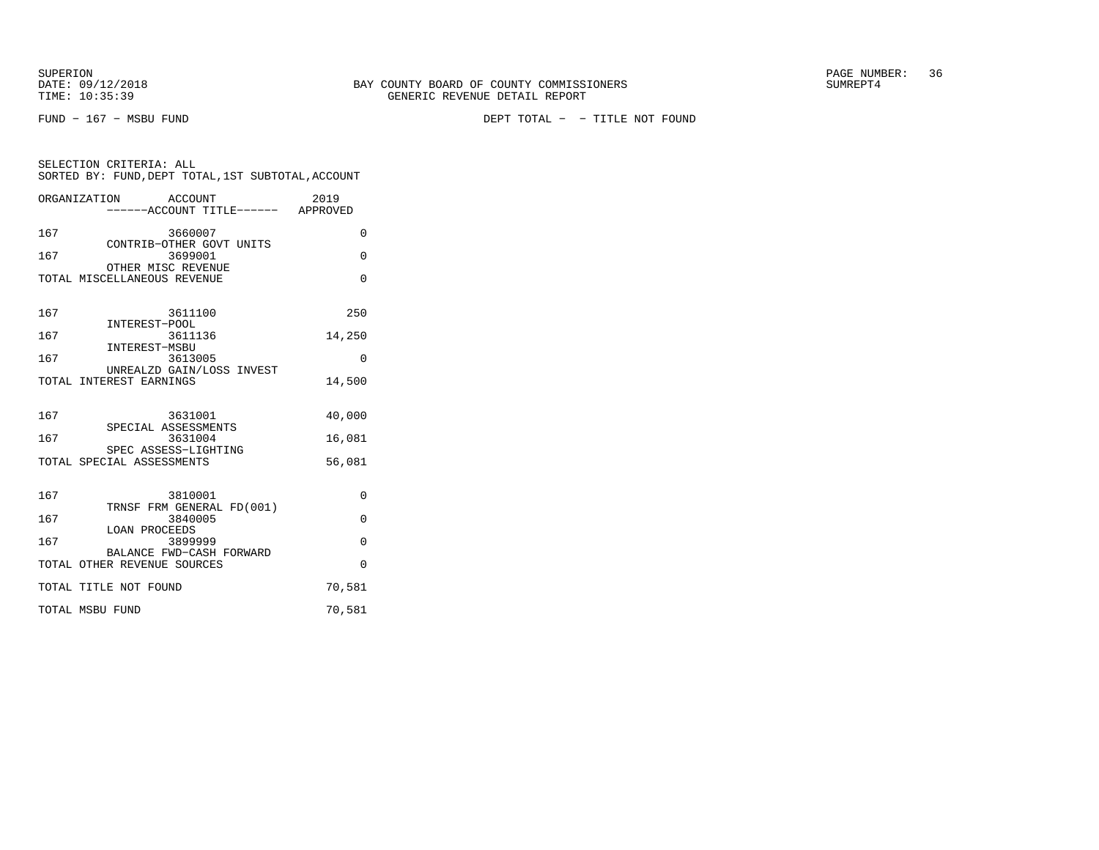SUPERION<br>
BAY COUNTY BOARD OF COUNTY COMMISSIONERS
BATE: 09/12/2018
SUMREPT4

FUND − 167 − MSBU FUND DEPT TOTAL − − TITLE NOT FOUND

| SELECTION CRITERIA: ALL<br>SORTED BY: FUND, DEPT TOTAL, 1ST SUBTOTAL, ACCOUNT |          |  |  |
|-------------------------------------------------------------------------------|----------|--|--|
| ORGANIZATION ACCOUNT<br>----ACCOUNT TITLE------ APPROVED                      | 2019     |  |  |
| 167<br>3660007<br>CONTRIB-OTHER GOVT UNITS                                    | 0        |  |  |
| 167<br>3699001<br>OTHER MISC REVENUE                                          | 0        |  |  |
| TOTAL MISCELLANEOUS REVENUE                                                   | 0        |  |  |
| 167<br>3611100<br>INTEREST-POOL                                               | 250      |  |  |
| 167<br>3611136<br>INTEREST-MSBU                                               | 14,250   |  |  |
| 167<br>3613005<br>UNREALZD GAIN/LOSS INVEST                                   | $\Omega$ |  |  |
| TOTAL INTEREST EARNINGS                                                       | 14,500   |  |  |
| 167<br>3631001<br>SPECIAL ASSESSMENTS                                         | 40,000   |  |  |
| 167<br>3631004<br>SPEC ASSESS-LIGHTING                                        | 16,081   |  |  |
| TOTAL SPECIAL ASSESSMENTS                                                     | 56,081   |  |  |
| 167<br>3810001<br>TRNSF FRM GENERAL FD(001)                                   | $\Omega$ |  |  |
| 167<br>3840005<br><b>LOAN PROCEEDS</b>                                        | $\Omega$ |  |  |
| 167<br>3899999<br>BALANCE FWD-CASH FORWARD                                    | $\Omega$ |  |  |
| TOTAL OTHER REVENUE SOURCES                                                   | O        |  |  |
| TOTAL TITLE NOT FOUND                                                         | 70,581   |  |  |
| TOTAL MSBU FUND                                                               | 70,581   |  |  |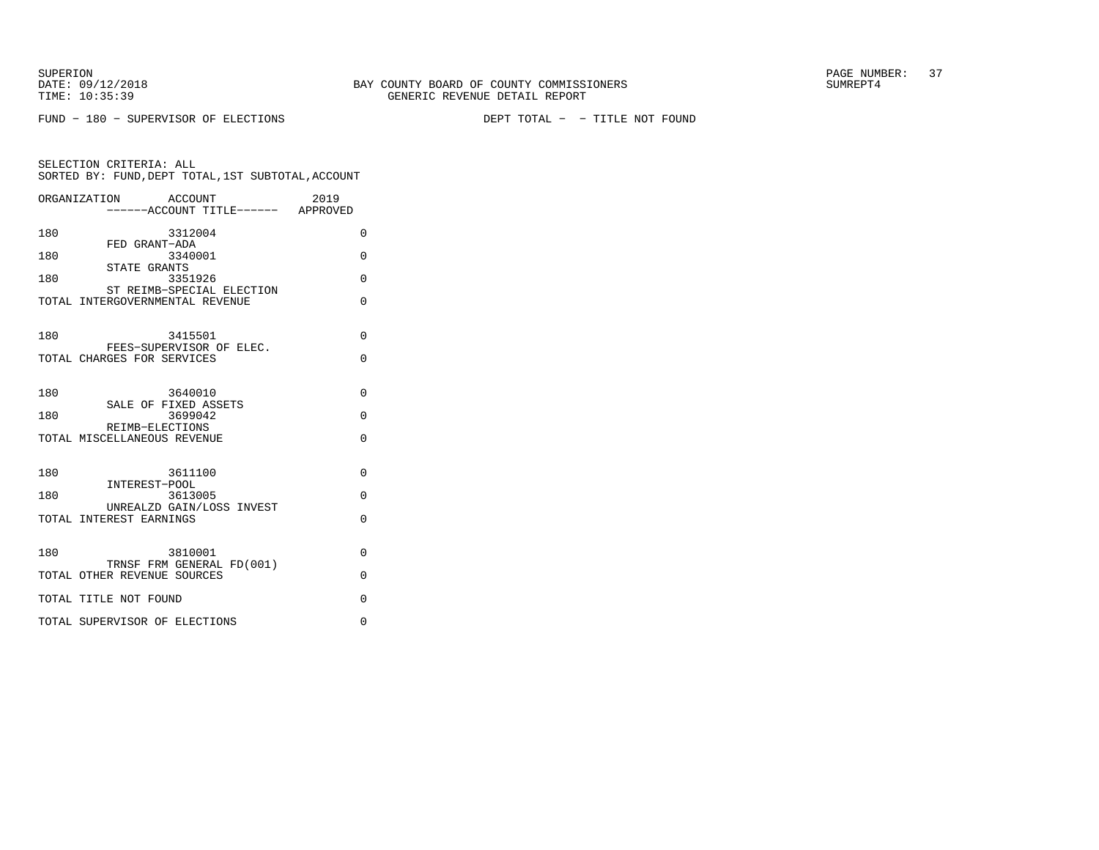FUND − 180 − SUPERVISOR OF ELECTIONS DEPT TOTAL − − TITLE NOT FOUND

|     | ORGANIZATION<br>ACCOUNT                                      | 2019     |
|-----|--------------------------------------------------------------|----------|
|     | -----ACCOUNT TITLE------ APPROVED                            |          |
| 180 | 3312004                                                      | $\Omega$ |
| 180 | FED GRANT-ADA<br>3340001                                     | $\Omega$ |
| 180 | STATE GRANTS<br>3351926                                      | $\Omega$ |
|     | ST REIMB-SPECIAL ELECTION<br>TOTAL INTERGOVERNMENTAL REVENUE | $\Omega$ |
| 180 | 3415501                                                      | 0        |
|     | FEES-SUPERVISOR OF ELEC.<br>TOTAL CHARGES FOR SERVICES       | $\Omega$ |
| 180 | 3640010                                                      | $\Omega$ |
| 180 | SALE OF FIXED ASSETS<br>3699042                              | $\Omega$ |
|     | REIMB-ELECTIONS<br>TOTAL MISCELLANEOUS REVENUE               | $\Omega$ |
| 180 | 3611100                                                      | $\Omega$ |
| 180 | INTEREST-POOL<br>3613005                                     | $\Omega$ |
|     | UNREALZD GAIN/LOSS INVEST<br>TOTAL INTEREST EARNINGS         | $\Omega$ |
| 180 | 3810001                                                      | $\Omega$ |
|     | TRNSF FRM GENERAL FD(001)<br>TOTAL OTHER REVENUE SOURCES     | 0        |
|     | TOTAL TITLE NOT FOUND                                        | $\Omega$ |
|     | TOTAL SUPERVISOR OF ELECTIONS                                | $\Omega$ |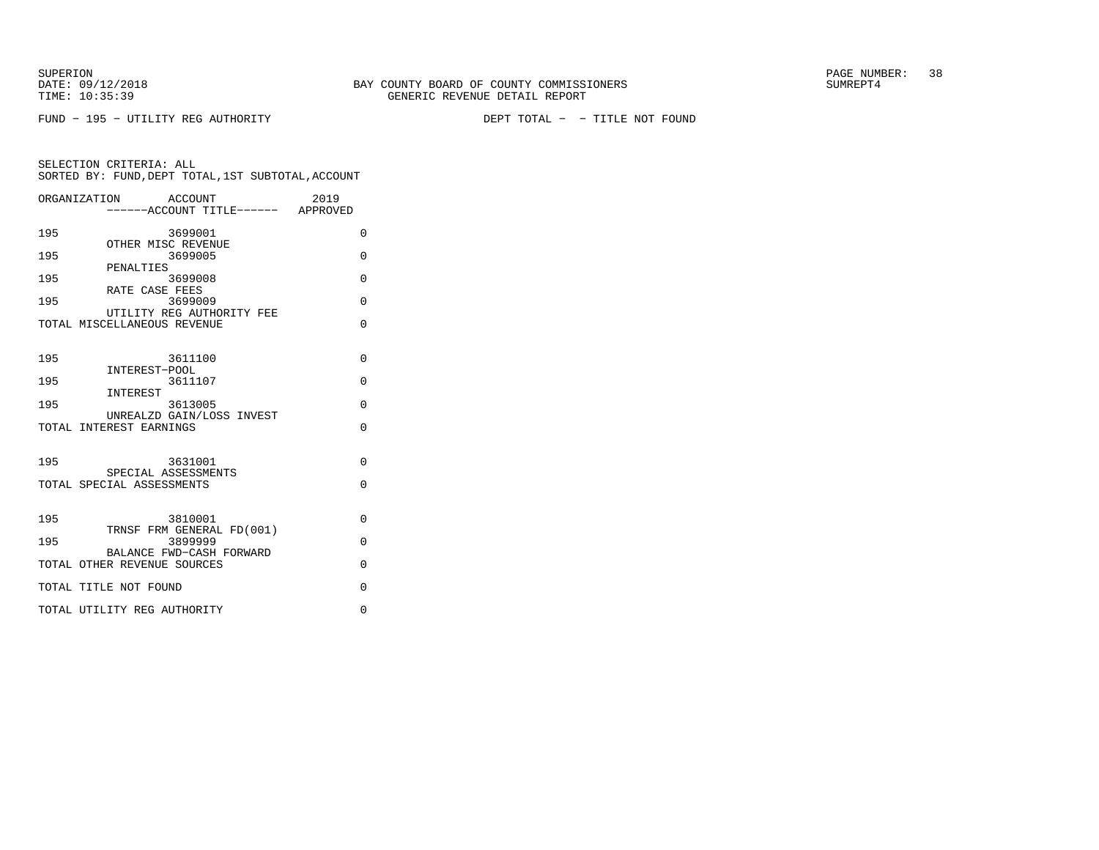FUND − 195 − UTILITY REG AUTHORITY DEPT TOTAL − − TITLE NOT FOUND

|     | ORGANIZATION<br>ACCOUNT<br>----ACCOUNT TITLE------ APPROVED | 2019     |
|-----|-------------------------------------------------------------|----------|
| 195 | 3699001                                                     | $\Omega$ |
| 195 | OTHER MISC REVENUE<br>3699005                               | $\Omega$ |
| 195 | PENALTIES<br>3699008                                        | $\Omega$ |
| 195 | RATE CASE FEES<br>3699009                                   | O        |
|     | UTILITY REG AUTHORITY FEE<br>TOTAL MISCELLANEOUS REVENUE    | O        |
|     |                                                             |          |
| 195 | 3611100<br>INTEREST-POOL                                    | $\Omega$ |
| 195 | 3611107                                                     | $\Omega$ |
| 195 | INTEREST<br>3613005                                         | $\Omega$ |
|     | UNREALZD GAIN/LOSS INVEST<br>TOTAL INTEREST EARNINGS        | $\Omega$ |
|     |                                                             |          |
| 195 | 3631001<br>SPECIAL ASSESSMENTS                              | $\Omega$ |
|     | TOTAL SPECIAL ASSESSMENTS                                   | $\Omega$ |
|     |                                                             |          |
| 195 | 3810001<br>TRNSF FRM GENERAL FD(001)                        | $\Omega$ |
| 195 | 3899999                                                     | $\Omega$ |
|     | BALANCE FWD-CASH FORWARD<br>TOTAL OTHER REVENUE SOURCES     | $\Omega$ |
|     | TOTAL TITLE NOT FOUND                                       | $\Omega$ |
|     | TOTAL UTILITY REG AUTHORITY                                 | $\Omega$ |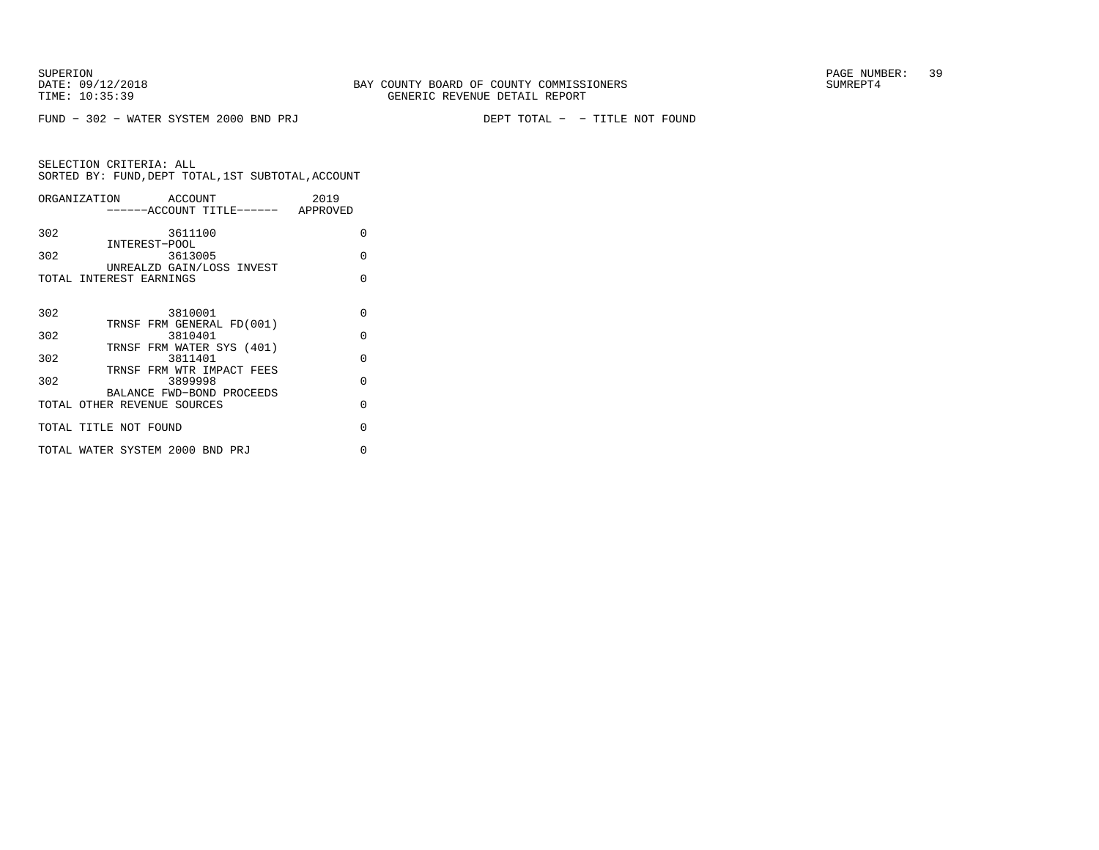FUND − 302 − WATER SYSTEM 2000 BND PRJ DEPT TOTAL − − TITLE NOT FOUND

|     | ORGANIZATION ACCOUNT                                  | 2019     |
|-----|-------------------------------------------------------|----------|
|     | ------ACCOUNT TITLE------ APPROVED                    |          |
| 302 | 3611100                                               | $\Omega$ |
| 302 | INTEREST-POOL<br>3613005<br>UNREALZD GAIN/LOSS INVEST | $\Omega$ |
|     | TOTAL INTEREST EARNINGS                               | O        |
|     |                                                       |          |
| 302 | 3810001                                               | O        |
| 302 | TRNSF FRM GENERAL FD(001)<br>3810401                  | $\Omega$ |
|     | TRNSF FRM WATER SYS (401)                             |          |
| 302 | 3811401                                               | $\cap$   |
| 302 | TRNSF FRM WTR IMPACT FEES<br>3899998                  | O        |
|     | BALANCE FWD-BOND PROCEEDS                             |          |
|     | TOTAL OTHER REVENUE SOURCES                           | $\Omega$ |
|     | TOTAL TITLE NOT FOUND                                 | O        |
|     | TOTAL WATER SYSTEM 2000 BND PRJ                       | U        |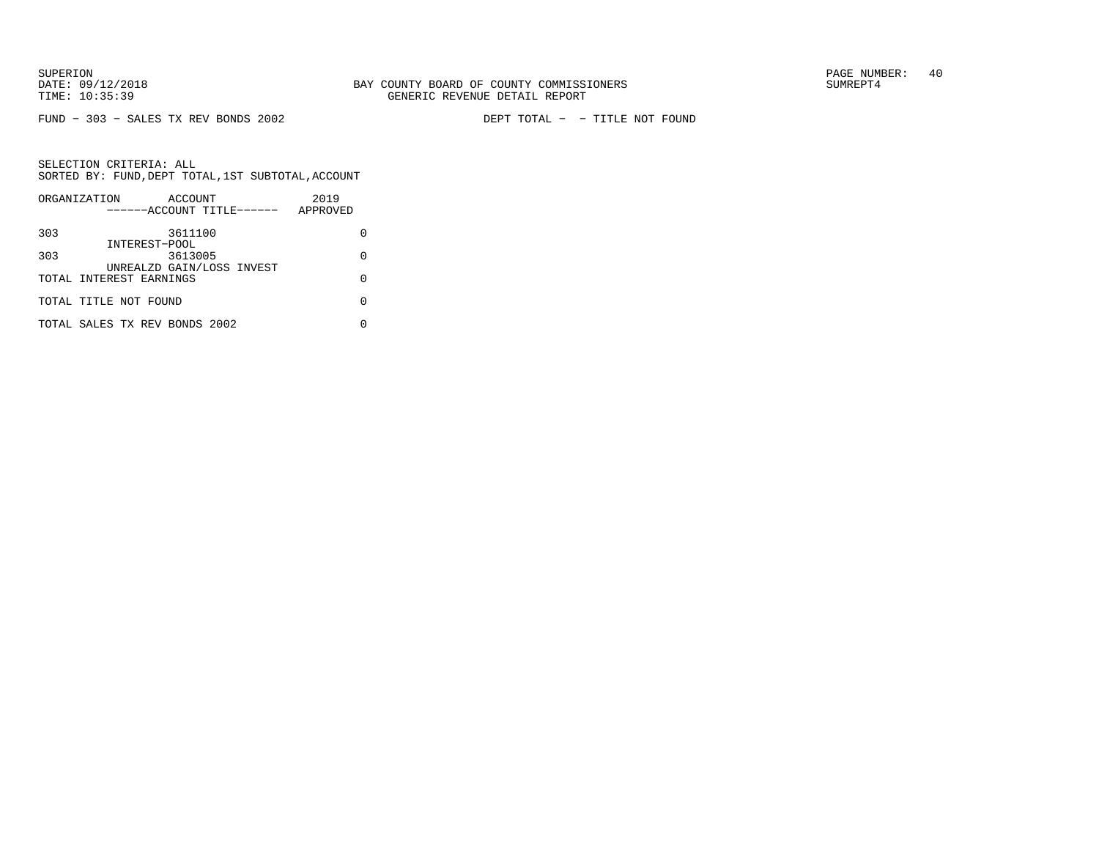FUND − 303 − SALES TX REV BONDS 2002 DEPT TOTAL − − TITLE NOT FOUND

|     | ORGANIZATION<br>ACCOUNT       | 2019     |
|-----|-------------------------------|----------|
|     | ------ACCOUNT TITLE------     | APPROVED |
| 303 | 3611100                       |          |
|     | INTEREST-POOL                 |          |
| 303 | 3613005                       | O        |
|     | UNREALZD GAIN/LOSS INVEST     |          |
|     | TOTAL INTEREST EARNINGS       | U        |
|     |                               |          |
|     | TOTAL TITLE NOT FOUND         |          |
|     |                               |          |
|     | TOTAL SALES TX REV BONDS 2002 |          |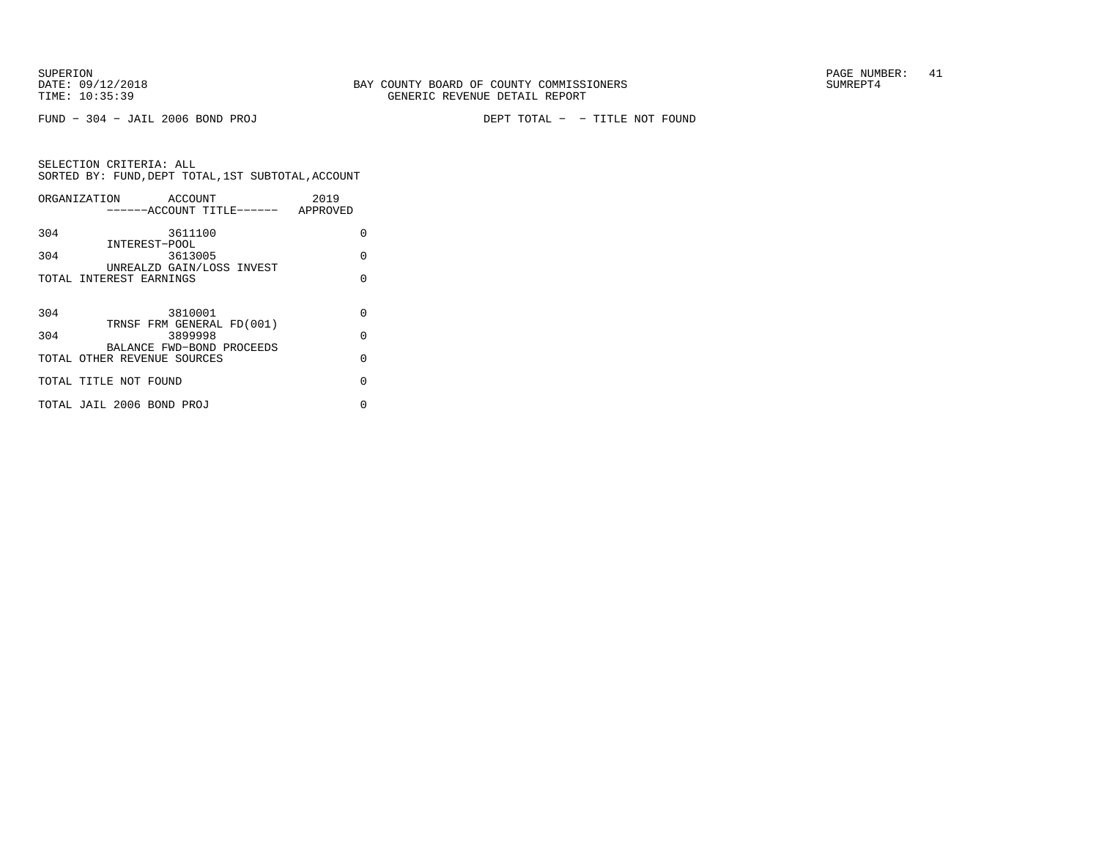FUND − 304 − JAIL 2006 BOND PROJ DEPT TOTAL − − TITLE NOT FOUND

| ORGANIZATION ACCOUNT        |                                    | 2019     |
|-----------------------------|------------------------------------|----------|
|                             | ------ACCOUNT TITLE------ APPROVED |          |
| 304                         | 3611100                            | O        |
| INTEREST-POOL               |                                    |          |
| 304                         | 3613005                            | $\Omega$ |
|                             | UNREALZD GAIN/LOSS INVEST          |          |
| TOTAL INTEREST EARNINGS     |                                    | O        |
|                             |                                    |          |
| 304                         | 3810001                            | $\Omega$ |
|                             | TRNSF FRM GENERAL FD(001)          |          |
| 304                         | 3899998                            | $\Omega$ |
|                             | BALANCE FWD-BOND PROCEEDS          |          |
| TOTAL OTHER REVENUE SOURCES |                                    | $\Omega$ |
|                             |                                    |          |
| TOTAL TITLE NOT FOUND       |                                    | $\Omega$ |
|                             |                                    |          |
| TOTAL JAIL 2006 BOND PROJ   |                                    | 0        |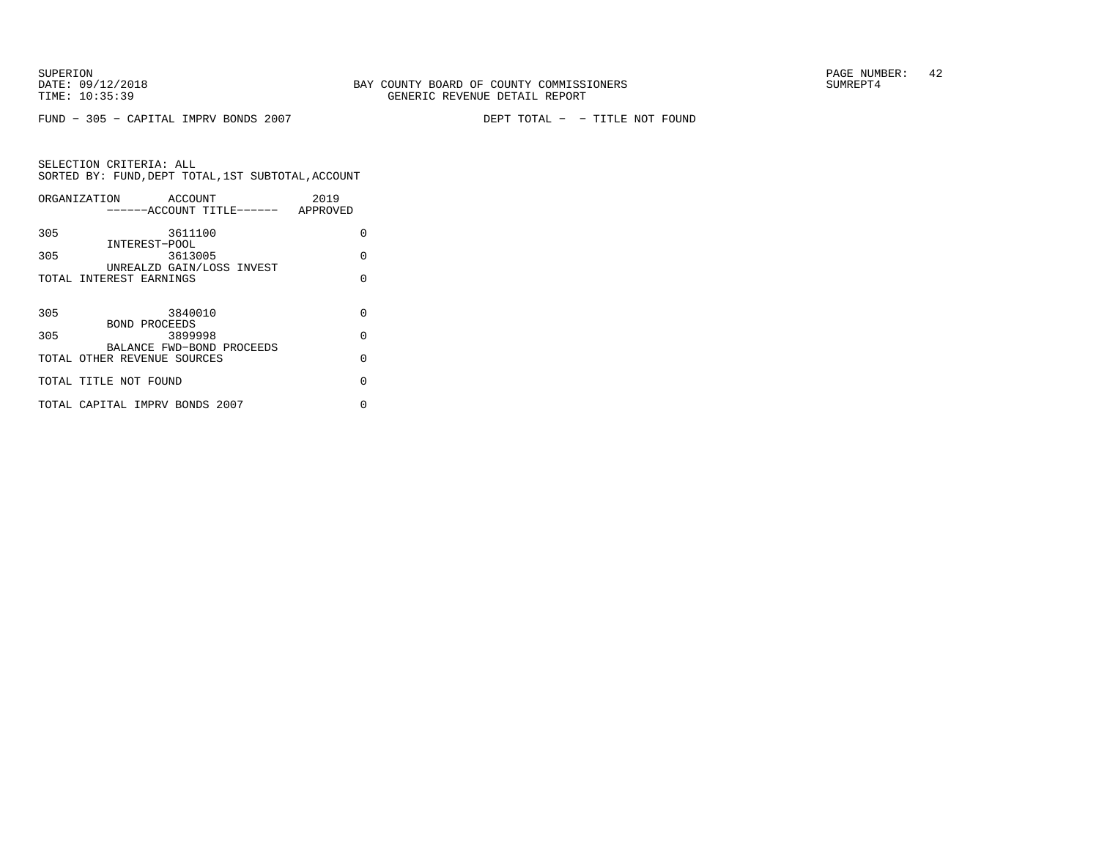FUND − 305 − CAPITAL IMPRV BONDS 2007 DEPT TOTAL − − TITLE NOT FOUND

|     | ORGANIZATION<br>ACCOUNT            | 2019     |
|-----|------------------------------------|----------|
|     | ------ACCOUNT TITLE------ APPROVED |          |
|     |                                    |          |
| 305 | 3611100                            | O        |
|     | INTEREST-POOL                      |          |
| 305 | 3613005                            | $\Omega$ |
|     | UNREALZD GAIN/LOSS INVEST          |          |
|     | TOTAL INTEREST EARNINGS            | O        |
|     |                                    |          |
|     |                                    |          |
| 305 | 3840010                            | O        |
|     | <b>BOND PROCEEDS</b>               |          |
| 305 | 3899998                            | $\Omega$ |
|     | BALANCE FWD-BOND PROCEEDS          |          |
|     | TOTAL OTHER REVENUE SOURCES        | $\Omega$ |
|     |                                    |          |
|     | TOTAL TITLE NOT FOUND              | $\cap$   |
|     |                                    |          |
|     | TOTAL CAPITAL IMPRV BONDS 2007     | O        |
|     |                                    |          |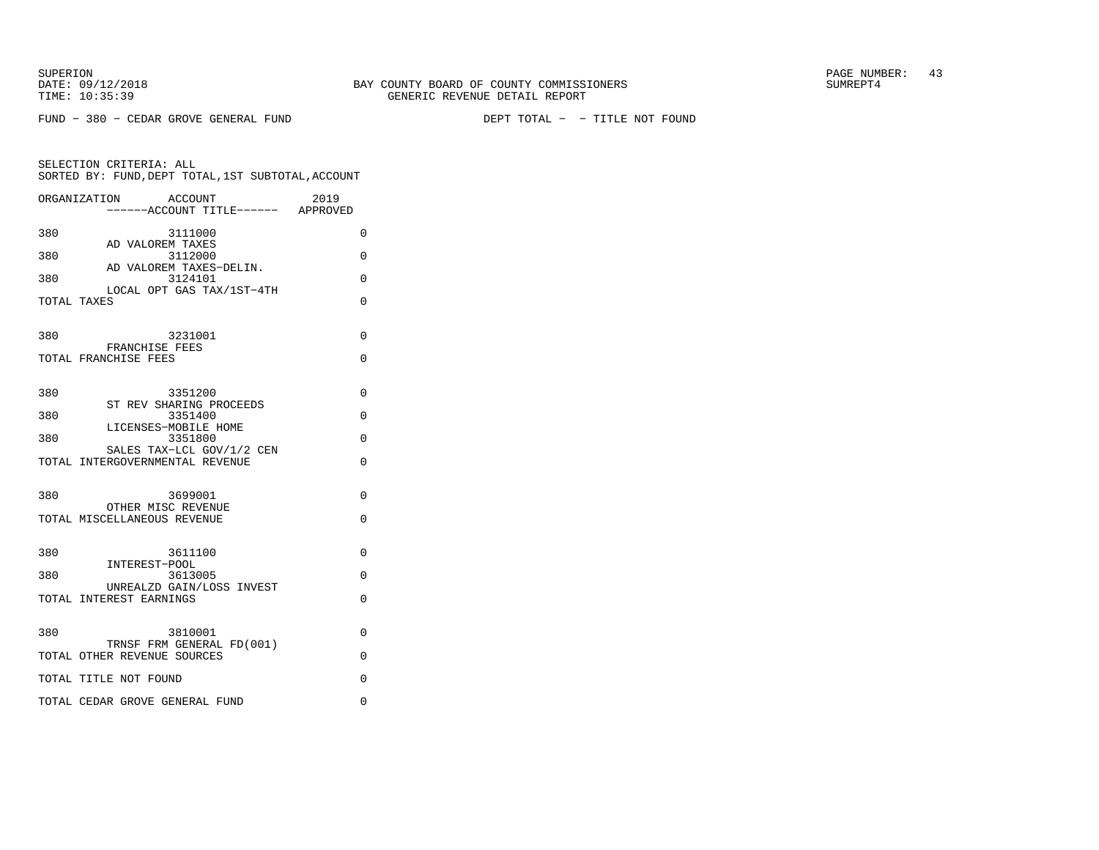SELECTION CRITERIA: ALL

SUPERION PAGE NUMBER: 43

FUND − 380 − CEDAR GROVE GENERAL FUND DEPT TOTAL − − TITLE NOT FOUND

 SORTED BY: FUND,DEPT TOTAL,1ST SUBTOTAL,ACCOUNTORGANIZATION ACCOUNT 2019−−−−−−ACCOUNT TITLE−−−−−− APPROVED

| 380 | 3111000<br>AD VALOREM TAXES                                  | $\Omega$ |
|-----|--------------------------------------------------------------|----------|
| 380 | 3112000                                                      | $\Omega$ |
| 380 | AD VALOREM TAXES-DELIN.<br>3124101                           | $\Omega$ |
|     | LOCAL OPT GAS TAX/1ST-4TH<br>TOTAL TAXES                     | $\Omega$ |
| 380 | 3231001<br>FRANCHISE FEES                                    | $\Omega$ |
|     | TOTAL FRANCHISE FEES                                         | $\Omega$ |
| 380 | 3351200                                                      | $\Omega$ |
| 380 | ST REV SHARING PROCEEDS<br>3351400                           | $\Omega$ |
| 380 | LICENSES-MOBILE HOME<br>3351800                              | $\Omega$ |
|     | SALES TAX-LCL GOV/1/2 CEN<br>TOTAL INTERGOVERNMENTAL REVENUE | $\Omega$ |
|     |                                                              |          |
| 380 | 3699001<br>OTHER MISC REVENUE                                | $\Omega$ |
|     | TOTAL MISCELLANEOUS REVENUE                                  | $\Omega$ |
| 380 | 3611100                                                      | $\Omega$ |
| 380 | INTEREST-POOL<br>3613005                                     | $\Omega$ |
|     | UNREALZD GAIN/LOSS INVEST<br>TOTAL INTEREST EARNINGS         | $\Omega$ |
|     |                                                              |          |

| 380<br>3810001                                           |  |
|----------------------------------------------------------|--|
| TRNSF FRM GENERAL FD(001)<br>TOTAL OTHER REVENUE SOURCES |  |
| TOTAL TITLE NOT FOUND                                    |  |
| TOTAL CEDAR GROVE GENERAL FUND                           |  |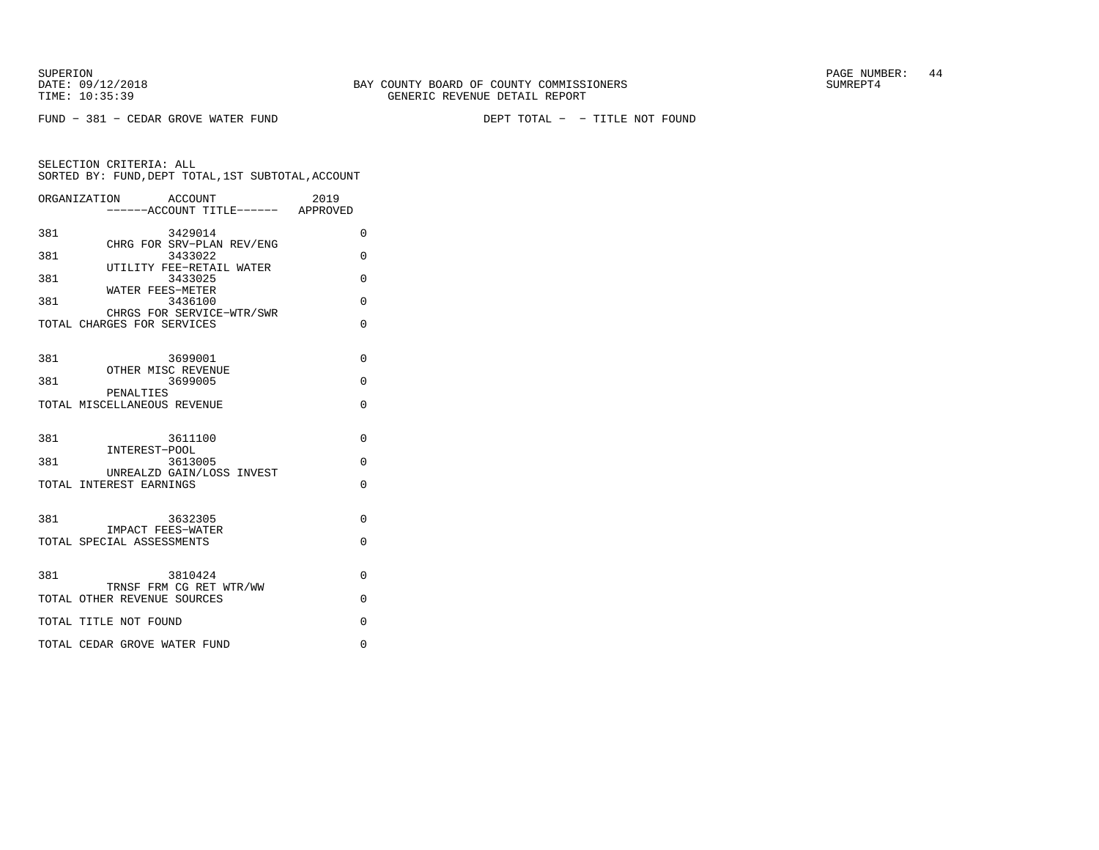FUND − 381 − CEDAR GROVE WATER FUND DEPT TOTAL − − TITLE NOT FOUND

| ORGANIZATION | ACCOUNT<br>------ACCOUNT TITLE------ APPROVED           | 2019     |  |
|--------------|---------------------------------------------------------|----------|--|
| 381          | 3429014                                                 | 0        |  |
| 381          | CHRG FOR SRV-PLAN REV/ENG<br>3433022                    | $\Omega$ |  |
| 381          | UTILITY FEE-RETAIL WATER<br>3433025                     | $\Omega$ |  |
| 381          | WATER FEES-METER<br>3436100                             | $\Omega$ |  |
|              | CHRGS FOR SERVICE-WTR/SWR<br>TOTAL CHARGES FOR SERVICES | $\Omega$ |  |
| 381          | 3699001                                                 | $\Omega$ |  |
| 381          | OTHER MISC REVENUE<br>3699005                           | $\Omega$ |  |
|              | PENALTIES<br>TOTAL MISCELLANEOUS REVENUE                | 0        |  |
| 381          | 3611100                                                 | $\Omega$ |  |
| 381          | INTEREST-POOL<br>3613005                                | $\Omega$ |  |
|              | UNREALZD GAIN/LOSS INVEST<br>TOTAL INTEREST EARNINGS    | $\Omega$ |  |
|              |                                                         |          |  |
| 381          | 3632305<br>IMPACT FEES-WATER                            | 0        |  |
|              | TOTAL SPECIAL ASSESSMENTS                               | $\Omega$ |  |
| 381          | 3810424                                                 | $\Omega$ |  |
|              | TRNSF FRM CG RET WTR/WW<br>TOTAL OTHER REVENUE SOURCES  | $\Omega$ |  |
|              | TOTAL TITLE NOT FOUND                                   | $\Omega$ |  |
|              | TOTAL CEDAR GROVE WATER FUND                            | $\Omega$ |  |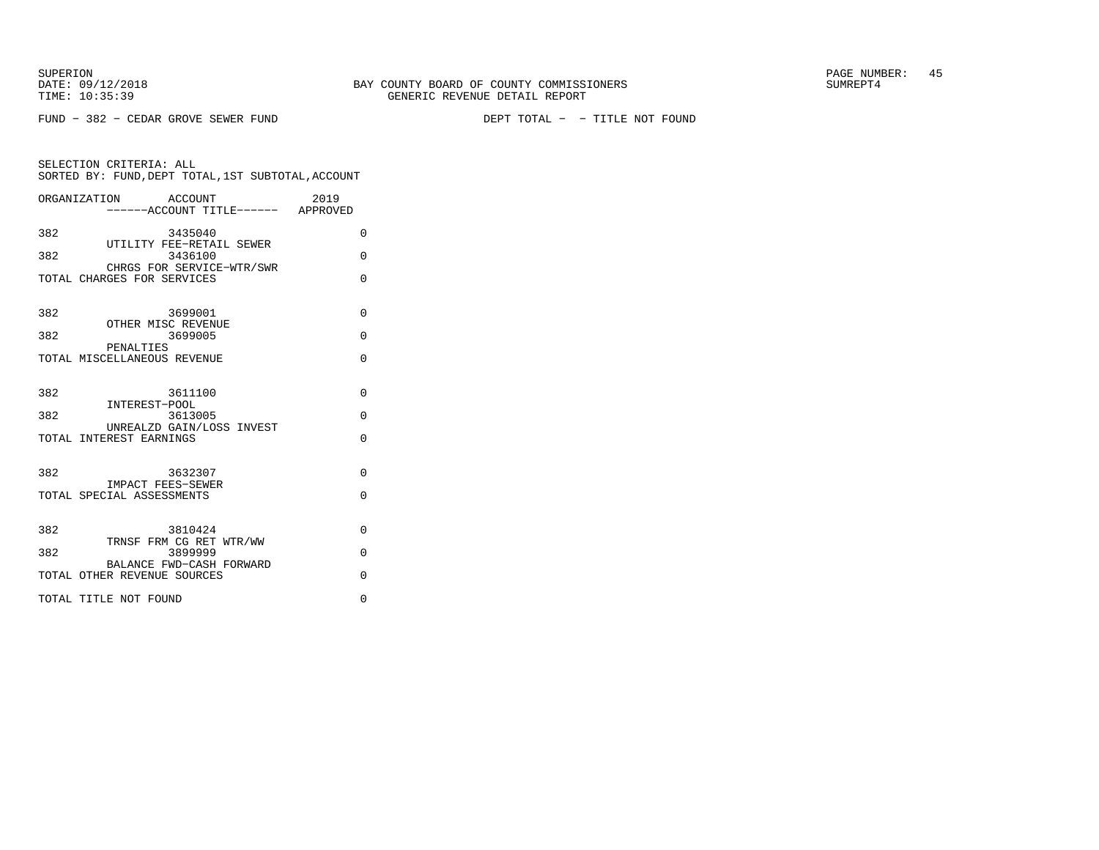FUND − 382 − CEDAR GROVE SEWER FUND DEPT TOTAL − − TITLE NOT FOUND

SELECTION CRITERIA: ALL SORTED BY: FUND,DEPT TOTAL,1ST SUBTOTAL,ACCOUNTORGANIZATION ACCOUNT 2019−−−−−−ACCOUNT TITLE−−−−−− APPROVED

| 382 | 3435040                                                 | $\Omega$ |
|-----|---------------------------------------------------------|----------|
| 382 | UTILITY FEE-RETAIL SEWER<br>3436100                     | $\Omega$ |
|     | CHRGS FOR SERVICE-WTR/SWR<br>TOTAL CHARGES FOR SERVICES | $\Omega$ |
| 382 | 3699001                                                 | $\Omega$ |
| 382 | OTHER MISC REVENUE<br>3699005                           | $\Omega$ |
|     | PENALTIES                                               |          |
|     | TOTAL MISCELLANEOUS REVENUE                             | $\Omega$ |
| 382 | 3611100                                                 | $\Omega$ |
| 382 | INTEREST-POOL<br>3613005                                | $\Omega$ |
|     | UNREALZD GAIN/LOSS INVEST<br>TOTAL INTEREST EARNINGS    | $\Omega$ |
|     |                                                         |          |
| 382 | 3632307<br>IMPACT FEES-SEWER                            | $\Omega$ |
|     | TOTAL SPECIAL ASSESSMENTS                               | $\Omega$ |
| 382 | 3810424                                                 |          |
|     | TRNSF FRM CG RET WTR/WW                                 | $\Omega$ |
| 382 | 3899999<br>BALANCE FWD-CASH FORWARD                     | $\Omega$ |
|     | TOTAL OTHER REVENUE SOURCES                             | $\Omega$ |
|     | TOTAL TITLE NOT FOUND                                   | $\Omega$ |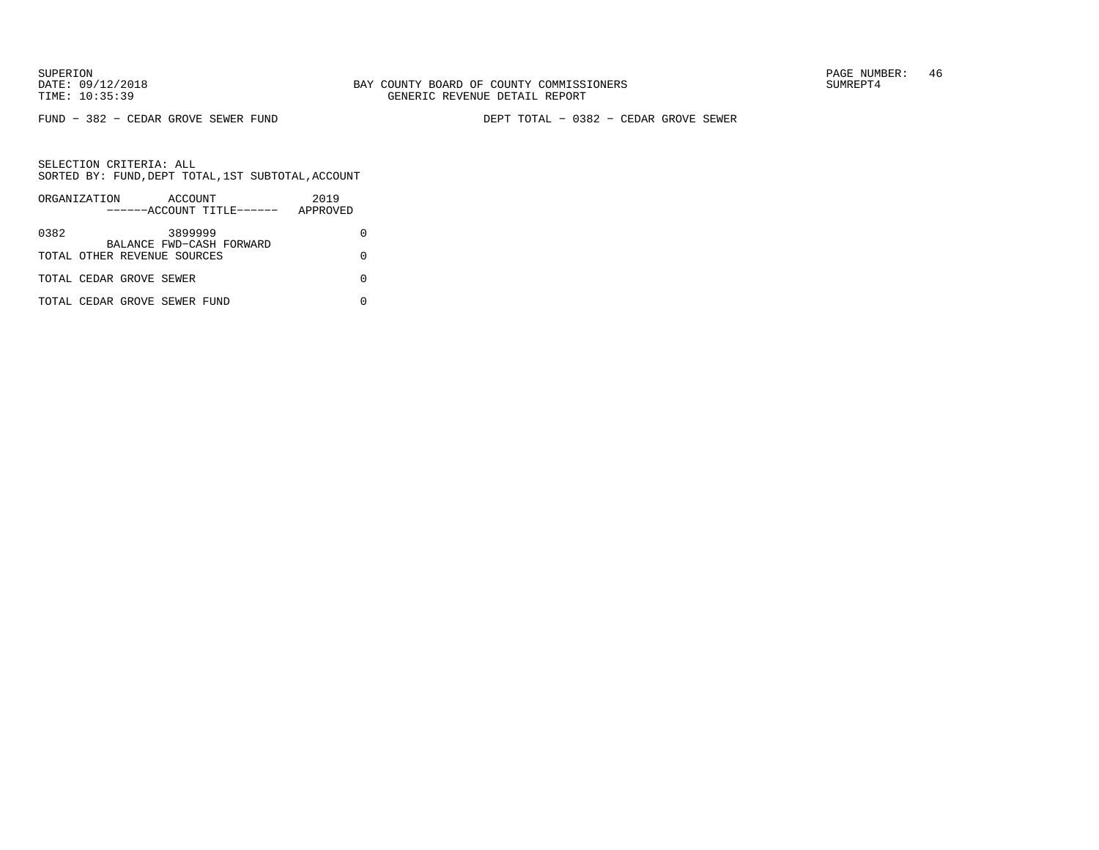FUND − 382 − CEDAR GROVE SEWER FUND DEPT TOTAL − 0382 − CEDAR GROVE SEWER

|      | ORGANIZATION                 | ACCOUNT | ------ACCOUNT TITLE------ | 2019<br>APPROVED |  |
|------|------------------------------|---------|---------------------------|------------------|--|
| 0382 |                              | 3899999 |                           |                  |  |
|      | TOTAL OTHER REVENUE SOURCES  |         | BALANCE FWD-CASH FORWARD  |                  |  |
|      | TOTAL CEDAR GROVE SEWER      |         |                           |                  |  |
|      | TOTAL CEDAR GROVE SEWER FUND |         |                           |                  |  |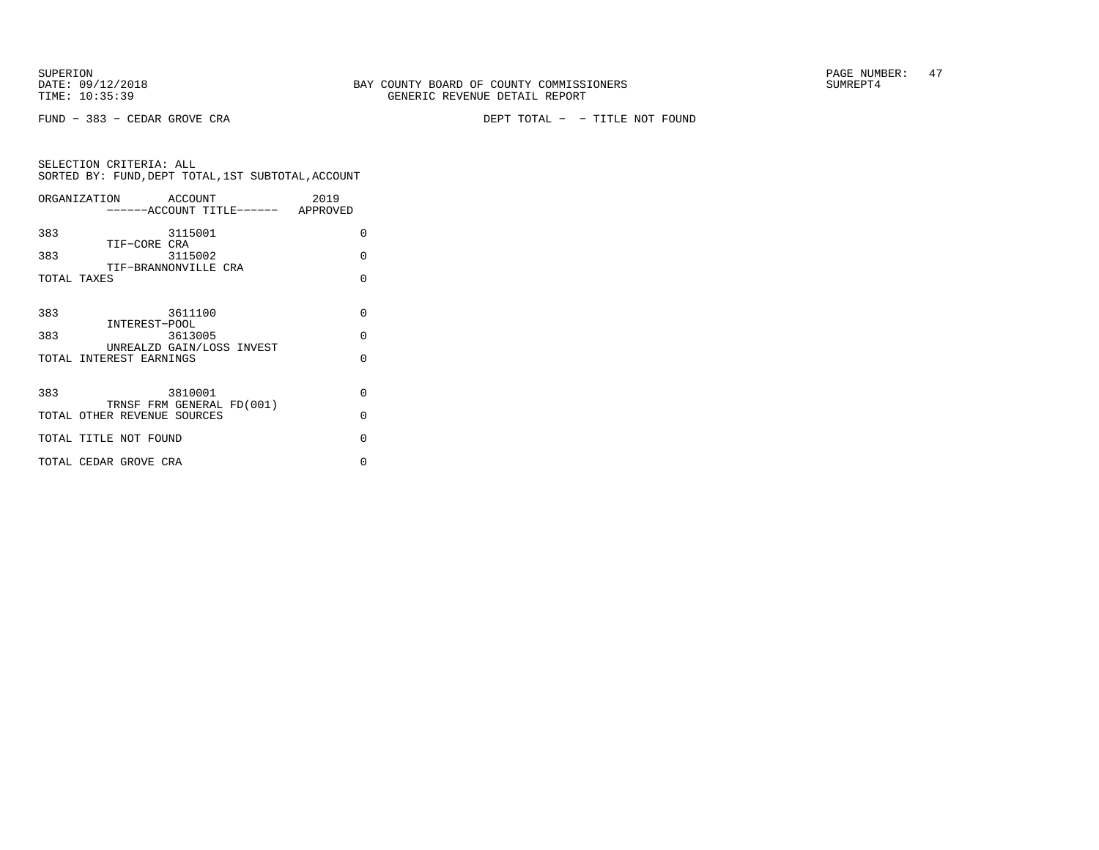FUND − 383 − CEDAR GROVE CRA DEPT TOTAL − − TITLE NOT FOUND

| ORGANIZATION                | ACCOUNT                              | 2019     |
|-----------------------------|--------------------------------------|----------|
|                             | ------ACCOUNT TITLE------ APPROVED   |          |
| 383                         | 3115001                              | 0        |
| TIF-CORE CRA<br>383         | 3115002                              | $\Omega$ |
|                             | TIF-BRANNONVILLE CRA                 |          |
| TOTAL TAXES                 |                                      | $\Omega$ |
|                             |                                      |          |
| 383                         | 3611100                              | $\Omega$ |
| INTEREST-POOL<br>383        | 3613005                              | $\Omega$ |
|                             | UNREALZD GAIN/LOSS INVEST            |          |
| TOTAL INTEREST EARNINGS     |                                      | $\Omega$ |
|                             |                                      |          |
| 383                         | 3810001<br>TRNSF FRM GENERAL FD(001) | $\Omega$ |
| TOTAL OTHER REVENUE SOURCES |                                      | $\Omega$ |
| TOTAL TITLE NOT FOUND       |                                      | $\Omega$ |
|                             |                                      |          |
| TOTAL CEDAR GROVE CRA       |                                      | O        |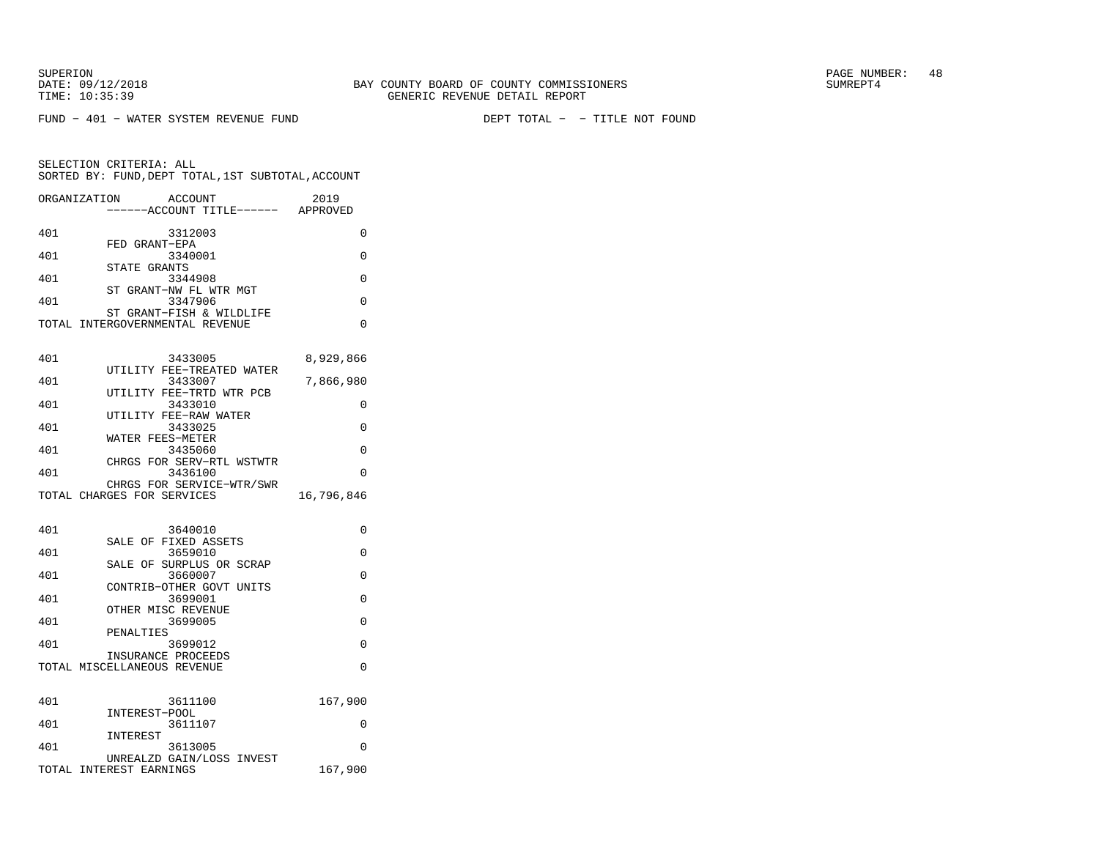FUND − 401 − WATER SYSTEM REVENUE FUND DEPT TOTAL − − TITLE NOT FOUND

| ORGANIZATION               | ACCOUNT<br>---ACCOUNT TITLE------                           | 2019<br>APPROVED |
|----------------------------|-------------------------------------------------------------|------------------|
| 401                        | 3312003                                                     | 0                |
| 401                        | FED GRANT-EPA<br>3340001                                    | 0                |
| 401                        | STATE GRANTS<br>3344908                                     | 0                |
| ST<br>401                  | GRANT-NW FL WTR MGT<br>3347906                              | $\Omega$         |
|                            | ST GRANT-FISH & WILDLIFE<br>TOTAL INTERGOVERNMENTAL REVENUE | 0                |
| 401                        | 3433005                                                     | 8,929,866        |
| 401                        | UTILITY FEE-TREATED WATER<br>3433007                        | 7,866,980        |
| 401                        | UTILITY FEE-TRTD WTR PCB<br>3433010                         | 0                |
| 401                        | UTILITY FEE-RAW WATER<br>3433025                            | 0                |
| 401                        | WATER FEES-METER<br>3435060                                 | 0                |
| 401                        | CHRGS FOR SERV-RTL WSTWTR<br>3436100                        | 0                |
| TOTAL CHARGES FOR SERVICES | CHRGS FOR SERVICE-WTR/SWR                                   | 16,796,846       |
| 401                        | 3640010                                                     | 0                |
| 401                        | SALE OF FIXED ASSETS<br>3659010                             | 0                |
|                            | SALE OF SURPLUS OR SCRAP                                    |                  |
| 401                        | 3660007<br>CONTRIB-OTHER GOVT UNITS                         | 0                |
| 401                        | 3699001<br>OTHER MISC REVENUE                               | $\Omega$         |
| 401                        | 3699005<br>PENALTIES                                        | 0                |
| 401                        | 3699012<br>INSURANCE PROCEEDS                               | $\Omega$         |
|                            | TOTAL MISCELLANEOUS REVENUE                                 | $\Omega$         |
| 401                        | 3611100                                                     | 167,900          |
| 401                        | INTEREST-POOL<br>3611107                                    | 0                |
| 401                        | INTEREST<br>3613005                                         | 0                |
| TOTAL INTEREST EARNINGS    | UNREALZD GAIN/LOSS INVEST                                   | 167,900          |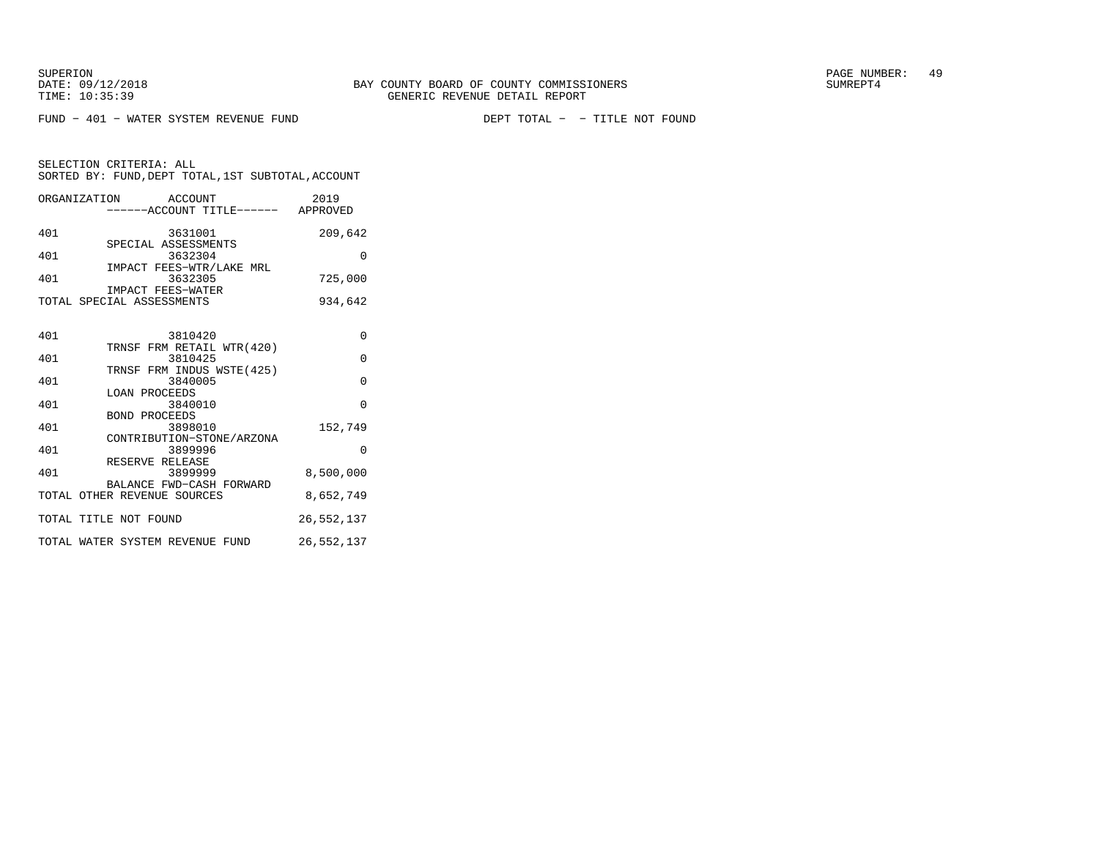FUND − 401 − WATER SYSTEM REVENUE FUND DEPT TOTAL − − TITLE NOT FOUND

| ORGANIZATION | ACCOUNT<br>------ACCOUNT TITLE------           | 2019<br>APPROVED |
|--------------|------------------------------------------------|------------------|
| 401          | 3631001                                        | 209,642          |
| 401          | SPECIAL ASSESSMENTS<br>3632304                 | U                |
| 401          | IMPACT FEES-WTR/LAKE MRL<br>3632305            | 725,000          |
|              | IMPACT FEES-WATER<br>TOTAL SPECIAL ASSESSMENTS | 934,642          |
|              |                                                |                  |
| 101          | 2010120                                        | ∩                |

| 40 L | 3810420                         | U            |
|------|---------------------------------|--------------|
|      | TRNSF FRM RETAIL WTR(420)       |              |
| 401  | 3810425                         | $\Omega$     |
|      | TRNSF FRM INDUS WSTE(425)       |              |
| 401  | 3840005                         | $\Omega$     |
|      | LOAN PROCEEDS                   |              |
| 401  | 3840010                         | $\Omega$     |
|      | BOND PROCEEDS                   |              |
| 401  | 3898010                         | 152,749      |
|      | CONTRIBUTION-STONE/ARZONA       |              |
| 401  | 3899996                         | 0            |
|      | RESERVE RELEASE                 |              |
| 401  | 3899999                         | 8,500,000    |
|      | BALANCE FWD-CASH FORWARD        |              |
|      | TOTAL OTHER REVENUE SOURCES     | 8,652,749    |
|      |                                 |              |
|      | TOTAL TITLE NOT FOUND           | 26, 552, 137 |
|      | TOTAL WATER SYSTEM REVENUE FUND | 26,552,137   |
|      |                                 |              |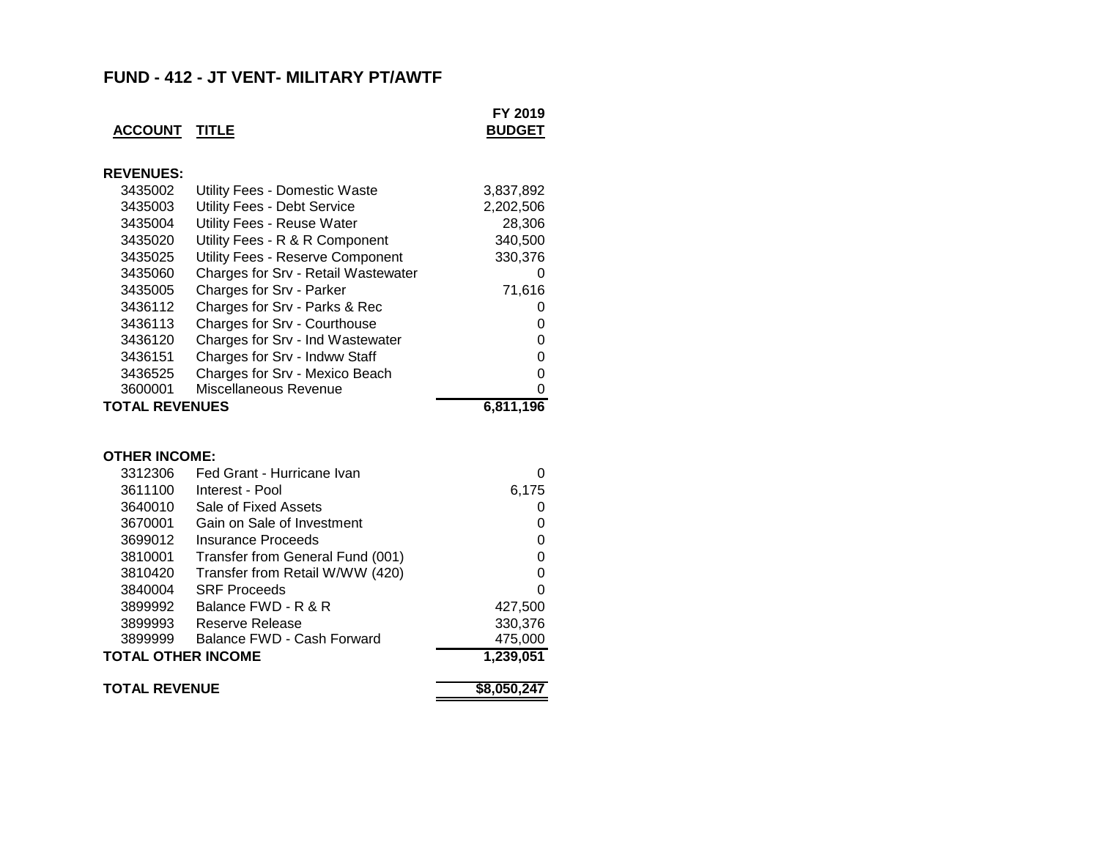## **FUND - 412 - JT VENT- MILITARY PT/AWTF**

| <b>ACCOUNT</b>            | <u>TITLE</u>                        | FY 2019<br><b>BUDGET</b> |
|---------------------------|-------------------------------------|--------------------------|
| <b>REVENUES:</b>          |                                     |                          |
| 3435002                   | Utility Fees - Domestic Waste       | 3,837,892                |
| 3435003                   | Utility Fees - Debt Service         | 2,202,506                |
| 3435004                   | <b>Utility Fees - Reuse Water</b>   | 28,306                   |
| 3435020                   | Utility Fees - R & R Component      | 340,500                  |
| 3435025                   | Utility Fees - Reserve Component    | 330,376                  |
| 3435060                   | Charges for Srv - Retail Wastewater | 0                        |
| 3435005                   | Charges for Srv - Parker            | 71,616                   |
| 3436112                   | Charges for Srv - Parks & Rec       | 0                        |
| 3436113                   | Charges for Srv - Courthouse        | 0                        |
| 3436120                   | Charges for Srv - Ind Wastewater    | 0                        |
| 3436151                   | Charges for Srv - Indww Staff       | 0                        |
| 3436525                   | Charges for Srv - Mexico Beach      | 0                        |
| 3600001                   | Miscellaneous Revenue               | 0                        |
|                           |                                     |                          |
| <b>TOTAL REVENUES</b>     |                                     | 6,811,196                |
|                           |                                     |                          |
| <b>OTHER INCOME:</b>      |                                     |                          |
| 3312306                   | Fed Grant - Hurricane Ivan          | 0                        |
| 3611100                   | Interest - Pool                     | 6,175                    |
| 3640010                   | Sale of Fixed Assets                | 0                        |
| 3670001                   | Gain on Sale of Investment          | 0                        |
| 3699012                   | Insurance Proceeds                  | 0                        |
| 3810001                   | Transfer from General Fund (001)    | 0                        |
| 3810420                   | Transfer from Retail W/WW (420)     | 0                        |
| 3840004                   | <b>SRF Proceeds</b>                 | $\Omega$                 |
| 3899992                   | Balance FWD - R & R                 | 427,500                  |
| 3899993                   | Reserve Release                     | 330,376                  |
| 3899999                   | Balance FWD - Cash Forward          | 475,000                  |
| <b>TOTAL OTHER INCOME</b> |                                     | 1,239,051                |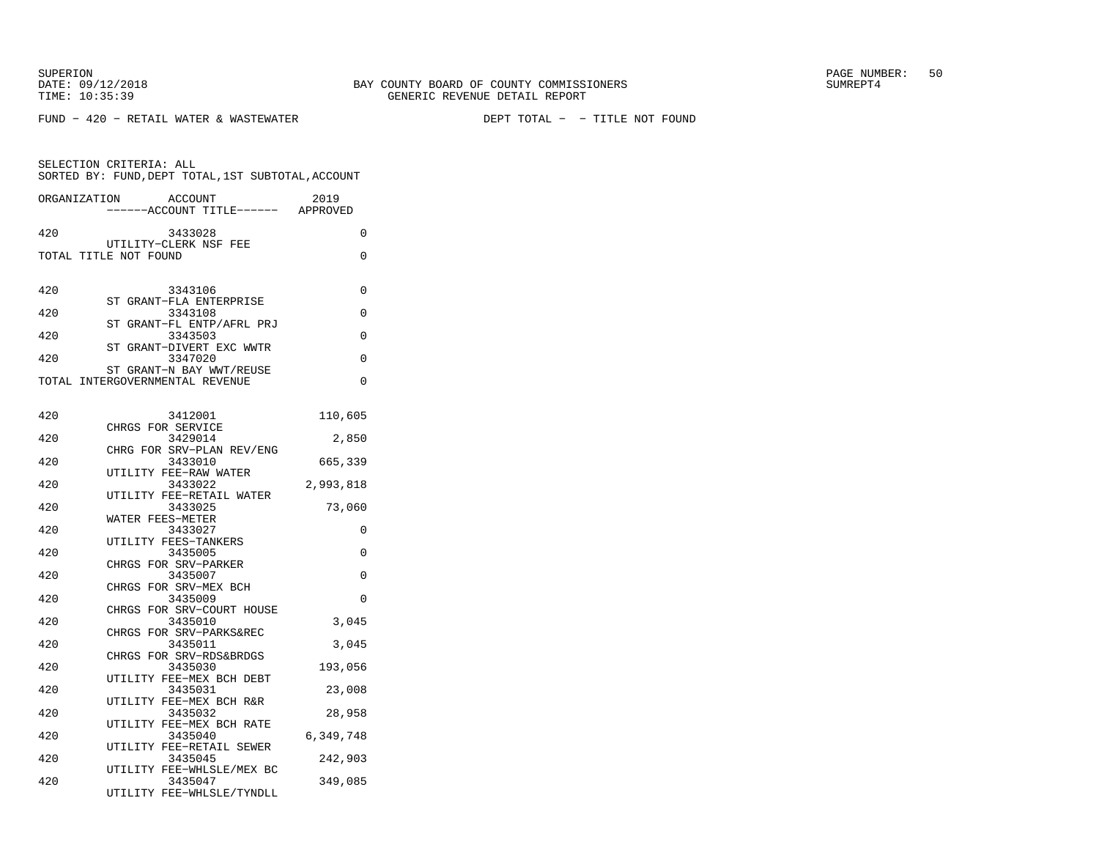FUND − 420 − RETAIL WATER & WASTEWATER DEPT TOTAL − − TITLE NOT FOUND

|                       | SELECTION CRITERIA: ALL<br>SORTED BY: FUND, DEPT TOTAL, 1ST SUBTOTAL, ACCOUNT |           |
|-----------------------|-------------------------------------------------------------------------------|-----------|
| ORGANIZATION          | <b>ACCOUNT</b><br>-----ACCOUNT TITLE------ APPROVED                           | 2019      |
| 420                   | 3433028                                                                       | $\Omega$  |
| TOTAL TITLE NOT FOUND | UTILITY-CLERK NSF FEE                                                         | 0         |
| 420                   | 3343106                                                                       | 0         |
| 420                   | ST GRANT-FLA ENTERPRISE<br>3343108                                            | $\Omega$  |
| 420                   | ST GRANT-FL ENTP/AFRL PRJ<br>3343503                                          | 0         |
| 420                   | ST GRANT-DIVERT EXC WWTR<br>3347020                                           | 0         |
|                       | ST GRANT-N BAY WWT/REUSE<br>TOTAL INTERGOVERNMENTAL REVENUE                   | $\Omega$  |
|                       |                                                                               |           |
| 420                   | 3412001                                                                       | 110,605   |
| 420                   | CHRGS FOR SERVICE<br>3429014                                                  | 2,850     |
| 420                   | CHRG FOR SRV-PLAN REV/ENG<br>3433010                                          | 665,339   |
| 420                   | UTILITY FEE-RAW WATER<br>3433022                                              | 2,993,818 |
| 420                   | UTILITY FEE-RETAIL WATER<br>3433025                                           | 73,060    |
|                       | WATER FEES-METER                                                              |           |
| 420                   | 3433027<br>UTILITY FEES-TANKERS                                               | 0         |
| 420                   | 3435005<br>CHRGS FOR SRV-PARKER                                               | 0         |
| 420                   | 3435007<br>CHRGS FOR SRV-MEX BCH                                              | 0         |
| 420                   | 3435009<br>CHRGS FOR SRV-COURT HOUSE                                          | 0         |
| 420                   | 3435010                                                                       | 3,045     |
| 420                   | CHRGS FOR SRV-PARKS&REC<br>3435011                                            | 3,045     |
| 420                   | CHRGS FOR SRV-RDS&BRDGS<br>3435030                                            | 193,056   |
| 420                   | UTILITY FEE-MEX BCH DEBT<br>3435031                                           | 23,008    |
| 420                   | UTILITY FEE-MEX BCH R&R<br>3435032                                            | 28,958    |
| 420                   | UTILITY FEE-MEX BCH RATE<br>3435040                                           | 6,349,748 |
|                       | UTILITY FEE-RETAIL SEWER                                                      |           |
| 420                   | 3435045<br>UTILITY FEE-WHLSLE/MEX BC                                          | 242,903   |
| 420                   | 3435047<br>UTILITY FEE-WHLSLE/TYNDLL                                          | 349,085   |
|                       |                                                                               |           |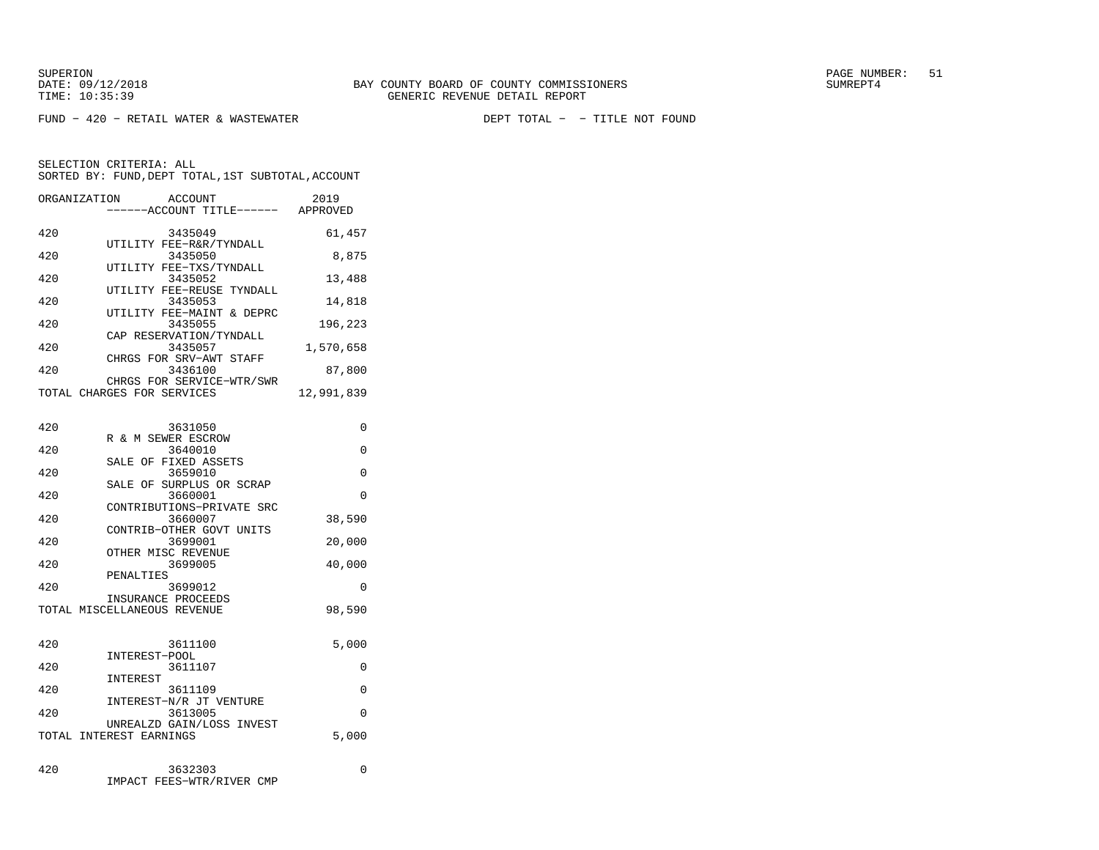FUND − 420 − RETAIL WATER & WASTEWATER DEPT TOTAL − − TITLE NOT FOUND

| ORGANIZATION | <b>ACCOUNT</b><br>----ACCOUNT TITLE------ APPROVED      | 2019       |
|--------------|---------------------------------------------------------|------------|
| 420          | 3435049                                                 | 61,457     |
| 420          | UTILITY FEE-R&R/TYNDALL<br>3435050                      | 8,875      |
| 420          | UTILITY FEE-TXS/TYNDALL<br>3435052                      | 13,488     |
| 420          | UTILITY FEE-REUSE TYNDALL<br>3435053                    | 14,818     |
| 420          | UTILITY FEE-MAINT & DEPRC<br>3435055                    | 196,223    |
| 420          | CAP RESERVATION/TYNDALL<br>3435057                      | 1,570,658  |
| 420          | CHRGS FOR SRV-AWT STAFF<br>3436100                      | 87,800     |
|              | CHRGS FOR SERVICE-WTR/SWR<br>TOTAL CHARGES FOR SERVICES | 12,991,839 |
|              |                                                         |            |
| 420          | 3631050<br>R & M SEWER ESCROW                           | 0          |
| 420          | 3640010<br>SALE OF FIXED ASSETS                         | 0          |
| 420          | 3659010<br>SALE OF SURPLUS OR SCRAP                     | 0          |
| 420          | 3660001<br>CONTRIBUTIONS-PRIVATE SRC                    | 0          |
| 420          | 3660007<br>CONTRIB-OTHER GOVT UNITS                     | 38,590     |
| 420          | 3699001<br>OTHER MISC REVENUE                           | 20,000     |
| 420          | 3699005                                                 | 40,000     |
| 420          | PENALTIES<br>3699012                                    | $\Omega$   |
|              | INSURANCE PROCEEDS<br>TOTAL MISCELLANEOUS REVENUE       | 98,590     |
|              |                                                         |            |
| 420          | 3611100<br>INTEREST-POOL                                | 5,000      |
| 420          | 3611107<br>INTEREST                                     | 0          |
| 420          | 3611109<br>INTEREST-N/R JT VENTURE                      | 0          |
| 420          | 3613005<br>UNREALZD GAIN/LOSS INVEST                    | 0          |
|              | TOTAL INTEREST EARNINGS                                 | 5,000      |

| 420 | 3632303                   |  |
|-----|---------------------------|--|
|     | IMPACT FEES-WTR/RIVER CMP |  |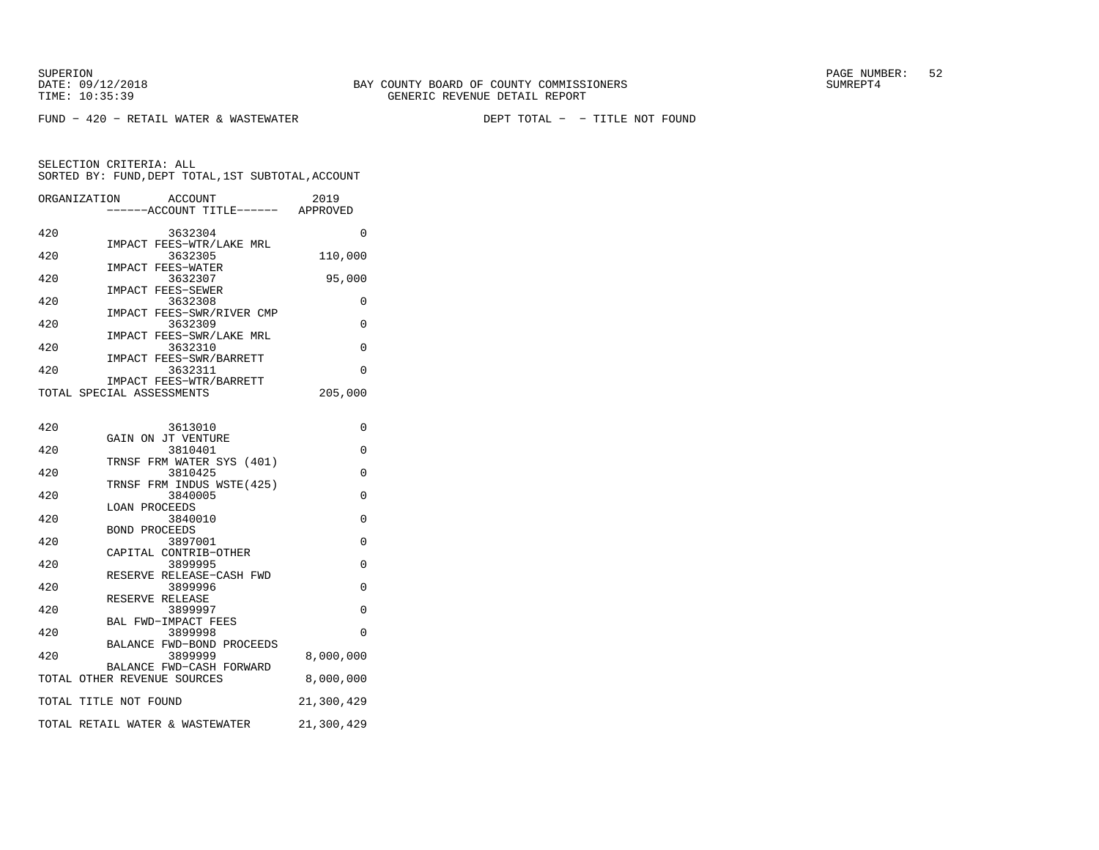FUND − 420 − RETAIL WATER & WASTEWATER DEPT TOTAL − − TITLE NOT FOUND

| ORGANIZATION |                                                      | <b>ACCOUNT</b><br>-----ACCOUNT TITLE------ APPROVED | 2019       |
|--------------|------------------------------------------------------|-----------------------------------------------------|------------|
| 420          |                                                      | 3632304                                             | 0          |
| 420          |                                                      | IMPACT FEES-WTR/LAKE MRL<br>3632305                 | 110,000    |
| 420          | IMPACT FEES-WATER                                    | 3632307                                             | 95,000     |
| 420          | IMPACT FEES-SEWER                                    | 3632308                                             | 0          |
| 420          |                                                      | IMPACT FEES-SWR/RIVER CMP<br>3632309                | $\Omega$   |
| 420          |                                                      | IMPACT FEES-SWR/LAKE MRL<br>3632310                 | 0          |
| 420          | IMPACT FEES-SWR/BARRETT                              | 3632311                                             | 0          |
|              | IMPACT FEES-WTR/BARRETT<br>TOTAL SPECIAL ASSESSMENTS |                                                     | 205,000    |
|              |                                                      |                                                     |            |
| 420          | GAIN ON JT VENTURE                                   | 3613010                                             | 0          |
| 420          |                                                      | 3810401<br>TRNSF FRM WATER SYS (401)                | 0          |
| 420          |                                                      | 3810425                                             | 0          |
| 420          |                                                      | TRNSF FRM INDUS WSTE(425)<br>3840005                | 0          |
| 420          | <b>LOAN PROCEEDS</b>                                 | 3840010                                             | 0          |
| 420          | <b>BOND PROCEEDS</b>                                 | 3897001                                             | 0          |
| 420          | CAPITAL CONTRIB-OTHER                                | 3899995                                             | 0          |
| 420          |                                                      | RESERVE RELEASE-CASH FWD<br>3899996                 | 0          |
| 420          | RESERVE RELEASE                                      | 3899997                                             | $\Omega$   |
| 420          | BAL FWD-IMPACT FEES                                  | 3899998                                             | $\Omega$   |
| 420          |                                                      | BALANCE FWD-BOND PROCEEDS<br>3899999                | 8,000,000  |
|              | TOTAL OTHER REVENUE SOURCES                          | BALANCE FWD-CASH FORWARD                            | 8,000,000  |
|              | TOTAL TITLE NOT FOUND                                |                                                     | 21,300,429 |
|              | TOTAL RETAIL WATER & WASTEWATER                      |                                                     | 21,300,429 |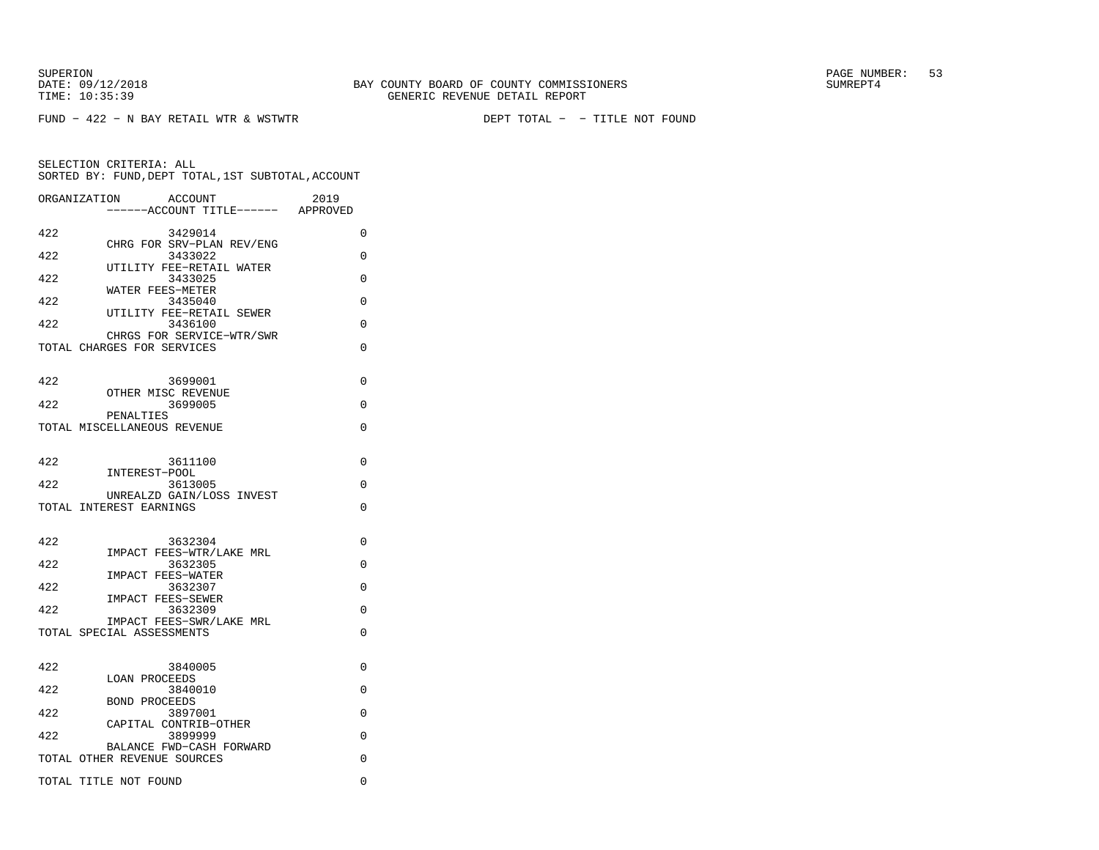DATE:  $09/12/2018$  SUMREPT4

SUPERION PAGE NUMBER: 53

FUND − 422 − N BAY RETAIL WTR & WSTWTR DEPT TOTAL − − TITLE NOT FOUND

|     | <b>ACCOUNT</b><br>ORGANIZATION<br>---ACCOUNT TITLE------ APPROVED | 2019     |
|-----|-------------------------------------------------------------------|----------|
| 422 | 3429014                                                           | $\Omega$ |
| 422 | CHRG FOR SRV-PLAN REV/ENG<br>3433022                              | 0        |
| 422 | UTILITY FEE-RETAIL WATER<br>3433025                               | 0        |
| 422 | WATER FEES-METER<br>3435040                                       | $\Omega$ |
| 422 | UTILITY FEE-RETAIL SEWER<br>3436100                               | $\Omega$ |
|     | CHRGS FOR SERVICE-WTR/SWR                                         |          |
|     | TOTAL CHARGES FOR SERVICES                                        | $\Omega$ |
| 422 | 3699001                                                           | $\Omega$ |
| 422 | OTHER MISC REVENUE<br>3699005                                     | $\Omega$ |
|     | PENALTIES<br>TOTAL MISCELLANEOUS REVENUE                          | $\Omega$ |
|     |                                                                   |          |
| 422 | 3611100                                                           | 0        |
| 422 | INTEREST-POOL<br>3613005                                          | 0        |
|     | UNREALZD GAIN/LOSS INVEST<br>TOTAL INTEREST EARNINGS              | $\Omega$ |
|     |                                                                   |          |
| 422 | 3632304<br>IMPACT FEES-WTR/LAKE MRL                               | $\Omega$ |
| 422 | 3632305                                                           | $\Omega$ |
| 422 | <b>IMPACT FEES-WATER</b><br>3632307                               | 0        |
| 422 | IMPACT FEES-SEWER<br>3632309                                      | 0        |
|     | IMPACT FEES-SWR/LAKE MRL<br>TOTAL SPECIAL ASSESSMENTS             | $\Omega$ |
|     |                                                                   |          |
| 422 | 3840005                                                           | 0        |
| 422 | <b>LOAN PROCEEDS</b><br>3840010                                   | 0        |
| 422 | <b>BOND PROCEEDS</b><br>3897001                                   | $\Omega$ |
| 422 | CAPITAL CONTRIB-OTHER<br>3899999                                  | $\Omega$ |
|     | BALANCE FWD-CASH FORWARD<br>TOTAL OTHER REVENUE SOURCES           | 0        |
|     |                                                                   |          |
|     | TOTAL TITLE NOT FOUND                                             | 0        |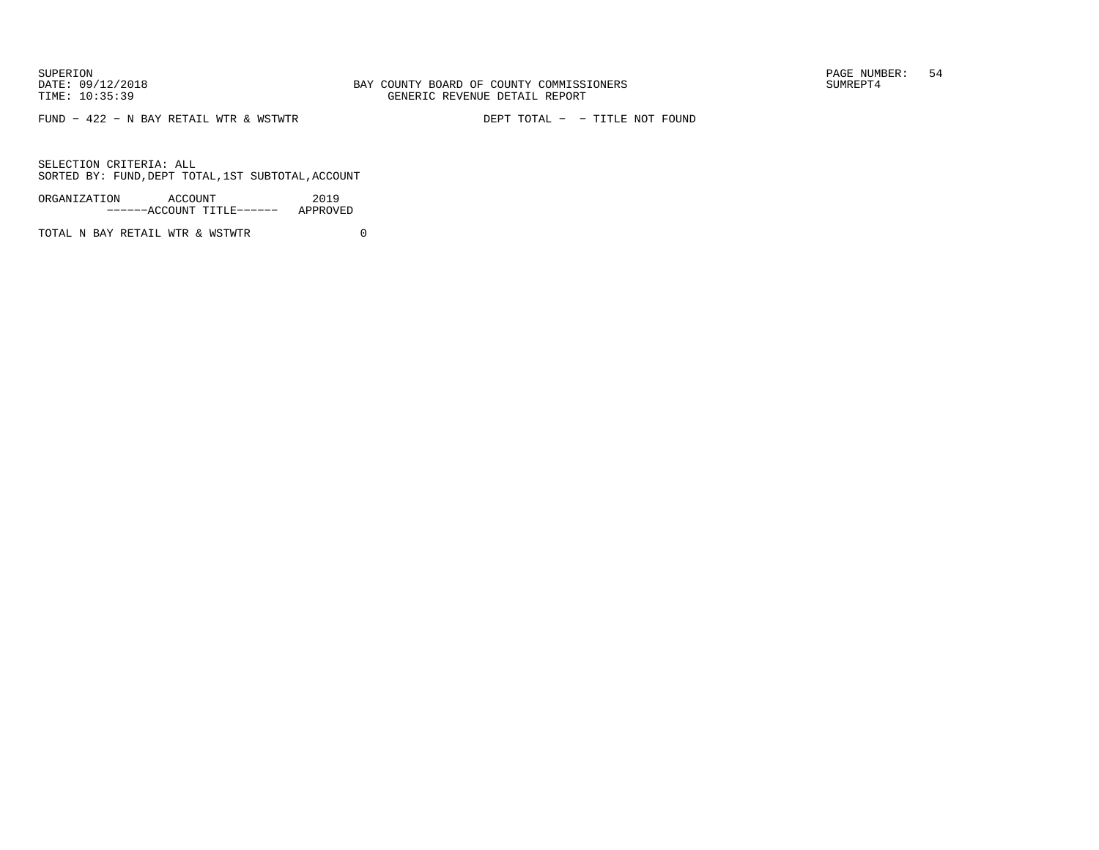FUND − 422 − N BAY RETAIL WTR & WSTWTR DEPT TOTAL − − TITLE NOT FOUND

SELECTION CRITERIA: ALLSORTED BY: FUND,DEPT TOTAL,1ST SUBTOTAL,ACCOUNT

ORGANIZATION ACCOUNT 2019−−−−−−ACCOUNT TITLE−−−−−− APPROVED

TOTAL N BAY RETAIL WTR & WSTWTR  $0$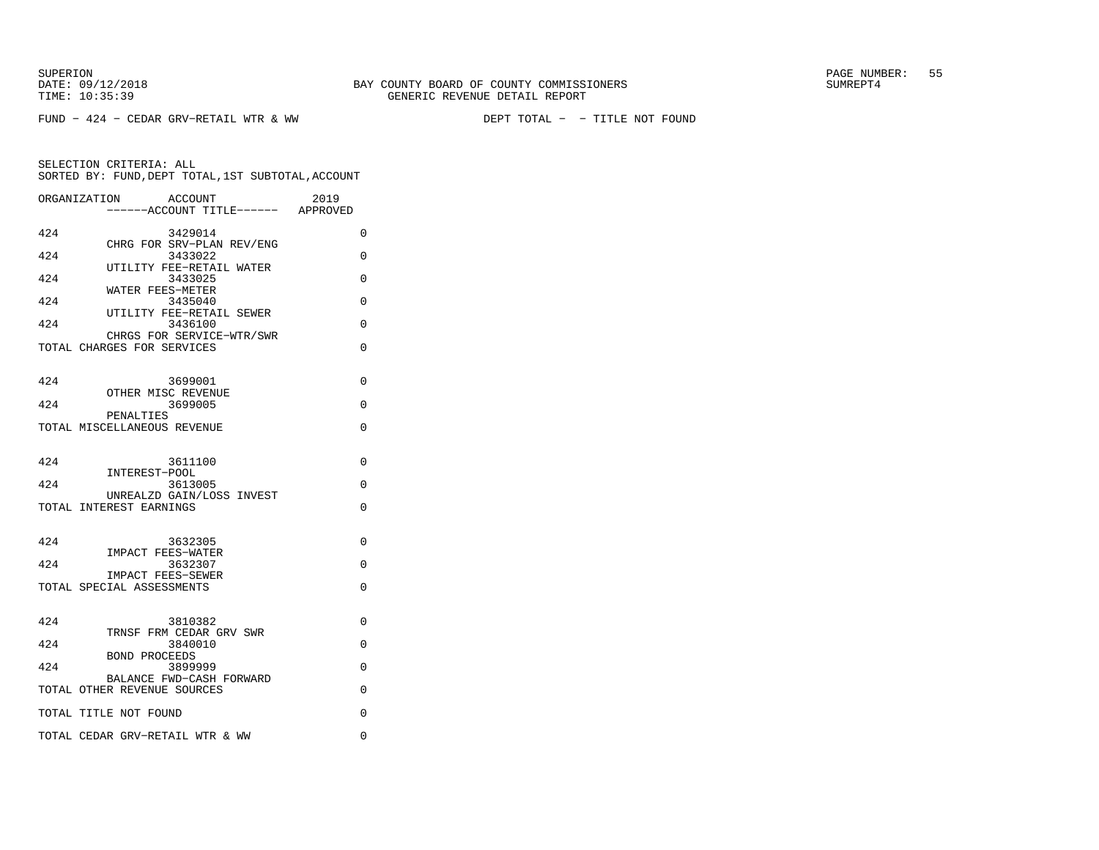FUND − 424 − CEDAR GRV−RETAIL WTR & WW DEPT TOTAL − − TITLE NOT FOUND

SUPERION PAGE NUMBER: 55

|     | ORGANIZATION<br>ACCOUNT<br>------ACCOUNT TITLE------ APPROVED | 2019     |
|-----|---------------------------------------------------------------|----------|
| 424 | 3429014                                                       | $\Omega$ |
| 424 | CHRG FOR SRV-PLAN REV/ENG<br>3433022                          | 0        |
| 424 | UTILITY FEE-RETAIL WATER<br>3433025                           | $\Omega$ |
| 424 | WATER FEES-METER<br>3435040                                   | $\Omega$ |
| 424 | UTILITY FEE-RETAIL SEWER<br>3436100                           | $\Omega$ |
|     | CHRGS FOR SERVICE-WTR/SWR<br>TOTAL CHARGES FOR SERVICES       | $\Omega$ |
|     |                                                               |          |
| 424 | 3699001                                                       | $\Omega$ |
| 424 | OTHER MISC REVENUE<br>3699005                                 | $\Omega$ |
|     | PENALTIES<br>TOTAL MISCELLANEOUS REVENUE                      | 0        |
|     |                                                               |          |
| 424 | 3611100<br>INTEREST-POOL                                      | $\Omega$ |
| 424 | 3613005                                                       | $\Omega$ |
|     | UNREALZD GAIN/LOSS INVEST<br>TOTAL INTEREST EARNINGS          | $\Omega$ |
|     |                                                               |          |
| 424 | 3632305<br><b>IMPACT FEES-WATER</b>                           | $\Omega$ |
| 424 | 3632307<br>IMPACT FEES-SEWER                                  | $\Omega$ |
|     | TOTAL SPECIAL ASSESSMENTS                                     | $\Omega$ |
|     |                                                               |          |
| 424 | 3810382<br>TRNSF FRM CEDAR GRV SWR                            | 0        |
| 424 | 3840010<br><b>BOND PROCEEDS</b>                               | $\Omega$ |
| 424 | 3899999<br>BALANCE FWD-CASH FORWARD                           | 0        |
|     | TOTAL OTHER REVENUE SOURCES                                   | $\Omega$ |
|     | TOTAL TITLE NOT FOUND                                         | $\Omega$ |
|     | TOTAL CEDAR GRV-RETAIL WTR & WW                               | 0        |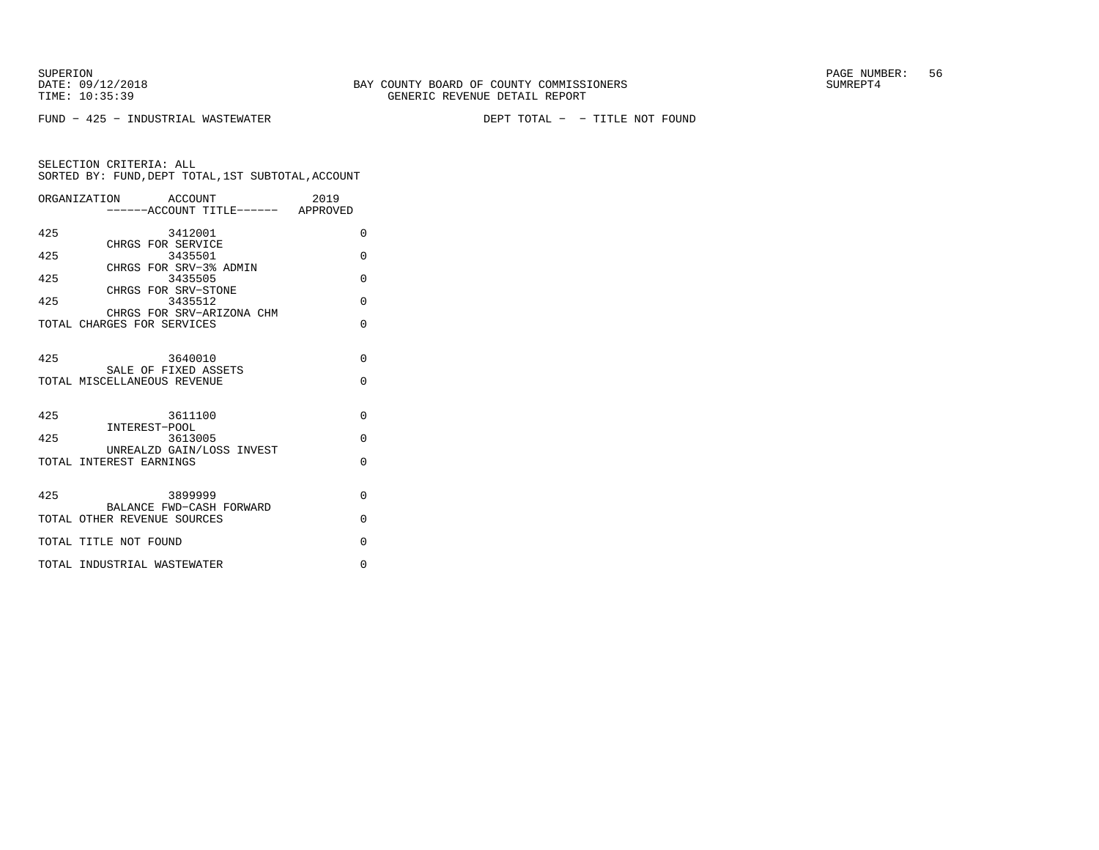FUND − 425 − INDUSTRIAL WASTEWATER DEPT TOTAL − − TITLE NOT FOUND

|     | ORGANIZATION ACCOUNT              | 2019 |          |
|-----|-----------------------------------|------|----------|
|     | -----ACCOUNT TITLE------ APPROVED |      |          |
| 425 | 3412001                           |      | $\Omega$ |
|     | CHRGS FOR SERVICE                 |      |          |
| 425 | 3435501                           |      | $\Omega$ |
|     | CHRGS FOR SRV-3% ADMIN            |      |          |
| 425 | 3435505<br>CHRGS FOR SRV-STONE    |      | $\Omega$ |
| 425 | 3435512                           |      | $\Omega$ |
|     | CHRGS FOR SRV-ARIZONA CHM         |      |          |
|     | TOTAL CHARGES FOR SERVICES        |      | $\Omega$ |
|     |                                   |      |          |
| 425 | 3640010                           |      | $\Omega$ |
|     | SALE OF FIXED ASSETS              |      |          |
|     | TOTAL MISCELLANEOUS REVENUE       |      | $\Omega$ |
|     |                                   |      |          |
|     |                                   |      |          |
| 425 | 3611100<br>INTEREST-POOL          |      | $\Omega$ |
| 425 | 3613005                           |      | $\Omega$ |
|     | UNREALZD GAIN/LOSS INVEST         |      |          |
|     | TOTAL INTEREST EARNINGS           |      | $\Omega$ |
|     |                                   |      |          |
| 425 | 3899999                           |      | $\Omega$ |
|     | BALANCE FWD-CASH FORWARD          |      |          |
|     | TOTAL OTHER REVENUE SOURCES       |      | $\Omega$ |
|     |                                   |      |          |
|     | TOTAL TITLE NOT FOUND             |      | $\Omega$ |
|     | TOTAL INDUSTRIAL WASTEWATER       |      | $\Omega$ |
|     |                                   |      |          |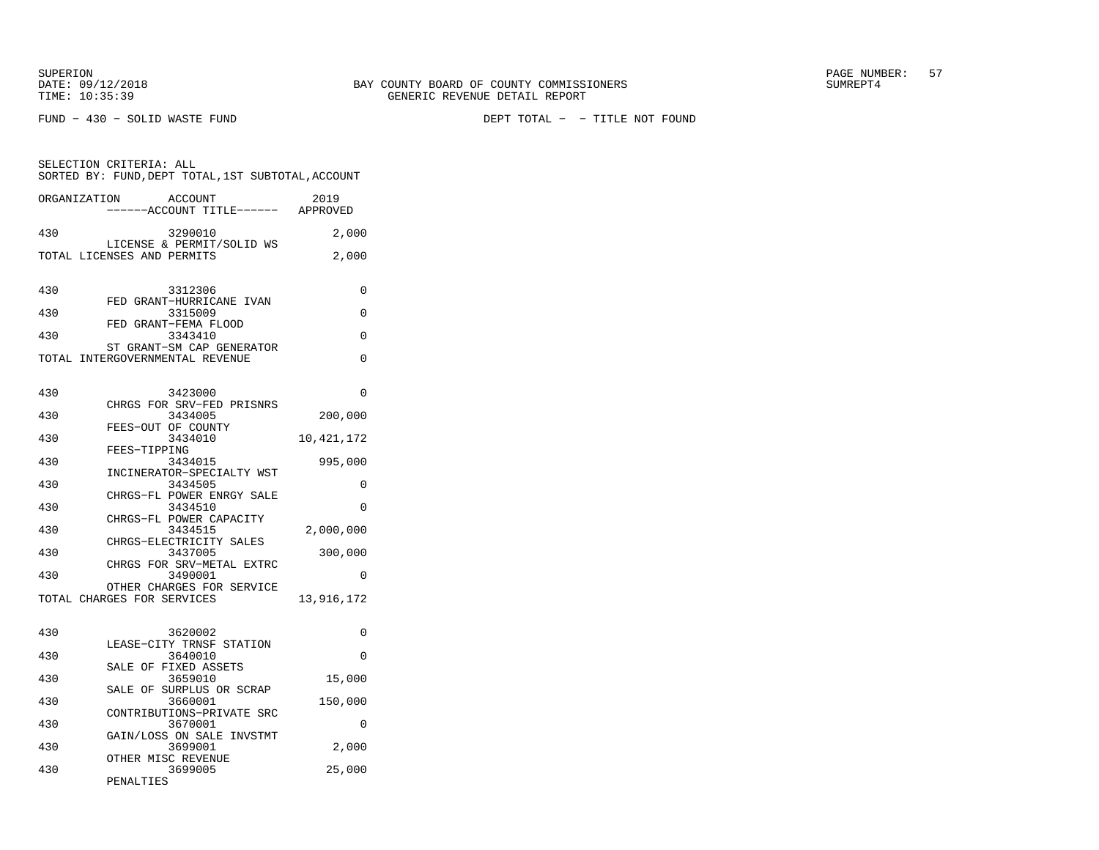SELECTION CRITERIA: ALL

FUND − 430 − SOLID WASTE FUND DEPT TOTAL − − TITLE NOT FOUND

|              | SORTED BY: FUND,DEPT TOTAL,1ST SUBTOTAL,ACCOUNT         |              |
|--------------|---------------------------------------------------------|--------------|
| ORGANIZATION | ACCOUNT<br>-----ACCOUNT TITLE------ APPROVED            | 2019         |
| 430          | 3290010                                                 | 2,000        |
|              | LICENSE & PERMIT/SOLID WS<br>TOTAL LICENSES AND PERMITS | 2,000        |
|              |                                                         |              |
| 430          | 3312306                                                 | $\Omega$     |
| 430          | FED GRANT-HURRICANE IVAN<br>3315009                     | $\Omega$     |
|              | FED GRANT-FEMA FLOOD                                    |              |
| 430          | 3343410<br>ST GRANT-SM CAP GENERATOR                    | 0            |
|              | TOTAL INTERGOVERNMENTAL REVENUE                         | 0            |
|              |                                                         |              |
| 430          | 3423000<br>CHRGS FOR SRV-FED PRISNRS                    | 0            |
| 430          | 3434005                                                 | 200,000      |
| 430          | FEES-OUT OF COUNTY<br>3434010                           | 10, 421, 172 |
| 430          | FEES-TIPPING<br>3434015                                 | 995,000      |
|              | INCINERATOR-SPECIALTY WST                               |              |
| 430          | 3434505<br>CHRGS-FL POWER ENRGY SALE                    | 0            |
| 430          | 3434510<br>CHRGS-FL POWER CAPACITY                      | $\Omega$     |
| 430          | 3434515                                                 | 2,000,000    |
| 430          | CHRGS-ELECTRICITY SALES<br>3437005                      | 300,000      |
|              | CHRGS FOR SRV-METAL EXTRC                               |              |
| 430          | 3490001<br>OTHER CHARGES FOR SERVICE                    | 0            |
|              | TOTAL CHARGES FOR SERVICES                              | 13,916,172   |
|              |                                                         |              |
| 430          | 3620002<br>LEASE-CITY TRNSF STATION                     | 0            |
| 430          | 3640010                                                 | 0            |
| 430          | SALE OF FIXED ASSETS<br>3659010                         | 15,000       |
| 430          | SALE OF SURPLUS OR SCRAP<br>3660001                     | 150,000      |
|              | CONTRIBUTIONS-PRIVATE SRC                               |              |
| 430          | 3670001<br>GAIN/LOSS ON SALE INVSTMT                    | 0            |
| 430          | 3699001<br>OTHER MISC REVENUE                           | 2,000        |
| 430          | 3699005                                                 | 25,000       |
|              | PENALTIES                                               |              |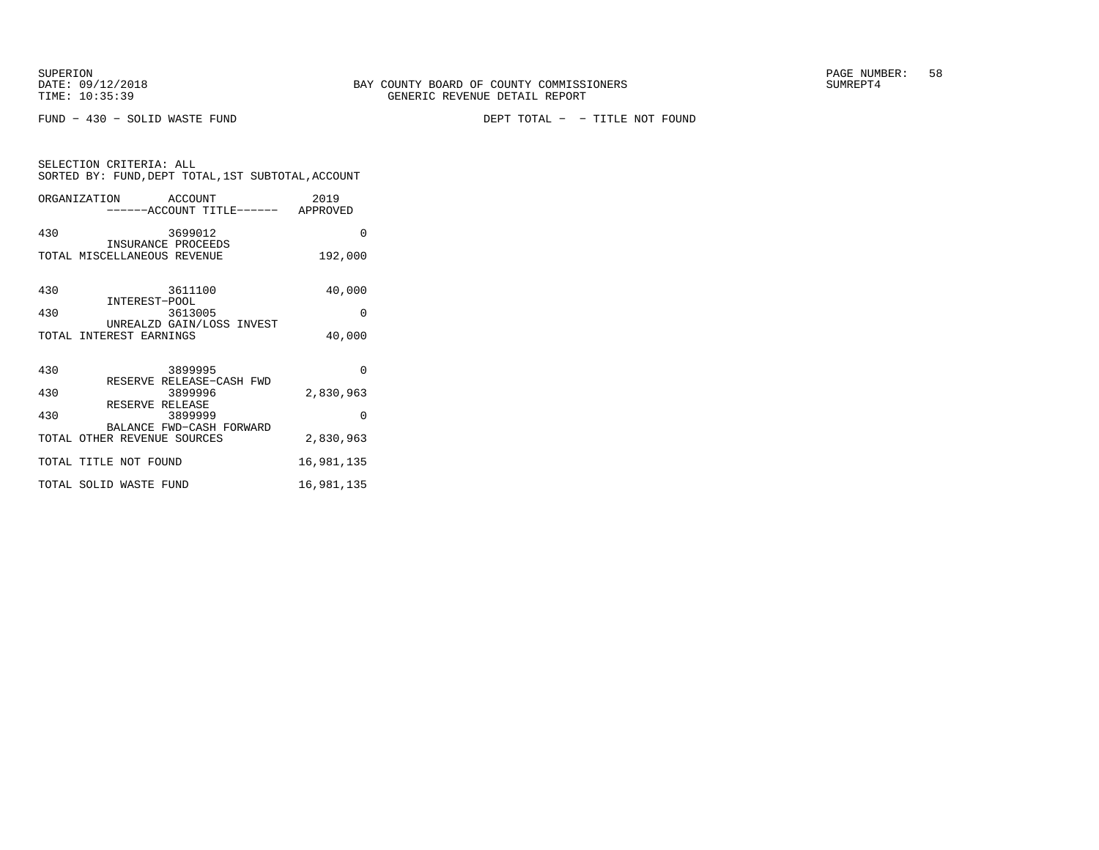SELECTION CRITERIA: ALL

FUND − 430 − SOLID WASTE FUND DEPT TOTAL − − TITLE NOT FOUND

| ORGANIZATION | ACCOUNT<br>-----ACCOUNT TITLE------                  | 2019<br>APPROVED |
|--------------|------------------------------------------------------|------------------|
| 430          | 3699012                                              | 0                |
|              | INSURANCE PROCEEDS<br>TOTAL MISCELLANEOUS REVENUE    | 192,000          |
| 430          | 3611100                                              | 40,000           |
| 430          | INTEREST-POOL<br>3613005                             | 0                |
|              | UNREALZD GAIN/LOSS INVEST<br>TOTAL INTEREST EARNINGS | 40,000           |
| 430          | 3899995                                              | O                |
| 430          | RESERVE RELEASE-CASH FWD<br>3899996                  | 2,830,963        |
| .            | RESERVE RELEASE                                      |                  |

SORTED BY: FUND,DEPT TOTAL,1ST SUBTOTAL,ACCOUNT

| 3899999<br>430                                          |            |
|---------------------------------------------------------|------------|
| BALANCE FWD-CASH FORWARD<br>TOTAL OTHER REVENUE SOURCES | 2,830,963  |
| TOTAL TITLE NOT FOUND                                   | 16,981,135 |
| TOTAL SOLID WASTE FUND                                  | 16,981,135 |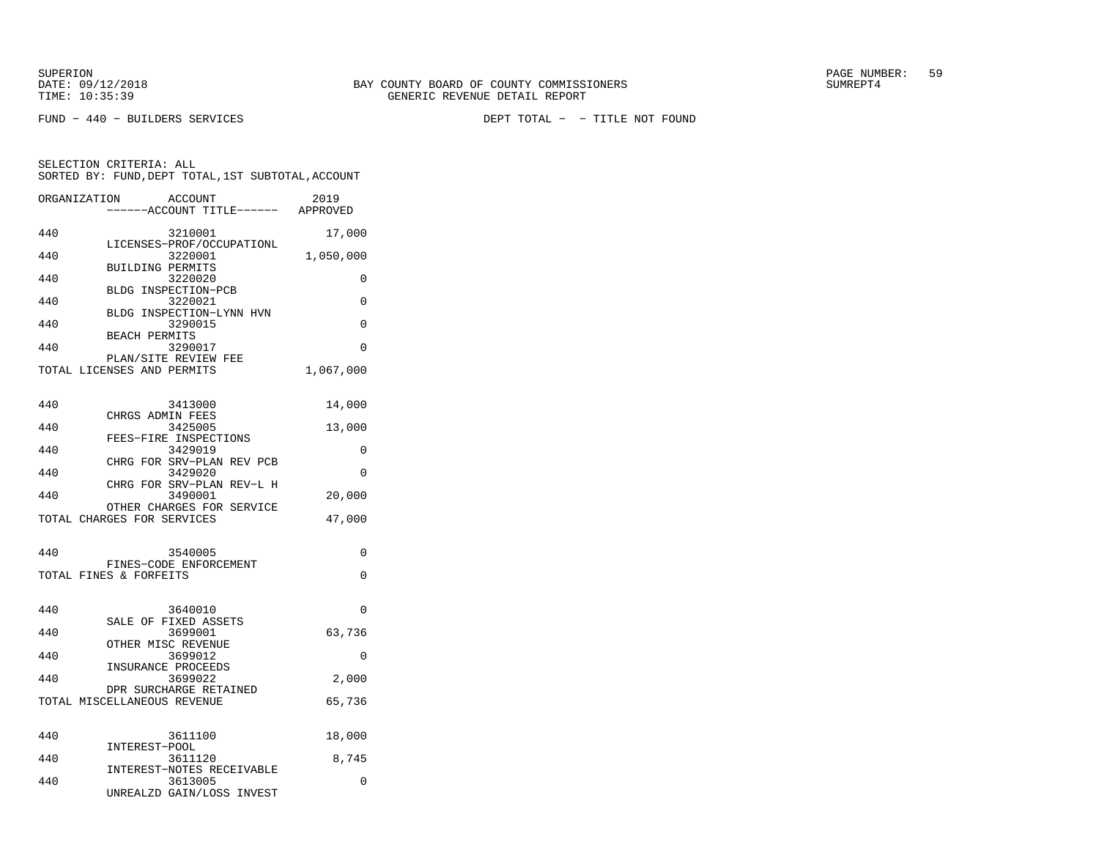FUND − 440 − BUILDERS SERVICES DEPT TOTAL − − TITLE NOT FOUND

| ORGANIZATION | <b>ACCOUNT</b>                                     | 2019      |
|--------------|----------------------------------------------------|-----------|
|              | ----ACCOUNT TITLE------ APPROVED                   |           |
|              |                                                    |           |
| 440          | 3210001                                            | 17,000    |
| 440          | LICENSES-PROF/OCCUPATIONL<br>3220001               |           |
|              | <b>BUILDING PERMITS</b>                            | 1,050,000 |
| 440          | 3220020                                            | 0         |
|              | BLDG INSPECTION-PCB                                |           |
| 440          | 3220021                                            | 0         |
|              | BLDG INSPECTION-LYNN HVN                           |           |
| 440          | 3290015                                            | $\Omega$  |
|              | <b>BEACH PERMITS</b>                               |           |
| 440          | 3290017                                            | $\Omega$  |
|              | PLAN/SITE REVIEW FEE<br>TOTAL LICENSES AND PERMITS | 1,067,000 |
|              |                                                    |           |
|              |                                                    |           |
| 440          | 3413000                                            | 14,000    |
|              | CHRGS ADMIN FEES                                   |           |
| 440          | 3425005                                            | 13,000    |
|              | FEES-FIRE INSPECTIONS                              |           |
| 440          | 3429019                                            | 0         |
|              | CHRG FOR SRV-PLAN REV PCB                          |           |
| 440          | 3429020<br>CHRG FOR SRV-PLAN REV-L H               | 0         |
| 440          | 3490001                                            | 20,000    |
|              | OTHER CHARGES FOR SERVICE                          |           |
|              | TOTAL CHARGES FOR SERVICES                         | 47,000    |
|              |                                                    |           |
|              |                                                    |           |
| 440          | 3540005                                            | 0         |
|              | FINES-CODE ENFORCEMENT                             |           |
|              | TOTAL FINES & FORFEITS                             | $\Omega$  |
|              |                                                    |           |
| 440          | 3640010                                            | $\Omega$  |
|              | SALE OF FIXED ASSETS                               |           |
| 440          | 3699001                                            | 63,736    |
|              | OTHER MISC REVENUE                                 |           |
| 440          | 3699012                                            | 0         |
|              | INSURANCE PROCEEDS                                 |           |
| 440          | 3699022<br>DPR SURCHARGE RETAINED                  | 2,000     |
|              | TOTAL MISCELLANEOUS REVENUE                        | 65,736    |
|              |                                                    |           |
|              |                                                    |           |
| 440          | 3611100                                            | 18,000    |
|              | INTEREST-POOL                                      |           |
| 440          | 3611120                                            | 8,745     |
|              | INTEREST-NOTES RECEIVABLE                          |           |
| 440          | 3613005                                            | $\Omega$  |
|              | UNREALZD GAIN/LOSS INVEST                          |           |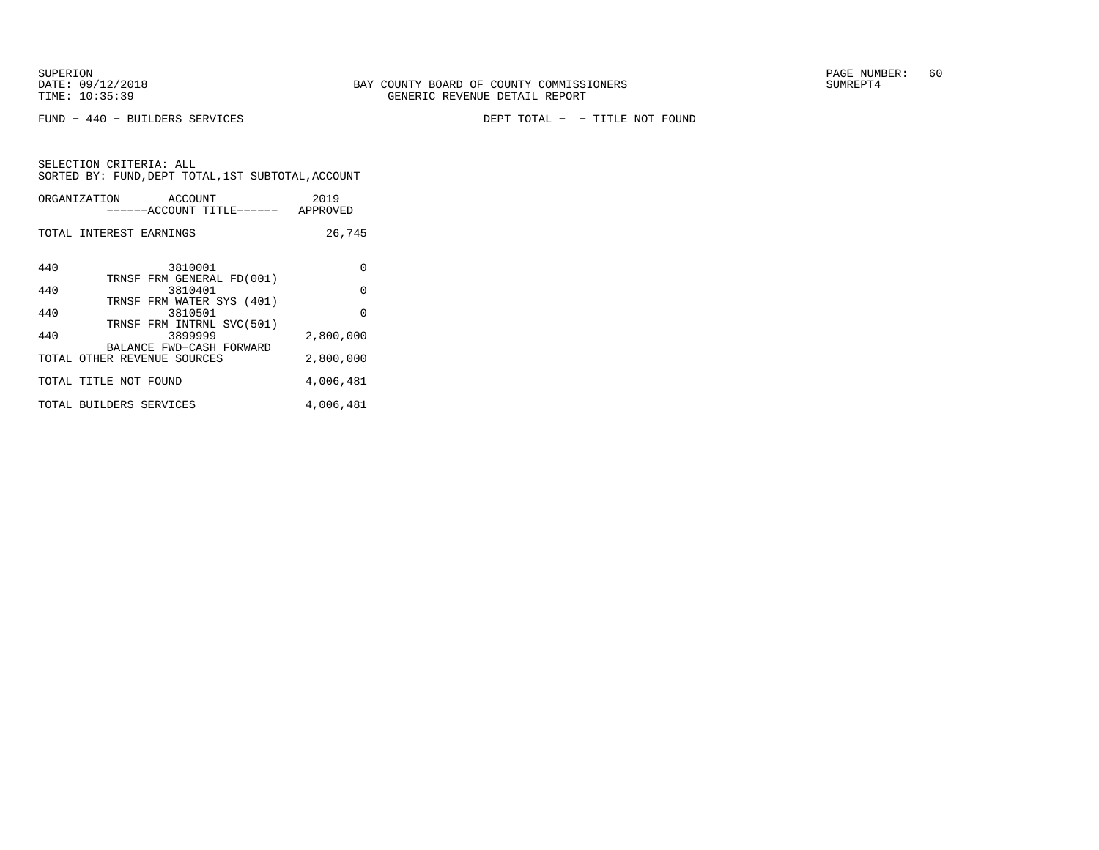FUND − 440 − BUILDERS SERVICES DEPT TOTAL − − TITLE NOT FOUND

|     | ORGANIZATION ACCOUNT<br>------ACCOUNT TITLE------ APPROVED | 2019      |
|-----|------------------------------------------------------------|-----------|
|     | TOTAL INTEREST EARNINGS                                    | 26,745    |
| 440 | 3810001                                                    | $\Omega$  |
| 440 | TRNSF FRM GENERAL FD(001)<br>3810401                       | $\Omega$  |
| 440 | TRNSF FRM WATER SYS (401)<br>3810501                       | $\Omega$  |
| 440 | TRNSF FRM INTRNL SVC(501)<br>3899999                       | 2,800,000 |
|     | BALANCE FWD-CASH FORWARD<br>TOTAL OTHER REVENUE SOURCES    | 2,800,000 |
|     | TOTAL TITLE NOT FOUND                                      | 4,006,481 |
|     | TOTAL BUILDERS SERVICES                                    | 4,006,481 |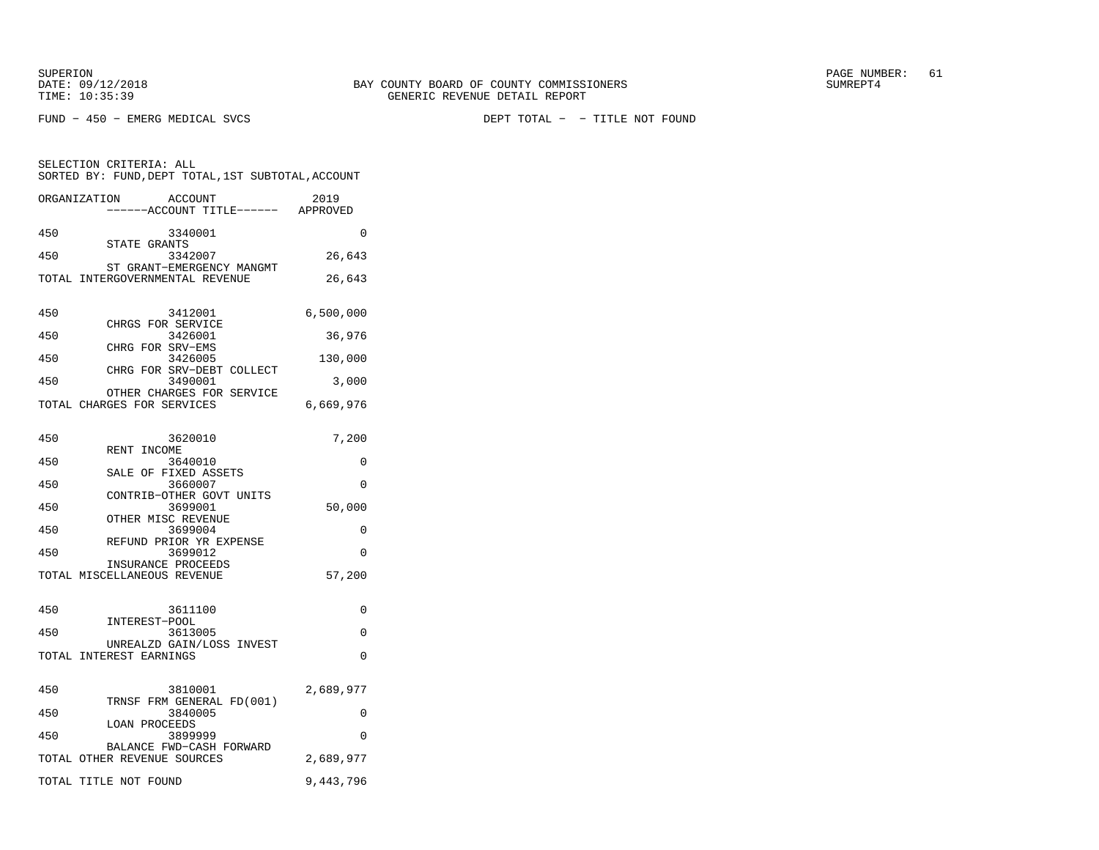FUND − 450 − EMERG MEDICAL SVCS DEPT TOTAL − − TITLE NOT FOUND

|              | SORTED BY: FUND, DEPT TOTAL, 1ST SUBTOTAL, ACCOUNT           |           |
|--------------|--------------------------------------------------------------|-----------|
| ORGANIZATION | ACCOUNT<br>----ACCOUNT TITLE------ APPROVED                  | 2019      |
| 450          | 3340001                                                      | $\Omega$  |
| 450          | STATE GRANTS<br>3342007                                      | 26,643    |
|              | ST GRANT-EMERGENCY MANGMT<br>TOTAL INTERGOVERNMENTAL REVENUE | 26,643    |
| 450          | 3412001<br>CHRGS FOR SERVICE                                 | 6,500,000 |
| 450          | 3426001                                                      | 36,976    |
| 450          | CHRG FOR SRV-EMS<br>3426005                                  | 130,000   |
| 450          | CHRG FOR SRV-DEBT COLLECT<br>3490001                         | 3,000     |
|              | OTHER CHARGES FOR SERVICE<br>TOTAL CHARGES FOR SERVICES      | 6,669,976 |
| 450          | 3620010<br>RENT INCOME                                       | 7,200     |
| 450          | 3640010<br>SALE OF FIXED ASSETS                              | 0         |
| 450          | 3660007                                                      | $\Omega$  |
| 450          | CONTRIB-OTHER GOVT UNITS<br>3699001                          | 50,000    |
| 450          | OTHER MISC REVENUE<br>3699004                                | 0         |
| 450          | REFUND PRIOR YR EXPENSE<br>3699012                           | $\Omega$  |
|              | INSURANCE PROCEEDS<br>TOTAL MISCELLANEOUS REVENUE            | 57,200    |
|              |                                                              |           |
| 450          | 3611100<br>INTEREST-POOL                                     | 0         |
| 450          | 3613005                                                      | $\Omega$  |
|              | UNREALZD GAIN/LOSS INVEST<br>TOTAL INTEREST EARNINGS         | $\Omega$  |
| 450          | 3810001<br>TRNSF FRM GENERAL FD(001)                         | 2,689,977 |
| 450          | 3840005<br><b>LOAN PROCEEDS</b>                              | $\Omega$  |
| 450          | 3899999<br>BALANCE FWD-CASH FORWARD                          | 0         |
|              | TOTAL OTHER REVENUE SOURCES                                  | 2,689,977 |
|              | TOTAL TITLE NOT FOUND                                        | 9,443,796 |
|              |                                                              |           |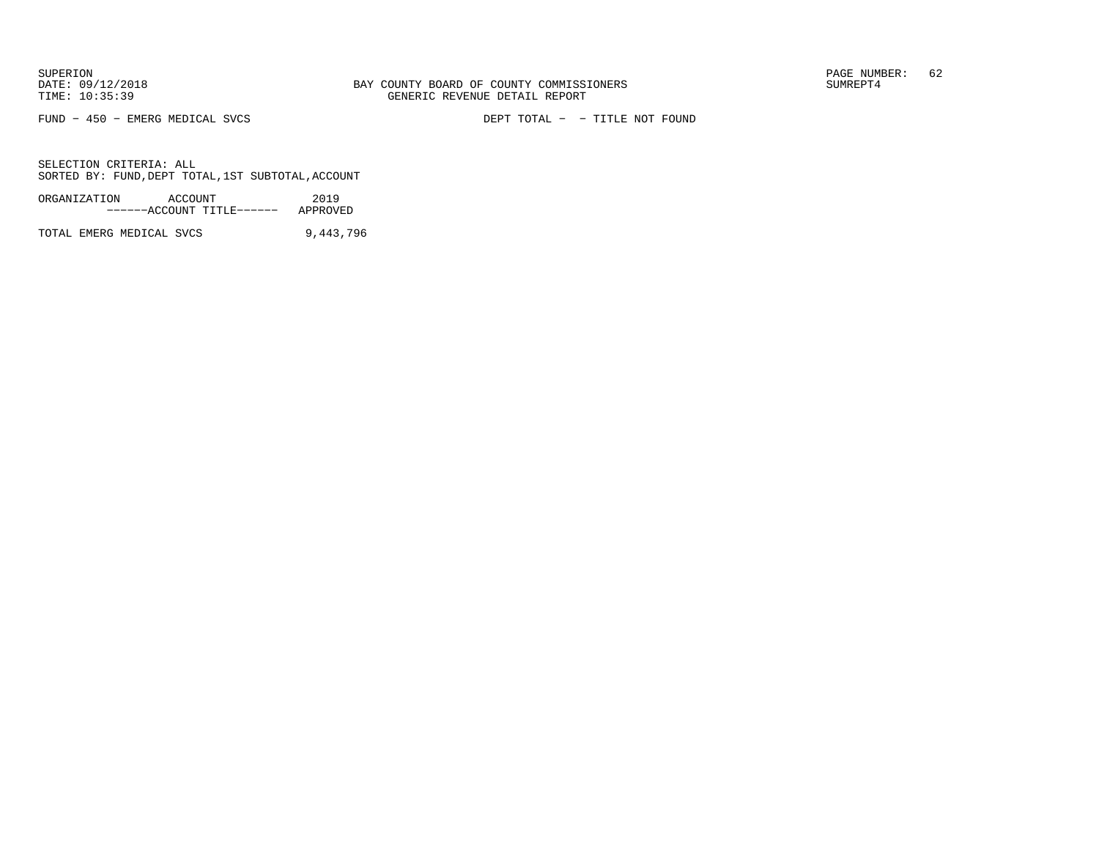FUND − 450 − EMERG MEDICAL SVCS DEPT TOTAL − − TITLE NOT FOUND

SELECTION CRITERIA: ALLSORTED BY: FUND,DEPT TOTAL,1ST SUBTOTAL,ACCOUNT

| ORGANIZATION | ACCOUNT |                           | 2019     |
|--------------|---------|---------------------------|----------|
|              |         | ------ACCOUNT TITLE------ | APPROVED |

TOTAL EMERG MEDICAL SVCS 9,443,796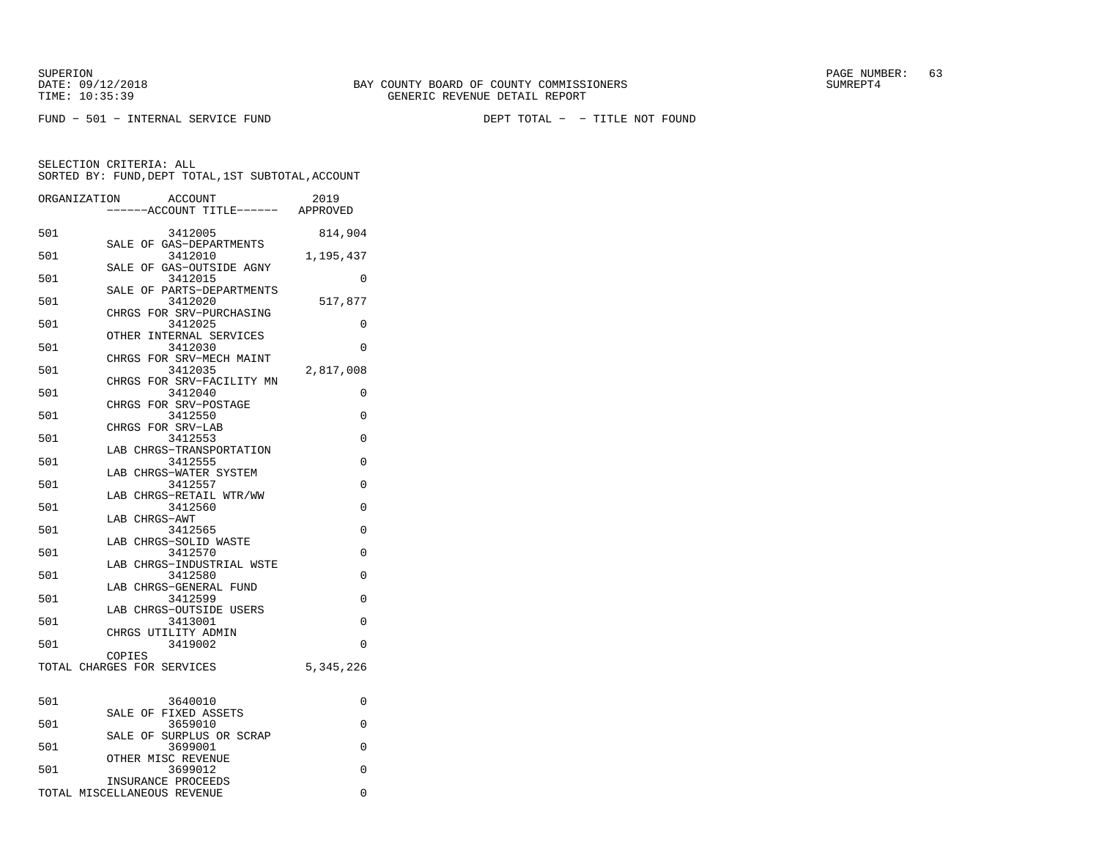|              | SELECTION CRITERIA: ALL<br>SORTED BY: FUND, DEPT TOTAL, 1ST SUBTOTAL, ACCOUNT |           |
|--------------|-------------------------------------------------------------------------------|-----------|
|              | ORGANIZATION ACCOUNT<br>-----ACCOUNT TITLE------ APPROVED                     | 2019      |
| 501          | 3412005                                                                       | 814,904   |
|              | SALE OF GAS-DEPARTMENTS                                                       |           |
| 501          | 3412010                                                                       | 1,195,437 |
|              | SALE OF GAS-OUTSIDE AGNY                                                      |           |
| 501          | 3412015<br>SALE OF PARTS-DEPARTMENTS                                          | $\Omega$  |
| 501          | 3412020                                                                       | 517,877   |
|              | CHRGS FOR SRV-PURCHASING                                                      |           |
| 501          | 3412025                                                                       | $\Omega$  |
|              | OTHER INTERNAL SERVICES                                                       |           |
| 501          | 3412030                                                                       | $\Omega$  |
|              | CHRGS FOR SRV-MECH MAINT                                                      |           |
| 501          | 3412035                                                                       | 2,817,008 |
| 501          | CHRGS FOR SRV-FACILITY MN<br>3412040                                          | $\Omega$  |
|              | CHRGS FOR SRV-POSTAGE                                                         |           |
| 501          | 3412550                                                                       | $\Omega$  |
|              | CHRGS FOR SRV-LAB                                                             |           |
| 501          | 3412553                                                                       | $\Omega$  |
|              | LAB CHRGS-TRANSPORTATION                                                      |           |
| 501          | 3412555                                                                       | $\Omega$  |
| 501          | LAB CHRGS-WATER SYSTEM<br>3412557                                             | $\Omega$  |
|              | LAB CHRGS-RETAIL WTR/WW                                                       |           |
| 501          | 3412560                                                                       | $\Omega$  |
|              | LAB CHRGS-AWT                                                                 |           |
| $F \wedge 1$ |                                                                               | $\sim$    |

| 501 | 3412565                             | 0         |
|-----|-------------------------------------|-----------|
|     | LAB CHRGS-SOLID WASTE               |           |
| 501 | 3412570                             | 0         |
|     | LAB CHRGS-INDUSTRIAL WSTE           |           |
| 501 | 3412580                             | 0         |
|     | LAB CHRGS-GENERAL FUND              |           |
| 501 | 3412599                             | $\Omega$  |
|     | LAB CHRGS-OUTSIDE USERS             |           |
| 501 | 3413001                             | O         |
|     | CHRGS UTILITY ADMIN                 |           |
| 501 | 3419002                             | $\Omega$  |
|     | COPIES                              |           |
|     | TOTAL CHARGES FOR SERVICES          | 5,345,226 |
|     |                                     |           |
|     |                                     |           |
| 501 | 3640010                             | 0         |
|     | SALE OF FIXED ASSETS                |           |
| 501 | 3659010                             | 0         |
| 501 | SALE OF SURPLUS OR SCRAP<br>3699001 | 0         |
|     |                                     |           |
|     | OTHER MISC REVENUE                  | $\Omega$  |
| 501 | 3699012<br>INSURANCE PROCEEDS       |           |
|     |                                     |           |

TOTAL MISCELLANEOUS REVENUE 0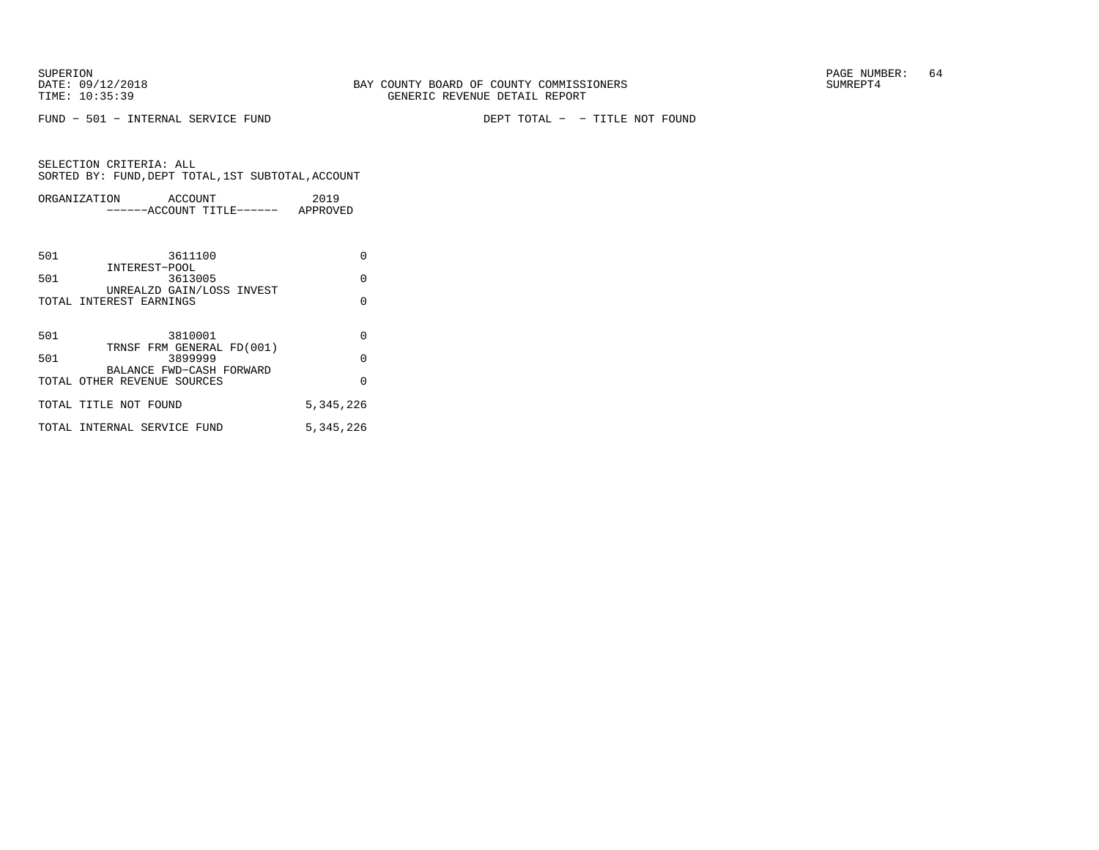FUND − 501 − INTERNAL SERVICE FUND DEPT TOTAL − − TITLE NOT FOUND

|     | ORGANIZATION<br>ACCOUNT<br>------ACCOUNT TITLE------ APPROVED | 2019      |
|-----|---------------------------------------------------------------|-----------|
|     |                                                               |           |
|     |                                                               |           |
| 501 | 3611100                                                       | $\Omega$  |
| 501 | INTEREST-POOL<br>3613005                                      | $\Omega$  |
|     | UNREALZD GAIN/LOSS INVEST                                     |           |
|     | TOTAL INTEREST EARNINGS                                       | $\Omega$  |
|     |                                                               |           |
| 501 | 3810001<br>TRNSF FRM GENERAL FD(001)                          | $\Omega$  |
| 501 | 3899999                                                       | $\Omega$  |
|     | BALANCE FWD-CASH FORWARD                                      | $\Omega$  |
|     | TOTAL OTHER REVENUE SOURCES                                   |           |
|     | TOTAL TITLE NOT FOUND                                         | 5,345,226 |
|     | TOTAL INTERNAL SERVICE FUND                                   | 5,345,226 |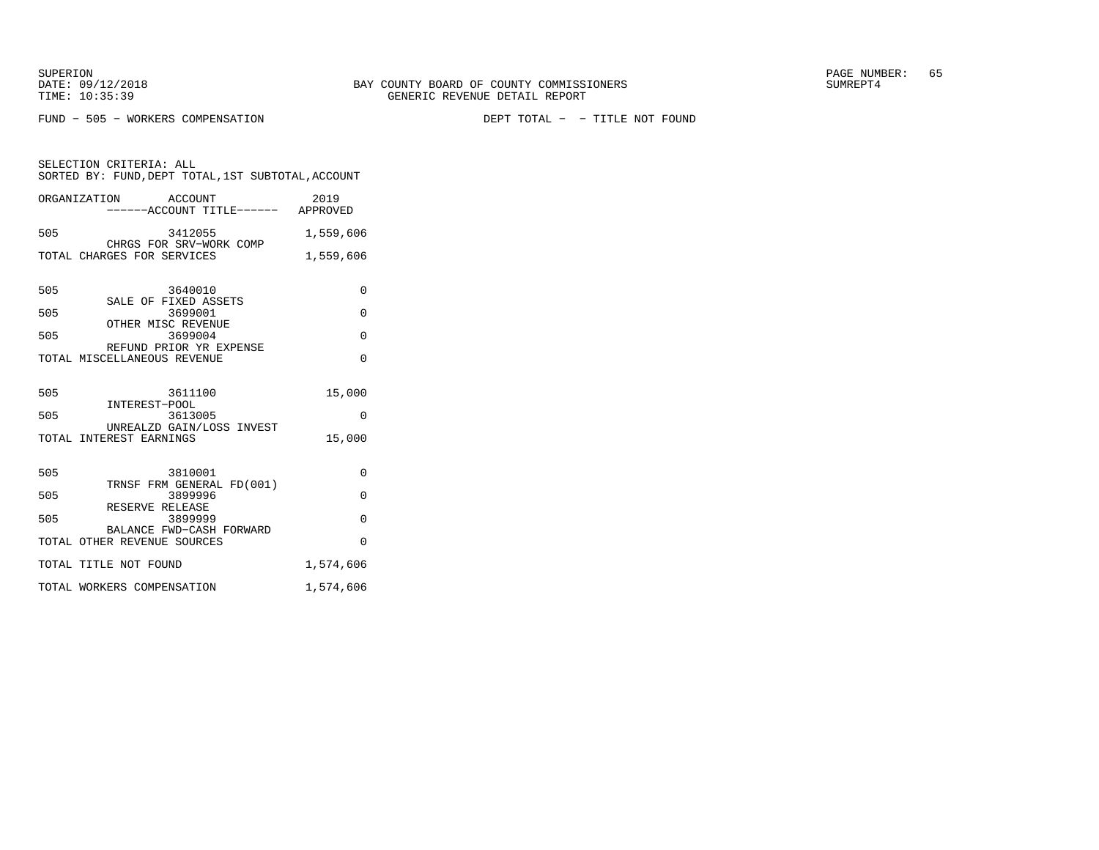FUND − 505 − WORKERS COMPENSATION DEPT TOTAL − − TITLE NOT FOUND

SELECTION CRITERIA: ALL SORTED BY: FUND,DEPT TOTAL,1ST SUBTOTAL,ACCOUNTORGANIZATION ACCOUNT 2019

|     | ------ACCOUNT TITLE------ APPROVED                      |           |
|-----|---------------------------------------------------------|-----------|
| 505 | 3412055<br>CHRGS FOR SRV-WORK COMP                      | 1,559,606 |
|     | TOTAL CHARGES FOR SERVICES                              | 1,559,606 |
|     |                                                         |           |
| 505 | 3640010<br>SALE OF FIXED ASSETS                         | $\Omega$  |
| 505 | 3699001                                                 | $\Omega$  |
| 505 | OTHER MISC REVENUE<br>3699004                           | $\Omega$  |
|     | REFUND PRIOR YR EXPENSE<br>TOTAL MISCELLANEOUS REVENUE  | $\Omega$  |
|     |                                                         |           |
| 505 | 3611100                                                 | 15,000    |
| 505 | INTEREST-POOL<br>3613005                                | $\Omega$  |
|     | UNREALZD GAIN/LOSS INVEST<br>TOTAL INTEREST EARNINGS    | 15,000    |
|     |                                                         |           |
| 505 | 3810001                                                 | $\Omega$  |
| 505 | TRNSF FRM GENERAL FD(001)<br>3899996                    | 0         |
| 505 | RESERVE RELEASE<br>3899999                              | $\Omega$  |
|     | BALANCE FWD-CASH FORWARD<br>TOTAL OTHER REVENUE SOURCES | $\Omega$  |
|     |                                                         |           |
|     | TOTAL TITLE NOT FOUND                                   | 1,574,606 |
|     | TOTAL WORKERS COMPENSATION                              | 1,574,606 |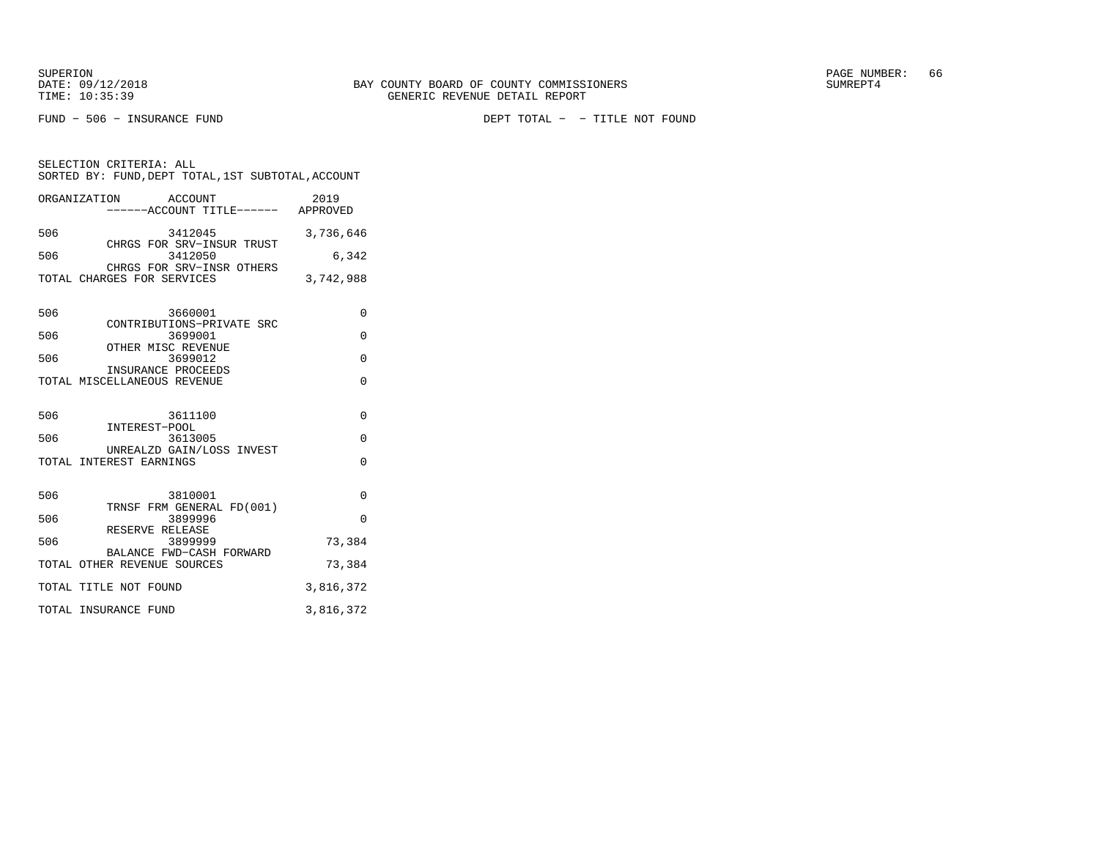SELECTION CRITERIA: ALL

FUND − 506 − INSURANCE FUND DEPT TOTAL − − TITLE NOT FOUND

ORGANIZATION ACCOUNT 2019 −−−−−−ACCOUNT TITLE−−−−−− APPROVED506 3412045 3,736,646 CHRGS FOR SRV−INSUR TRUST 506 3412050 6,342 CHRGS FOR SRV−INSR OTHERSTOTAL CHARGES FOR SERVICES 3,742,988 506 3660001 0 CONTRIBUTIONS−PRIVATE SRC506 3699001 0 OTHER MISC REVENUE 506 3699012 0 INSURANCE PROCEEDS TOTAL MISCELLANEOUS REVENUE 0 506 3611100 0 INTEREST−POOL 506 3613005 0 UNREALZD GAIN/LOSS INVESTTOTAL INTEREST EARNINGS 0 506 3810001 0 TRNSF FRM GENERAL FD(001)506 3899996 0 RESERVE RELEASE3899999 506 3899999 73,384 BALANCE FWD−CASH FORWARD TOTAL OTHER REVENUE SOURCES 73,384 TOTAL TITLE NOT FOUND 3,816,372

TOTAL INSURANCE FUND 3,816,372

SORTED BY: FUND,DEPT TOTAL,1ST SUBTOTAL,ACCOUNT